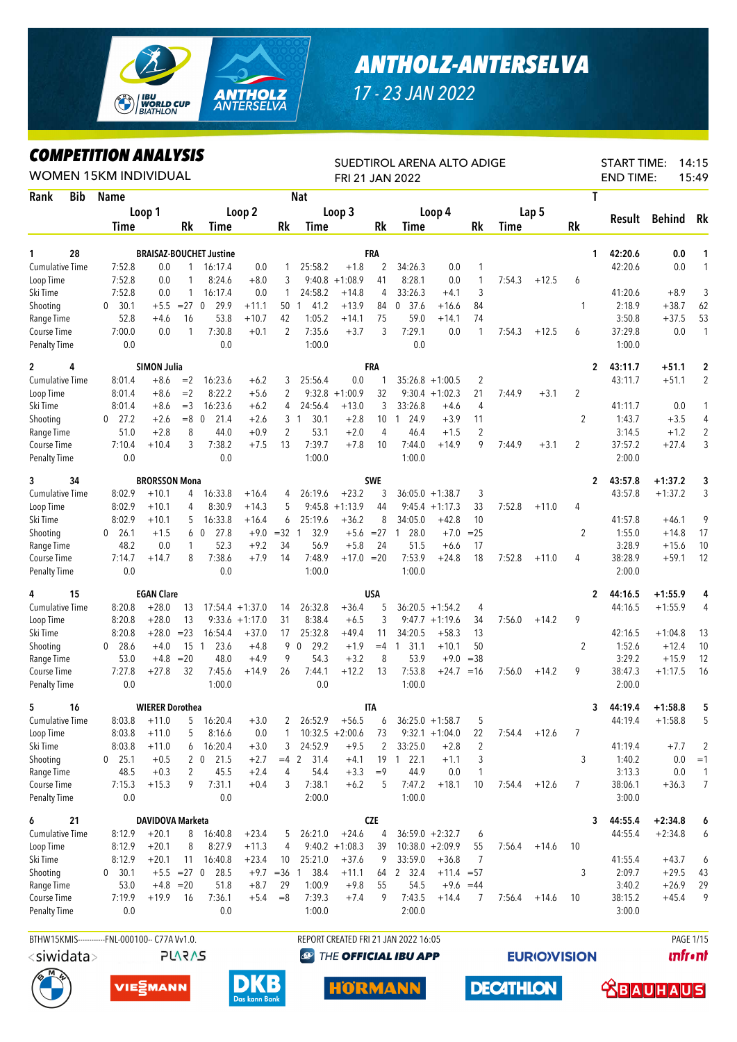

## *ANTHOLZ-ANTERSELVA*

*17 - 23 JAN 2022*

## *COMPETITION ANALYSIS*

|                                     |     | <i><b>COMPEILITON ANALYSIS</b></i><br><b>WOMEN 15KM INDIVIDUAL</b>                              |                        |                   |                                |                    |                |                   | FRI 21 JAN 2022     |            | SUEDTIROL ARENA ALTO ADIGE           |                    |                              |        |         |                | <b>START TIME:</b><br><b>END TIME:</b> |               | 14:15<br>15:49   |
|-------------------------------------|-----|-------------------------------------------------------------------------------------------------|------------------------|-------------------|--------------------------------|--------------------|----------------|-------------------|---------------------|------------|--------------------------------------|--------------------|------------------------------|--------|---------|----------------|----------------------------------------|---------------|------------------|
| Rank                                | Bib | <b>Name</b>                                                                                     |                        |                   |                                |                    |                | <b>Nat</b>        |                     |            |                                      |                    |                              |        |         | T              |                                        |               |                  |
|                                     |     |                                                                                                 | Loop 1                 |                   |                                | Loop 2             |                |                   | Loop 3              |            |                                      | Loop 4             |                              |        | Lap 5   |                |                                        |               |                  |
|                                     |     | <b>Time</b>                                                                                     |                        | Rk                | Time                           |                    | Rk             | Time              |                     | Rk         | <b>Time</b>                          |                    | Rk                           | Time   |         | Rk             | Result                                 | <b>Behind</b> | Rk               |
|                                     |     |                                                                                                 |                        |                   |                                |                    |                |                   |                     |            |                                      |                    |                              |        |         |                |                                        |               |                  |
| 1                                   | 28  |                                                                                                 |                        |                   | <b>BRAISAZ-BOUCHET Justine</b> |                    |                |                   |                     | FRA        |                                      |                    |                              |        |         | 1              | 42:20.6                                | 0.0           | 1                |
| <b>Cumulative Time</b><br>Loop Time |     | 7:52.8<br>7:52.8                                                                                | 0.0<br>0.0             | $\mathbf{1}$<br>1 | 16:17.4<br>8:24.6              | 0.0<br>$+8.0$      | 3              | 25:58.2<br>9:40.8 | $+1.8$<br>$+1:08.9$ | 2<br>41    | 34:26.3<br>8:28.1                    | 0.0<br>0.0         | $\mathbf{1}$<br>$\mathbf{1}$ | 7:54.3 | $+12.5$ | 6              | 42:20.6                                | $0.0\,$       | 1                |
| Ski Time                            |     | 7:52.8                                                                                          | 0.0                    | 1                 | 16:17.4                        | 0.0                | 1              | 24:58.2           | $+14.8$             | 4          | 33:26.3                              | $+4.1$             | 3                            |        |         |                | 41:20.6                                | $+8.9$        | 3                |
| Shooting                            |     | 30.1<br>$\mathbf 0$                                                                             | $+5.5$                 | $=27$             | 29.9<br>$\mathbf 0$            | $+11.1$            | 50             | 41.2<br>-1        | $+13.9$             | 84         | 37.6<br>0                            | $+16.6$            | 84                           |        |         | 1              | 2:18.9                                 | $+38.7$       | 62               |
| Range Time                          |     | 52.8                                                                                            | $+4.6$                 | 16                | 53.8                           | $+10.7$            | 42             | 1:05.2            | $+14.1$             | 75         | 59.0                                 | $+14.1$            | 74                           |        |         |                | 3:50.8                                 | $+37.5$       | 53               |
| Course Time                         |     | 7:00.0                                                                                          | 0.0                    | 1                 | 7:30.8                         | $+0.1$             | 2              | 7:35.6            | $+3.7$              | 3          | 7:29.1                               | 0.0                | $\mathbf{1}$                 | 7:54.3 | $+12.5$ | 6              | 37:29.8                                | 0.0           | $\mathbf{1}$     |
| <b>Penalty Time</b>                 |     | 0.0                                                                                             |                        |                   | 0.0                            |                    |                | 1:00.0            |                     |            | 0.0                                  |                    |                              |        |         |                | 1:00.0                                 |               |                  |
| $\overline{2}$                      | 4   |                                                                                                 |                        |                   |                                |                    |                |                   |                     | <b>FRA</b> |                                      |                    |                              |        |         | $\mathbf{2}$   | 43:11.7                                | $+51.1$       | $\mathbf{2}$     |
| <b>Cumulative Time</b>              |     | <b>SIMON Julia</b><br>8:01.4<br>16:23.6<br>$+8.6$<br>$=2$<br>8:22.2<br>8:01.4<br>$+8.6$<br>$=2$ |                        |                   |                                |                    | 3              | 25:56.4           | 0.0                 | 1          |                                      | $35:26.8 +1:00.5$  | $\overline{2}$               |        |         |                | 43:11.7                                | $+51.1$       | 2                |
| Loop Time                           |     | $+6.2$<br>$+5.6$<br>16:23.6<br>8:01.4<br>$+8.6$<br>$=$ 3<br>$=8$ 0                              |                        |                   |                                |                    | 2              | 9:32.8            | $+1:00.9$           | 32         |                                      | $9:30.4 +1:02.3$   | 21                           | 7:44.9 | $+3.1$  | 2              |                                        |               |                  |
| Ski Time                            |     |                                                                                                 |                        |                   |                                | $+6.2$             | 4              | 24:56.4           | $+13.0$             | 3          | 33:26.8                              | $+4.6$             | 4                            |        |         |                | 41:11.7                                | 0.0           | $\mathbf{1}$     |
| Shooting                            |     | 27.2<br>$\mathbf{0}$                                                                            | $+2.6$                 |                   | 21.4                           | $+2.6$             | 3              | 30.1<br>1         | $+2.8$              | 10         | 24.9<br>$\mathbf{1}$                 | $+3.9$             | 11                           |        |         | $\overline{2}$ | 1:43.7                                 | $+3.5$        | 4                |
| Range Time                          |     | 51.0                                                                                            | $+2.8$                 | 8                 | 44.0                           | $+0.9$             | $\overline{2}$ | 53.1              | $+2.0$              | 4          | 46.4                                 | $+1.5$             | 2                            |        |         |                | 3:14.5                                 | $+1.2$        | 2                |
| Course Time                         |     | 7:10.4                                                                                          | $+10.4$                | 3                 | 7:38.2                         | $+7.5$             | 13             | 7:39.7            | $+7.8$              | 10         | 7:44.0                               | $+14.9$            | 9                            | 7:44.9 | $+3.1$  | $\overline{2}$ | 37:57.2                                | $+27.4$       | 3                |
| <b>Penalty Time</b>                 |     | 0.0                                                                                             |                        |                   | 0.0                            |                    |                | 1:00.0            |                     |            | 1:00.0                               |                    |                              |        |         |                | 2:00.0                                 |               |                  |
| 3                                   | 34  |                                                                                                 | <b>BRORSSON Mona</b>   |                   |                                |                    |                |                   |                     | <b>SWE</b> |                                      |                    |                              |        |         | $\mathbf{2}$   | 43:57.8                                | $+1:37.2$     | 3                |
| <b>Cumulative Time</b>              |     | 8:02.9                                                                                          | $+10.1$                | 4                 | 16:33.8                        | $+16.4$            | 4              | 26:19.6           | $+23.2$             | 3          | 36:05.0                              | $+1:38.7$          | 3                            |        |         |                | 43:57.8                                | $+1:37.2$     | 3                |
| Loop Time                           |     | 8:02.9                                                                                          | $+10.1$                | 4                 | 8:30.9                         | $+14.3$            | 5              | 9:45.8            | $+1:13.9$           | 44         | 9:45.4                               | $+1:17.3$          | 33                           | 7:52.8 | $+11.0$ | 4              |                                        |               |                  |
| Ski Time                            |     | 8:02.9                                                                                          | $+10.1$                | 5                 | 16:33.8                        | $+16.4$            | 6              | 25:19.6           | $+36.2$             | 8          | 34:05.0                              | $+42.8$            | 10                           |        |         |                | 41:57.8                                | $+46.1$       | 9                |
| Shooting                            |     | $\mathbf{0}$<br>26.1                                                                            | $+1.5$                 |                   | 27.8<br>6 0                    | $+9.0$             | $=32$          | 32.9<br>1         | $+5.6$              | $=27$      | 28.0<br>$\overline{1}$               | $+7.0$             | $= 25$                       |        |         | 2              | 1:55.0                                 | $+14.8$       | 17               |
| Range Time                          |     | 48.2                                                                                            | 0.0                    | 1                 | 52.3                           | $+9.2$             | 34             | 56.9              | $+5.8$              | 24         | 51.5                                 | $+6.6$             | 17                           |        |         |                | 3:28.9                                 | $+15.6$       | 10               |
| Course Time                         |     | 7:14.7                                                                                          | $+14.7$                | 8                 | 7:38.6                         | $+7.9$             | 14             | 7:48.9            | $+17.0 = 20$        |            | 7:53.9                               | $+24.8$            | 18                           | 7:52.8 | $+11.0$ | 4              | 38:28.9                                | $+59.1$       | 12               |
| <b>Penalty Time</b>                 |     | 0.0                                                                                             |                        |                   | 0.0                            |                    |                | 1:00.0            |                     |            | 1:00.0                               |                    |                              |        |         |                | 2:00.0                                 |               |                  |
| 4                                   | 15  |                                                                                                 | <b>EGAN Clare</b>      |                   |                                |                    |                |                   |                     | <b>USA</b> |                                      |                    |                              |        |         | $\mathbf{2}$   | 44:16.5                                | $+1:55.9$     | 4                |
| <b>Cumulative Time</b>              |     | 8:20.8                                                                                          | $+28.0$                | 13                |                                | $17:54.4 + 1:37.0$ | 14             | 26:32.8           | $+36.4$             | 5          |                                      | $36:20.5 +1:54.2$  | 4                            |        |         |                | 44:16.5                                | $+1:55.9$     | 4                |
| Loop Time                           |     | 8:20.8                                                                                          | $+28.0$                | 13                | 9:33.6                         | $+1:17.0$          | 31             | 8:38.4            | $+6.5$              | 3          |                                      | $9:47.7 +1:19.6$   | 34                           | 7:56.0 | $+14.2$ | 9              |                                        |               |                  |
| Ski Time                            |     | 8:20.8                                                                                          | $+28.0$                | $= 23$            | 16:54.4                        | $+37.0$            | 17             | 25:32.8           | $+49.4$             | 11         | 34:20.5                              | $+58.3$            | 13                           |        |         |                | 42:16.5                                | $+1:04.8$     | 13               |
| Shooting                            |     | 28.6<br>$\mathbf{0}$                                                                            | $+4.0$                 | 15 <sub>1</sub>   | 23.6                           | $+4.8$             | 9              | 29.2<br>$\Omega$  | $+1.9$              | $=4$       | $1 \quad 31.1$                       | $+10.1$            | 50                           |        |         | 2              | 1:52.6                                 | $+12.4$       | 10               |
| Range Time                          |     | 53.0                                                                                            | $+4.8$                 | $= 20$            | 48.0                           | $+4.9$             | 9              | 54.3              | $+3.2$              | 8          | 53.9                                 | $+9.0$             | $= 38$                       |        |         |                | 3:29.2                                 | $+15.9$       | 12               |
| Course Time                         |     | 7:27.8                                                                                          | $+27.8$                | 32                | 7:45.6                         | $+14.9$            | 26             | 7:44.1            | $+12.2$             | 13         | 7:53.8                               | $+24.7$            | $=16$                        | 7:56.0 | $+14.2$ | 9              | 38:47.3                                | $+1:17.5$     | 16               |
| <b>Penalty Time</b>                 |     | 0.0                                                                                             |                        |                   | 1:00.0                         |                    |                | 0.0               |                     |            | 1:00.0                               |                    |                              |        |         |                | 2:00.0                                 |               |                  |
| 5.                                  | 16  |                                                                                                 | <b>WIERER Dorothea</b> |                   |                                |                    |                |                   |                     | <b>ITA</b> |                                      |                    |                              |        |         | 3              | 44:19.4                                | $+1:58.8$     | 5.               |
| Cumulative Time                     |     | 8:03.8                                                                                          | $+11.0$                | 5                 | 16:20.4                        | $+3.0$             |                | 26:52.9           | $+56.5$             | 6          |                                      | $36:25.0 + 1:58.7$ | 5                            |        |         |                | 44:19.4                                | $+1:58.8$     | 5                |
| Loop Time                           |     | 8:03.8                                                                                          | $+11.0$                | 5                 | 8:16.6                         | 0.0                | 1              |                   | $10:32.5 + 2:00.6$  | 73         |                                      | $9:32.1 +1:04.0$   | 22                           | 7:54.4 | $+12.6$ | 7              |                                        |               |                  |
| Ski Time                            |     | 8:03.8                                                                                          | $+11.0$                | 6                 | 16:20.4                        | $+3.0$             | 3              | 24:52.9           | $+9.5$              | 2          | 33:25.0                              | $+2.8$             | $\overline{2}$               |        |         |                | 41:19.4                                | $+7.7$        | 2                |
| Shooting                            |     | 25.1<br>0                                                                                       | $+0.5$                 |                   | 2 <sub>0</sub><br>21.5         | $+2.7$             | $=4$ 2         | 31.4              | $+4.1$              | 19         | 122.1                                | $+1.1$             | 3                            |        |         | 3              | 1:40.2                                 | 0.0           | $=1$             |
| Range Time                          |     | 48.5                                                                                            | $+0.3$                 | 2                 | 45.5                           | $+2.4$             | 4              | 54.4              | $+3.3$              | $=9$       | 44.9                                 | 0.0                | $\mathbf{1}$                 |        |         |                | 3:13.3                                 | 0.0           | $\overline{1}$   |
| Course Time                         |     | 7:15.3                                                                                          | $+15.3$                | 9                 | 7:31.1                         | $+0.4$             | 3              | 7:38.1            | $+6.2$              | 5          | 7:47.2                               | $+18.1$            | 10                           | 7:54.4 | $+12.6$ | 7              | 38:06.1                                | $+36.3$       | $\overline{7}$   |
| Penalty Time                        |     | 0.0                                                                                             |                        |                   | 0.0                            |                    |                | 2:00.0            |                     |            | 1:00.0                               |                    |                              |        |         |                | 3:00.0                                 |               |                  |
| 6                                   | 21  |                                                                                                 | DAVIDOVA Marketa       |                   |                                |                    |                |                   |                     | <b>CZE</b> |                                      |                    |                              |        |         | 3              | 44:55.4                                | $+2:34.8$     | 6                |
| <b>Cumulative Time</b>              |     | 8:12.9                                                                                          | $+20.1$                | 8                 | 16:40.8                        | $+23.4$            | 5              | 26:21.0           | $+24.6$             | 4          |                                      | $36:59.0 +2:32.7$  | 6                            |        |         |                | 44:55.4                                | $+2:34.8$     | 6                |
| Loop Time                           |     | 8:12.9                                                                                          | $+20.1$                | 8                 | 8:27.9                         | $+11.3$            | 4              |                   | $9:40.2 +1:08.3$    | 39         |                                      | $10:38.0 + 2:09.9$ | 55                           | 7:56.4 | $+14.6$ | 10             |                                        |               |                  |
| Ski Time                            |     | 8:12.9                                                                                          | $+20.1$                | 11                | 16:40.8                        | $+23.4$            | 10             | 25:21.0           | $+37.6$             | 9          | 33:59.0                              | $+36.8$            | 7                            |        |         |                | 41:55.4                                | $+43.7$       | 6                |
| Shooting                            |     | 30.1<br>$\mathbf{0}$                                                                            |                        | $+5.5$ = 27 0     | 28.5                           | $+9.7$             | $= 36$         | 38.4<br>1         | $+11.1$             | 64         | 2 32.4                               | $+11.4 = 57$       |                              |        |         | 3              | 2:09.7                                 | $+29.5$       | 43               |
| Range Time                          |     | 53.0                                                                                            |                        | $+4.8$ = 20       | 51.8                           | $+8.7$             | 29             | 1:00.9            | $+9.8$              | 55         | 54.5                                 | $+9.6$             | $=44$                        |        |         |                | 3:40.2                                 | $+26.9$       | 29               |
| Course Time                         |     | 7:19.9                                                                                          | $+19.9$                | 16                | 7:36.1                         | $+5.4$             | $=$ 8          | 7:39.3            | $+7.4$              | 9          | 7:43.5                               | $+14.4$            | 7                            | 7:56.4 | $+14.6$ | 10             | 38:15.2                                | $+45.4$       | 9                |
| <b>Penalty Time</b>                 |     | 0.0                                                                                             |                        |                   | 0.0                            |                    |                | 1:00.0            |                     |            | 2:00.0                               |                    |                              |        |         |                | 3:00.0                                 |               |                  |
|                                     |     | BTHW15KMIS------------FNL-000100-- C77A Vv1.0.                                                  |                        |                   |                                |                    |                |                   |                     |            | REPORT CREATED FRI 21 JAN 2022 16:05 |                    |                              |        |         |                |                                        |               | <b>PAGE 1/15</b> |





**PLARAS** 



**@ THE OFFICIAL IBU APP** 

**HORMANN** 

**EURIO)VISION** 

**DECATHLON** 

**unfront** 

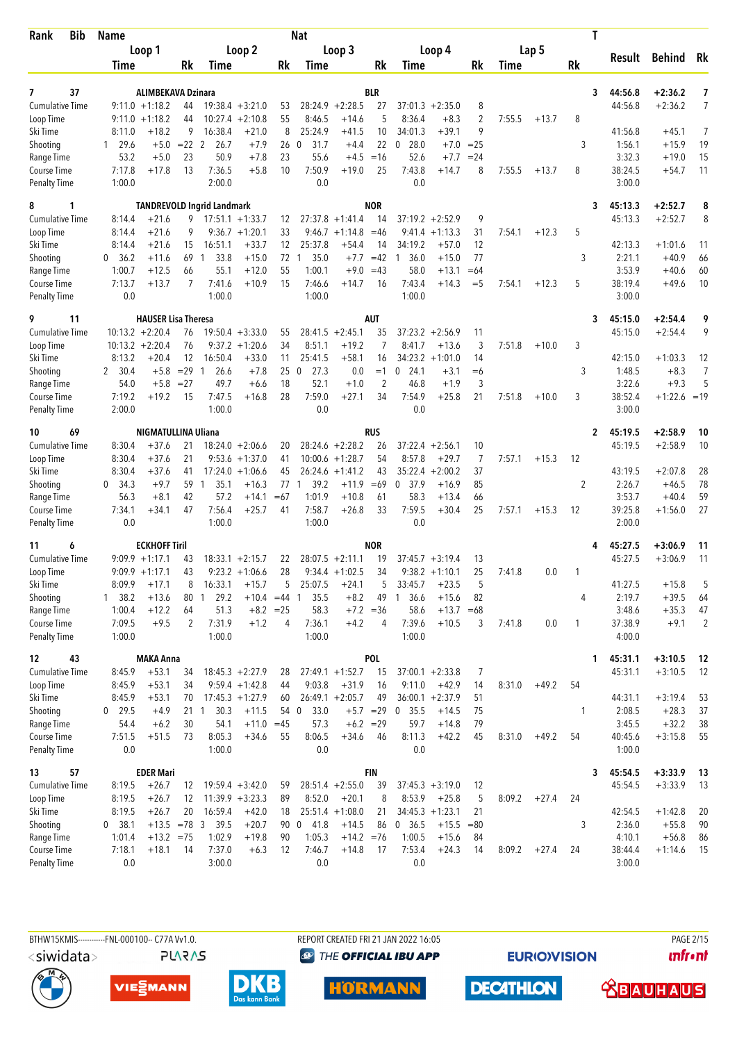| Rank<br>Bib                        | <b>Name</b>      |                            |                 |                                   |                    |             | <b>Nat</b>             |                    |                |                      |                    |        |        |         | T            |                   |                |                |
|------------------------------------|------------------|----------------------------|-----------------|-----------------------------------|--------------------|-------------|------------------------|--------------------|----------------|----------------------|--------------------|--------|--------|---------|--------------|-------------------|----------------|----------------|
|                                    |                  | Loop 1                     |                 |                                   | Loop 2             |             |                        | Loop 3             |                |                      | Loop 4             |        |        | Lap 5   |              |                   |                |                |
|                                    | Time             |                            | Rk              | Time                              |                    | Rk          | Time                   |                    | Rk             | Time                 |                    | Rk     | Time   |         | <b>Rk</b>    | Result            | <b>Behind</b>  | Rk             |
|                                    |                  |                            |                 |                                   |                    |             |                        |                    |                |                      |                    |        |        |         |              |                   |                |                |
| 37<br>7                            |                  | <b>ALIMBEKAVA Dzinara</b>  |                 |                                   |                    |             |                        |                    | <b>BLR</b>     |                      |                    |        |        |         | 3            | 44:56.8           | $+2:36.2$      | 7              |
| <b>Cumulative Time</b>             |                  | $9:11.0 + 1:18.2$          | 44              |                                   | $19:38.4 + 3:21.0$ | 53          |                        | $28:24.9 + 2:28.5$ | 27             |                      | $37:01.3 + 2:35.0$ | 8      |        |         |              | 44:56.8           | $+2:36.2$      | $\overline{7}$ |
| Loop Time                          |                  | $9:11.0 +1:18.2$           | 44              | 10:27.4                           | $+2:10.8$          | 55          | 8:46.5                 | $+14.6$            | 5              | 8:36.4               | $+8.3$             | 2      | 7:55.5 | $+13.7$ | 8            |                   |                |                |
| Ski Time                           | 8:11.0           | $+18.2$                    | 9               | 16:38.4                           | $+21.0$            | 8           | 25:24.9                | $+41.5$            | 10             | 34:01.3              | $+39.1$            | 9      |        |         |              | 41:56.8           | $+45.1$        | $\overline{7}$ |
| Shooting                           | $1 \quad 29.6$   | $+5.0$                     | $= 22$ 2        | 26.7                              | $+7.9$             | 26          | 31.7<br>0              | $+4.4$             | 22             | 28.0<br>0            | $+7.0$             | $= 25$ |        |         | 3            | 1:56.1            | $+15.9$        | 19             |
| Range Time                         | 53.2             | $+5.0$                     | 23              | 50.9                              | $+7.8$             | 23          | 55.6                   | $+4.5$             | $=16$          | 52.6                 | $+7.7$             | $= 24$ |        |         |              | 3:32.3            | $+19.0$        | 15             |
| Course Time<br><b>Penalty Time</b> | 7:17.8<br>1:00.0 | $+17.8$                    | 13              | 7:36.5<br>2:00.0                  | $+5.8$             | 10          | 7:50.9<br>0.0          | $+19.0$            | 25             | 7:43.8<br>0.0        | $+14.7$            | 8      | 7:55.5 | $+13.7$ | 8            | 38:24.5<br>3:00.0 | $+54.7$        | 11             |
|                                    |                  |                            |                 |                                   |                    |             |                        |                    |                |                      |                    |        |        |         |              |                   |                |                |
| 8<br>1                             |                  |                            |                 | <b>TANDREVOLD Ingrid Landmark</b> |                    |             |                        |                    | <b>NOR</b>     |                      |                    |        |        |         | 3            | 45:13.3           | $+2:52.7$      | 8              |
| <b>Cumulative Time</b>             | 8:14.4           | $+21.6$                    | 9               |                                   | $17:51.1 + 1:33.7$ | 12          |                        | $27:37.8 + 1:41.4$ | 14             |                      | $37:19.2 + 2:52.9$ | 9      |        |         |              | 45:13.3           | $+2:52.7$      | 8              |
| Loop Time                          | 8:14.4           | $+21.6$                    | 9               |                                   | $9:36.7 +1:20.1$   | 33          |                        | $9:46.7 +1:14.8$   | $=46$          | 9:41.4               | $+1:13.3$          | 31     | 7:54.1 | $+12.3$ | 5            |                   |                |                |
| Ski Time                           | 8:14.4           | $+21.6$                    | 15              | 16:51.1                           | $+33.7$            | 12          | 25:37.8                | $+54.4$            | 14             | 34:19.2              | $+57.0$            | 12     |        |         |              | 42:13.3           | $+1:01.6$      | 11             |
| Shooting                           | 36.2<br>0        | $+11.6$                    | 69              | 33.8<br>-1                        | $+15.0$            | 72          | 35.0<br>$\overline{1}$ | $+7.7$             | $=42$          | 36.0<br>$\mathbf{1}$ | $+15.0$            | 77     |        |         | 3            | 2:21.1            | $+40.9$        | 66             |
| Range Time                         | 1:00.7           | $+12.5$                    | 66              | 55.1                              | $+12.0$            | 55          | 1:00.1                 |                    | $+9.0 = 43$    | 58.0                 | $+13.1$            | $=64$  |        |         |              | 3:53.9            | $+40.6$        | 60             |
| Course Time                        | 7:13.7           | $+13.7$                    | 7               | 7:41.6                            | $+10.9$            | 15          | 7:46.6                 | $+14.7$            | 16             | 7:43.4               | $+14.3$            | $=$ 5  | 7:54.1 | $+12.3$ | 5            | 38:19.4           | $+49.6$        | 10             |
| <b>Penalty Time</b>                | 0.0              |                            |                 | 1:00.0                            |                    |             | 1:00.0                 |                    |                | 1:00.0               |                    |        |        |         |              | 3:00.0            |                |                |
| 11<br>9                            |                  | <b>HAUSER Lisa Theresa</b> |                 |                                   |                    |             |                        |                    | <b>AUT</b>     |                      |                    |        |        |         | 3            | 45:15.0           | $+2:54.4$      | 9              |
| <b>Cumulative Time</b>             |                  | $10:13.2 + 2:20.4$         | 76              |                                   | $19:50.4 + 3:33.0$ | 55          |                        | $28:41.5 + 2:45.1$ | 35             |                      | $37:23.2 +2:56.9$  | 11     |        |         |              | 45:15.0           | $+2:54.4$      | 9              |
| Loop Time                          |                  | $10:13.2 + 2:20.4$         | 76              |                                   | $9:37.2 +1:20.6$   | 34          | 8:51.1                 | $+19.2$            | 7              | 8:41.7               | $+13.6$            | 3      | 7:51.8 | $+10.0$ | 3            |                   |                |                |
| Ski Time                           | 8:13.2           | $+20.4$                    | 12              | 16:50.4                           | $+33.0$            | 11          | 25:41.5                | $+58.1$            | 16             |                      | $34:23.2 +1:01.0$  | 14     |        |         |              | 42:15.0           | $+1:03.3$      | 12             |
| Shooting                           | 2, 30.4          | $+5.8$                     | $=29$           | 26.6<br>-1                        | $+7.8$             | 250         | 27.3                   | 0.0                | $=1$           | 0<br>24.1            | $+3.1$             | $=6$   |        |         | 3            | 1:48.5            | $+8.3$         | $\overline{7}$ |
| Range Time                         | 54.0             | $+5.8$                     | $= 27$          | 49.7                              | $+6.6$             | 18          | 52.1                   | $+1.0$             | $\overline{2}$ | 46.8                 | $+1.9$             | 3      |        |         |              | 3:22.6            | $+9.3$         | 5              |
| Course Time                        | 7:19.2           | $+19.2$                    | 15              | 7:47.5                            | $+16.8$            | 28          | 7:59.0                 | $+27.1$            | 34             | 7:54.9               | $+25.8$            | 21     | 7:51.8 | $+10.0$ | 3            | 38:52.4           | $+1:22.6 = 19$ |                |
| <b>Penalty Time</b>                | 2:00.0           |                            |                 | 1:00.0                            |                    |             | 0.0                    |                    |                | 0.0                  |                    |        |        |         |              | 3:00.0            |                |                |
| 69<br>10                           |                  | NIGMATULLINA Uliana        |                 |                                   |                    |             |                        |                    | <b>RUS</b>     |                      |                    |        |        |         | 2            | 45:19.5           | $+2:58.9$      | 10             |
| <b>Cumulative Time</b>             | 8:30.4           | $+37.6$                    | 21              |                                   | $18:24.0 + 2:06.6$ | 20          |                        | $28:24.6 + 2:28.2$ | 26             | 37:22.4              | $+2:56.1$          | 10     |        |         |              | 45:19.5           | $+2:58.9$      | 10             |
| Loop Time                          | 8:30.4           | $+37.6$                    | 21              | 9:53.6                            | $+1:37.0$          | 41          |                        | $10:00.6 + 1:28.7$ | 54             | 8:57.8               | $+29.7$            | 7      | 7:57.1 | $+15.3$ | 12           |                   |                |                |
| Ski Time                           | 8:30.4           | $+37.6$                    | 41              |                                   | $17:24.0 + 1:06.6$ | 45          |                        | $26:24.6 +1:41.2$  | 43             | 35:22.4              | $+2:00.2$          | 37     |        |         |              | 43:19.5           | $+2:07.8$      | 28             |
| Shooting                           | 0<br>34.3        | $+9.7$                     | 59              | 35.1<br>$\overline{1}$            | $+16.3$            | 77          | 39.2<br>$\mathbf{1}$   | $+11.9$            | $=69$          | 37.9<br>0            | $+16.9$            | 85     |        |         | 2            | 2:26.7            | $+46.5$        | 78             |
| Range Time                         | 56.3             | $+8.1$                     | 42              | 57.2                              | $+14.1$            | $=67$       | 1:01.9                 | $+10.8$            | 61             | 58.3                 | $+13.4$            | 66     |        |         |              | 3:53.7            | $+40.4$        | 59             |
| Course Time                        | 7:34.1           | $+34.1$                    | 47              | 7:56.4                            | $+25.7$            | 41          | 7:58.7                 | $+26.8$            | 33             | 7:59.5               | $+30.4$            | 25     | 7:57.1 | $+15.3$ | 12           | 39:25.8           | $+1:56.0$      | 27             |
| <b>Penalty Time</b>                | 0.0              |                            |                 | 1:00.0                            |                    |             | 1:00.0                 |                    |                | 0.0                  |                    |        |        |         |              | 2:00.0            |                |                |
| 11<br>6                            |                  | <b>ECKHOFF Tiril</b>       |                 |                                   |                    |             |                        |                    | <b>NOR</b>     |                      |                    |        |        |         |              | 45:27.5           | $+3:06.9$      | 11             |
| <b>Cumulative Time</b>             |                  | $9:09.9 +1:17.1$           | 43              |                                   | $18:33.1 + 2:15.7$ | 22          |                        | $28:07.5 +2:11.1$  | 19             |                      | $37:45.7 + 3:19.4$ | 13     |        |         |              | 45:27.5           | $+3:06.9$      | 11             |
| Loop Time                          |                  | $9:09.9 +1:17.1$           | 43              |                                   | $9:23.2 +1:06.6$   | 28          |                        | $9:34.4 +1:02.5$   | 34             |                      | $9:38.2 +1:10.1$   | 25     | 7:41.8 | 0.0     | -1           |                   |                |                |
| Ski Time                           | 8:09.9           | $+17.1$                    | 8               | 16:33.1                           | $+15.7$            | 5           | 25:07.5                | $+24.1$            | 5              | 33:45.7              | $+23.5$            | 5      |        |         |              | 41:27.5           | $+15.8$        | 5              |
| Shooting                           | 1, 38.2          | $+13.6$                    | 80              | 29.2<br>$\mathbf{1}$              | $+10.4$            | $=44$       | 35.5<br>-1             | $+8.2$             | 49             | 36.6<br>$\mathbf{1}$ | $+15.6$            | 82     |        |         | 4            | 2:19.7            | $+39.5$        | 64             |
| Range Time                         | 1:00.4           | $+12.2$                    | 64              | 51.3                              |                    | $+8.2 = 25$ | 58.3                   |                    | $+7.2 = 36$    | 58.6                 | $+13.7 = 68$       |        |        |         |              | 3:48.6            | $+35.3$        | 47             |
| Course Time                        | 7:09.5           | $+9.5$                     | 2               | 7:31.9                            | $+1.2$             | 4           | 7:36.1                 | $+4.2$             | 4              | 7:39.6               | $+10.5$            | 3      | 7:41.8 | 0.0     | $\mathbf{1}$ | 37:38.9           | $+9.1$         | $\overline{2}$ |
| Penalty Time                       | 1:00.0           |                            |                 | 1:00.0                            |                    |             | 1:00.0                 |                    |                | 1:00.0               |                    |        |        |         |              | 4:00.0            |                |                |
| 12<br>43                           |                  | <b>MAKA Anna</b>           |                 |                                   |                    |             |                        |                    | <b>POL</b>     |                      |                    |        |        |         | 1            | 45:31.1           | $+3:10.5$      | 12             |
| <b>Cumulative Time</b>             | 8:45.9           | $+53.1$                    | 34              |                                   | $18:45.3 + 2:27.9$ | 28          |                        | $27:49.1 + 1:52.7$ | 15             |                      | $37:00.1 + 2:33.8$ | 7      |        |         |              | 45:31.1           | $+3:10.5$      | 12             |
| Loop Time                          | 8:45.9           | $+53.1$                    | 34              |                                   | $9:59.4 + 1:42.8$  | 44          | 9:03.8                 | $+31.9$            | 16             | 9:11.0               | $+42.9$            | 14     | 8:31.0 | $+49.2$ | 54           |                   |                |                |
| Ski Time                           | 8:45.9           | $+53.1$                    | 70              |                                   | $17:45.3 +1:27.9$  | 60          |                        | $26:49.1 + 2:05.7$ | 49             |                      | $36:00.1 + 2:37.9$ | 51     |        |         |              | 44:31.1           | $+3:19.4$      | 53             |
| Shooting                           | $0$ 29.5         | $+4.9$                     | 21 <sub>1</sub> | 30.3                              | $+11.5$            |             | 33.0<br>54 0           |                    |                | $+5.7$ = 29 0 35.5   | $+14.5$            | 75     |        |         | 1            | 2:08.5            | $+28.3$        | 37             |
| Range Time                         | 54.4             | $+6.2$                     | 30              | 54.1                              | $+11.0 = 45$       |             | 57.3                   |                    | $+6.2 = 29$    | 59.7                 | $+14.8$            | 79     |        |         |              | 3:45.5            | $+32.2$        | 38             |
| Course Time                        | 7:51.5           | $+51.5$                    | 73              | 8:05.3                            | $+34.6$            | 55          | 8:06.5                 | $+34.6$            | 46             | 8:11.3               | $+42.2$            | 45     | 8:31.0 | $+49.2$ | 54           | 40:45.6           | $+3:15.8$      | 55             |
| Penalty Time                       | $0.0\,$          |                            |                 | 1:00.0                            |                    |             | 0.0                    |                    |                | 0.0                  |                    |        |        |         |              | 1:00.0            |                |                |
| 57<br>13                           |                  | <b>EDER Mari</b>           |                 |                                   |                    |             |                        |                    | FIN            |                      |                    |        |        |         | 3            | 45:54.5           | $+3:33.9$      | 13             |
| Cumulative Time                    | 8:19.5           | $+26.7$                    | 12              |                                   | $19:59.4 + 3:42.0$ | 59          |                        | $28:51.4 +2:55.0$  | 39             |                      | $37:45.3 + 3:19.0$ | 12     |        |         |              | 45:54.5           | $+3:33.9$      | 13             |
| Loop Time                          | 8:19.5           | $+26.7$                    | 12              |                                   | $11:39.9 + 3:23.3$ | 89          | 8:52.0                 | $+20.1$            | 8              | 8:53.9               | $+25.8$            | 5      | 8:09.2 | $+27.4$ | 24           |                   |                |                |
| Ski Time                           | 8:19.5           | $+26.7$                    | 20              | 16:59.4                           | $+42.0$            | 18          |                        | $25:51.4 +1:08.0$  | 21             |                      | $34:45.3 +1:23.1$  | 21     |        |         |              | 42:54.5           | $+1:42.8$      | 20             |
| Shooting                           | 0, 38.1          |                            |                 | $+13.5$ =78 3 39.5                | $+20.7$            |             | 90 0 41.8              | $+14.5$            | 86             | 0, 36.5              | $+15.5$            | $= 80$ |        |         | 3            | 2:36.0            | $+55.8$        | 90             |
| Range Time                         | 1:01.4           | $+13.2 = 75$               |                 | 1:02.9                            | $+19.8$            | 90          | 1:05.3                 | $+14.2 = 76$       |                | 1:00.5               | $+15.6$            | 84     |        |         |              | 4:10.1            | $+56.8$        | 86             |
| Course Time                        | 7:18.1           | $+18.1$                    | 14              | 7:37.0                            | $+6.3$             | 12          | 7:46.7                 | $+14.8$            | 17             | 7:53.4               | $+24.3$            | 14     | 8:09.2 | $+27.4$ | 24           | 38:44.4           | $+1:14.6$      | -15            |
| Penalty Time                       | 0.0              |                            |                 | 3:00.0                            |                    |             | 0.0                    |                    |                | 0.0                  |                    |        |        |         |              | 3:00.0            |                |                |







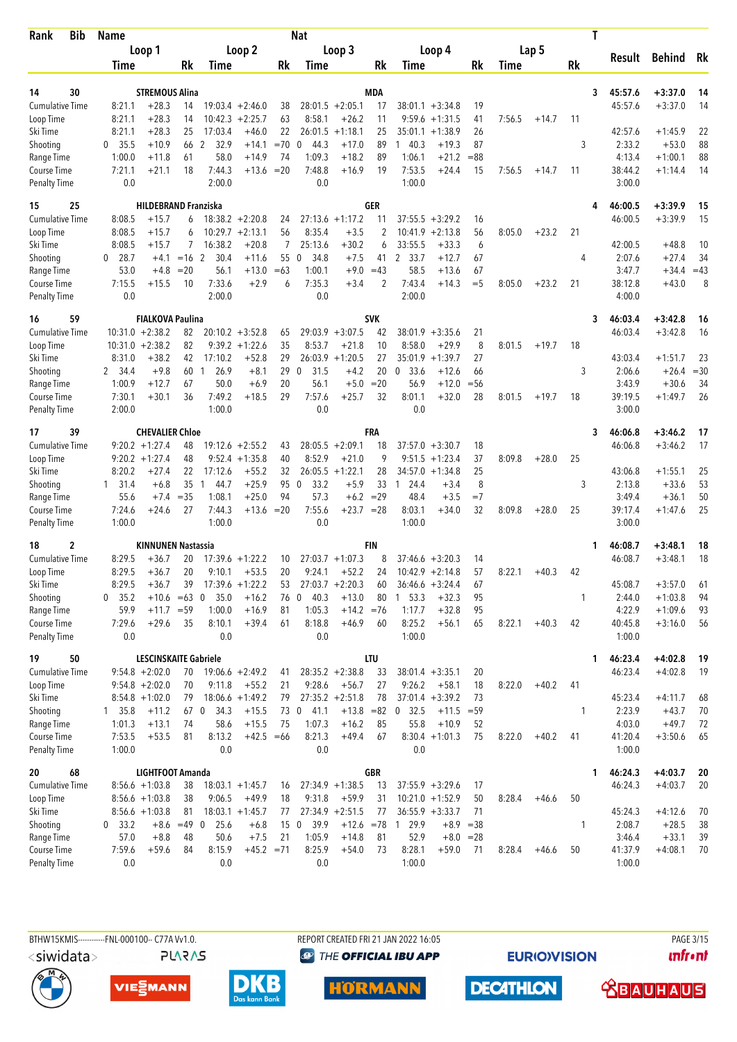| Bib<br><b>Rank</b>                 | <b>Name</b>   |                              |               |                  |                    |        | Nat                 |                    |            |                      |              |        |        |         |     | T                 |               |        |
|------------------------------------|---------------|------------------------------|---------------|------------------|--------------------|--------|---------------------|--------------------|------------|----------------------|--------------|--------|--------|---------|-----|-------------------|---------------|--------|
|                                    |               | Loop 1                       |               |                  | Loop 2             |        |                     | Loop 3             |            | Loop 4               |              |        |        | Lap 5   |     |                   |               |        |
|                                    | <b>Time</b>   |                              | Rk            | Time             |                    | Rk     | <b>Time</b>         |                    | Rk         | Time                 |              | Rk     | Time   |         | Rk  | Result            | <b>Behind</b> | Rk     |
|                                    |               |                              |               |                  |                    |        |                     |                    |            |                      |              |        |        |         |     |                   |               |        |
| 14<br>30                           |               | <b>STREMOUS Alina</b>        |               |                  |                    |        |                     |                    | <b>MDA</b> |                      |              |        |        |         |     | 45:57.6<br>3      | $+3:37.0$     | 14     |
| <b>Cumulative Time</b>             | 8:21.1        | $+28.3$                      | 14            |                  | $19:03.4 +2:46.0$  | 38     |                     | $28:01.5 + 2:05.1$ | 17         | $38:01.1 + 3:34.8$   |              | 19     |        |         |     | 45:57.6           | $+3:37.0$     | 14     |
| Loop Time                          | 8:21.1        | $+28.3$                      | 14            |                  | $10:42.3 + 2:25.7$ | 63     | 8:58.1              | $+26.2$            | 11         | 9:59.6<br>$+1:31.5$  |              | 41     | 7:56.5 | $+14.7$ | 11  |                   |               |        |
| Ski Time                           | 8:21.1        | $+28.3$                      | 25            | 17:03.4          | $+46.0$            | 22     | 26:01.5             | $+1:18.1$          | 25         | 35:01.1<br>$+1:38.9$ |              | 26     |        |         |     | 42:57.6           | $+1:45.9$     | 22     |
| Shooting                           | 35.5<br>0     | $+10.9$                      | 66            | 32.9<br>2        | $+14.1$            | $=70$  | 44.3<br>0           | $+17.0$            | 89         | 140.3                | $+19.3$      | 87     |        |         | 3   | 2:33.2            | $+53.0$       | 88     |
| Range Time                         | 1:00.0        | $+11.8$                      | 61            | 58.0             | $+14.9$            | 74     | 1:09.3              | $+18.2$            | 89         | 1:06.1               | $+21.2$      | $= 88$ |        |         |     | 4:13.4            | $+1:00.1$     | 88     |
| Course Time<br><b>Penalty Time</b> | 7:21.1<br>0.0 | $+21.1$                      | 18            | 7:44.3<br>2:00.0 | $+13.6$            | $= 20$ | 7:48.8<br>0.0       | $+16.9$            | 19         | 7:53.5<br>1:00.0     | $+24.4$      | 15     | 7:56.5 | $+14.7$ | -11 | 38:44.2<br>3:00.0 | $+1:14.4$     | 14     |
| 15<br>25                           |               | <b>HILDEBRAND Franziska</b>  |               |                  |                    |        |                     |                    | <b>GER</b> |                      |              |        |        |         |     | 46:00.5           | $+3:39.9$     | 15     |
| <b>Cumulative Time</b>             | 8:08.5        | $+15.7$                      | 6             |                  | $18:38.2 + 2:20.8$ | 24     |                     | $27:13.6 + 1:17.2$ | 11         | 37:55.5<br>$+3:29.2$ |              | 16     |        |         |     | 46:00.5           | $+3:39.9$     | 15     |
| Loop Time                          | 8:08.5        | $+15.7$                      | 6             |                  | $10:29.7 + 2:13.1$ | 56     | 8:35.4              | $+3.5$             | 2          | 10:41.9<br>$+2:13.8$ |              | 56     | 8:05.0 | $+23.2$ | 21  |                   |               |        |
| Ski Time                           | 8:08.5        | $+15.7$                      |               | 16:38.2          | $+20.8$            | 7      | 25:13.6             | $+30.2$            | 6          | 33:55.5              | $+33.3$      | 6      |        |         |     | 42:00.5           | $+48.8$       | 10     |
| Shooting                           | 28.7<br>0     | $+4.1$                       | $=16$ 2       | 30.4             | $+11.6$            | 55     | $\mathbf 0$<br>34.8 | $+7.5$             | 41         | $\mathbf{2}$<br>33.7 | $+12.7$      | 67     |        |         | 4   | 2:07.6            | $+27.4$       | 34     |
| Range Time                         | 53.0          | $+4.8$                       | $= 20$        | 56.1             | $+13.0$            | $=63$  | 1:00.1              | $+9.0$             | $=43$      | 58.5                 | $+13.6$      | 67     |        |         |     | 3:47.7            | $+34.4$       | $=43$  |
| Course Time                        | 7:15.5        | $+15.5$                      | 10            | 7:33.6           | $+2.9$             | 6      | 7:35.3              | $+3.4$             | 2          | 7:43.4               | $+14.3$      | $=$ 5  | 8:05.0 | $+23.2$ | 21  | 38:12.8           | $+43.0$       | 8      |
| <b>Penalty Time</b>                | 0.0           |                              |               | 2:00.0           |                    |        | 0.0                 |                    |            | 2:00.0               |              |        |        |         |     | 4:00.0            |               |        |
| 16<br>59                           |               | <b>FIALKOVA Paulina</b>      |               |                  |                    |        |                     |                    | <b>SVK</b> |                      |              |        |        |         |     | 46:03.4<br>3      | $+3:42.8$     | 16     |
| <b>Cumulative Time</b>             |               | $10:31.0 + 2:38.2$           | 82            |                  | $20:10.2 + 3:52.8$ | 65     |                     | $29:03.9 + 3:07.5$ | 42         | $38:01.9 + 3:35.6$   |              | 21     |        |         |     | 46:03.4           | $+3:42.8$     | 16     |
| Loop Time                          |               | $10:31.0 + 2:38.2$           | 82            |                  | $9:39.2 + 1:22.6$  | 35     | 8:53.7              | $+21.8$            | 10         | 8:58.0               | $+29.9$      | 8      | 8:01.5 | $+19.7$ | 18  |                   |               |        |
| Ski Time                           | 8:31.0        | $+38.2$                      | 42            | 17:10.2          | $+52.8$            | 29     | 26:03.9             | $+1:20.5$          | 27         | 35:01.9<br>$+1:39.7$ |              | 27     |        |         |     | 43:03.4           | $+1:51.7$     | 23     |
| Shooting                           | 2 34.4        | $+9.8$                       | 60            | 26.9<br>1        | $+8.1$             | 29     | 31.5<br>$\mathbf 0$ | $+4.2$             | 20         | 33.6<br>$\mathbf{0}$ | $+12.6$      | 66     |        |         | 3   | 2:06.6            | $+26.4$       | $= 30$ |
| Range Time                         | 1:00.9        | $+12.7$                      | 67            | 50.0             | $+6.9$             | 20     | 56.1                | $+5.0$             | $= 20$     | 56.9                 | $+12.0$      | $=$ 56 |        |         |     | 3:43.9            | $+30.6$       | 34     |
| Course Time                        | 7:30.1        | $+30.1$                      | 36            | 7:49.2           | $+18.5$            | 29     | 7:57.6              | $+25.7$            | 32         | 8:01.1               | $+32.0$      | 28     | 8:01.5 | $+19.7$ | 18  | 39:19.5           | $+1:49.7$     | 26     |
| <b>Penalty Time</b>                | 2:00.0        |                              |               | 1:00.0           |                    |        | 0.0                 |                    |            | 0.0                  |              |        |        |         |     | 3:00.0            |               |        |
| 39<br>17                           |               | <b>CHEVALIER Chloe</b>       |               |                  |                    |        |                     |                    | FRA        |                      |              |        |        |         |     | 46:06.8<br>3      | $+3:46.2$     | 17     |
| <b>Cumulative Time</b>             |               | $9:20.2 + 1:27.4$            | 48            | 19:12.6          | $+2:55.2$          | 43     |                     | $28:05.5 + 2:09.1$ | 18         | $37:57.0 + 3:30.7$   |              | 18     |        |         |     | 46:06.8           | $+3:46.2$     | 17     |
| Loop Time                          |               | $9:20.2 + 1:27.4$            | 48            | 9:52.4           | $+1:35.8$          | 40     | 8:52.9              | $+21.0$            | 9          | 9:51.5<br>$+1:23.4$  |              | 37     | 8:09.8 | $+28.0$ | 25  |                   |               |        |
| Ski Time                           | 8:20.2        | $+27.4$                      | 22            | 17:12.6          | $+55.2$            | 32     | 26:05.5             | $+1:22.1$          | 28         | $+1:34.8$<br>34:57.0 |              | 25     |        |         |     | 43:06.8           | $+1:55.1$     | 25     |
| Shooting                           | 1 31.4        | $+6.8$                       | 35            | 44.7<br>-1       | $+25.9$            | 95     | 33.2<br>$\Omega$    | $+5.9$             | 33         | 24.4<br>1            | $+3.4$       | 8      |        |         | 3   | 2:13.8            | $+33.6$       | 53     |
| Range Time                         | 55.6          | $+7.4$                       | $= 35$        | 1:08.1           | $+25.0$            | 94     | 57.3                | $+6.2$             | $=29$      | 48.4                 | $+3.5$       | $=7$   |        |         |     | 3:49.4            | $+36.1$       | 50     |
| Course Time                        | 7:24.6        | $+24.6$                      | 27            | 7:44.3           | $+13.6$            | $= 20$ | 7:55.6              | $+23.7 = 28$       |            | 8:03.1               | $+34.0$      | 32     | 8:09.8 | $+28.0$ | 25  | 39:17.4           | $+1:47.6$     | 25     |
| <b>Penalty Time</b>                | 1:00.0        |                              |               | 1:00.0           |                    |        | 0.0                 |                    |            | 1:00.0               |              |        |        |         |     | 3:00.0            |               |        |
| $\mathbf 2$<br>18                  |               | <b>KINNUNEN Nastassia</b>    |               |                  |                    |        |                     |                    | <b>FIN</b> |                      |              |        |        |         |     | 46:08.7<br>1.     | $+3:48.1$     | 18     |
| <b>Cumulative Time</b>             | 8:29.5        | $+36.7$                      | 20            |                  | $17:39.6 + 1:22.2$ | 10     |                     | $27:03.7 +1:07.3$  | 8          | $37:46.6 + 3:20.3$   |              | 14     |        |         |     | 46:08.7           | $+3:48.1$     | 18     |
| Loop Time                          | 8:29.5        | $+36.7$                      | 20            | 9:10.1           | $+53.5$            | 20     | 9:24.1              | $+52.2$            | 24         | $10:42.9 + 2:14.8$   |              | 57     | 8:22.1 | $+40.3$ | 42  |                   |               |        |
| Ski Time                           | 8:29.5        | $+36.7$                      | 39            |                  | $17:39.6 + 1:22.2$ | 53     |                     | $27:03.7 +2:20.3$  | 60         | $36:46.6 + 3:24.4$   |              | 67     |        |         |     | 45:08.7           | $+3:57.0$     | 61     |
| Shooting                           | 0, 35.2       | $+10.6 = 63$ 0               |               | 35.0             | $+16.2$            | 76 0   | 40.3                | $+13.0$            | 80         | $1\quad 53.3$        | $+32.3$      | 95     |        |         | 1   | 2:44.0            | $+1:03.8$     | 94     |
| Range Time                         | 59.9          | $+11.7 = 59$                 |               | 1:00.0           | $+16.9$            | 81     | 1:05.3              | $+14.2 = 76$       |            | 1:17.7               | $+32.8$      | 95     |        |         |     | 4:22.9            | $+1:09.6$     | 93     |
| Course Time                        | 7:29.6        | $+29.6$                      | 35            | 8:10.1           | $+39.4$            | 61     | 8:18.8              | $+46.9$            | 60         | 8:25.2               | $+56.1$      | 65     | 8:22.1 | $+40.3$ | 42  | 40:45.8           | $+3:16.0$     | 56     |
| Penalty Time                       | 0.0           |                              |               | 0.0              |                    |        | 0.0                 |                    |            | 1:00.0               |              |        |        |         |     | 1:00.0            |               |        |
| 50<br>19                           |               | <b>LESCINSKAITE Gabriele</b> |               |                  |                    |        |                     |                    | <b>LTU</b> |                      |              |        |        |         |     | 46:23.4<br>1.     | $+4:02.8$     | 19     |
| <b>Cumulative Time</b>             |               | $9:54.8 + 2:02.0$            | 70            |                  | $19:06.6 + 2:49.2$ | 41     |                     | $28:35.2 +2:38.8$  | 33         | $38:01.4 + 3:35.1$   |              | 20     |        |         |     | 46:23.4           | $+4:02.8$     | 19     |
| Loop Time                          |               | $9:54.8 + 2:02.0$            | 70            | 9:11.8           | $+55.2$            | 21     | 9:28.6              | $+56.7$            | 27         | 9:26.2<br>$+58.1$    |              | 18     | 8:22.0 | $+40.2$ | 41  |                   |               |        |
| Ski Time                           |               | $8:54.8 +1:02.0$             | 79            |                  | $18:06.6 + 1:49.2$ | 79     |                     | $27:35.2 +2:51.8$  | 78         | $37:01.4 +3:39.2$    |              | 73     |        |         |     | 45:23.4           | $+4:11.7$     | 68     |
| Shooting                           | 135.8         | $+11.2$                      | 67 0          | 34.3             | $+15.5$            |        | 73 0<br>41.1        | $+13.8 = 82$       |            | 0, 32.5              | $+11.5 = 59$ |        |        |         | 1   | 2:23.9            | $+43.7$       | 70     |
| Range Time                         | 1:01.3        | $+13.1$                      | 74            | 58.6             | $+15.5$            | 75     | 1:07.3              | $+16.2$            | 85         | 55.8                 | $+10.9$      | 52     |        |         |     | 4:03.0            | $+49.7$       | 72     |
| Course Time                        | 7:53.5        | $+53.5$                      | 81            | 8:13.2           | $+42.5 = 66$       |        | 8:21.3              | $+49.4$            | 67         | $8:30.4 +1:01.3$     |              | 75     | 8:22.0 | $+40.2$ | 41  | 41:20.4           | $+3:50.6$     | 65     |
| <b>Penalty Time</b>                | 1:00.0        |                              |               | 0.0              |                    |        | 0.0                 |                    |            | 0.0                  |              |        |        |         |     | 1:00.0            |               |        |
| 20<br>68                           |               | LIGHTFOOT Amanda             |               |                  |                    |        |                     |                    | <b>GBR</b> |                      |              |        |        |         |     | 46:24.3<br>1.     | $+4:03.7$     | 20     |
| <b>Cumulative Time</b>             |               | $8:56.6 + 1:03.8$            | 38            |                  | $18:03.1 + 1:45.7$ | 16     |                     | $27:34.9 +1:38.5$  | 13         | $37:55.9 + 3:29.6$   |              | 17     |        |         |     | 46:24.3           | $+4:03.7$     | 20     |
| Loop Time                          |               | $8:56.6 + 1:03.8$            | 38            | 9:06.5           | $+49.9$            | 18     | 9:31.8              | $+59.9$            | 31         | $10:21.0 +1:52.9$    |              | 50     | 8:28.4 | $+46.6$ | 50  |                   |               |        |
| Ski Time                           |               | $8:56.6 + 1:03.8$            | 81            |                  | $18:03.1 + 1:45.7$ | 77     |                     | $27:34.9 +2:51.5$  | 77         | $36:55.9 + 3:33.7$   |              | 71     |        |         |     | 45:24.3           | $+4:12.6$     | 70     |
| Shooting                           | $0\quad 33.2$ |                              | $+8.6 = 49$ 0 | 25.6             | $+6.8$             |        | 39.9<br>15 0        |                    |            | $+12.6$ =78 1 29.9   | $+8.9$       | $= 38$ |        |         | 1   | 2:08.7            | $+28.5$       | 38     |
| Range Time                         | 57.0          | $+8.8$                       | 48            | 50.6             | $+7.5$             | 21     | 1:05.9              | $+14.8$            | 81         | 52.9                 | $+8.0 = 28$  |        |        |         |     | 3:46.4            | $+33.1$       | 39     |
| Course Time                        | 7:59.6        | $+59.6$                      | 84            | 8:15.9           | $+45.2 = 71$       |        | 8:25.9              | $+54.0$            | 73         | 8:28.1               | $+59.0$      | 71     | 8:28.4 | $+46.6$ | 50  | 41:37.9           | $+4:08.1$     | 70     |
| Penalty Time                       | 0.0           |                              |               | 0.0              |                    |        | 0.0                 |                    |            | 1:00.0               |              |        |        |         |     | 1:00.0            |               |        |

REPORT CREATED FRI 21 JAN 2022 16:05 **<sup><sup>3</sup>** THE OFFICIAL IBU APP</sup>

**HORMANN** 

**EURIOVISION** 

PAGE 3/15 *<u><u>Infront</u>*</u>









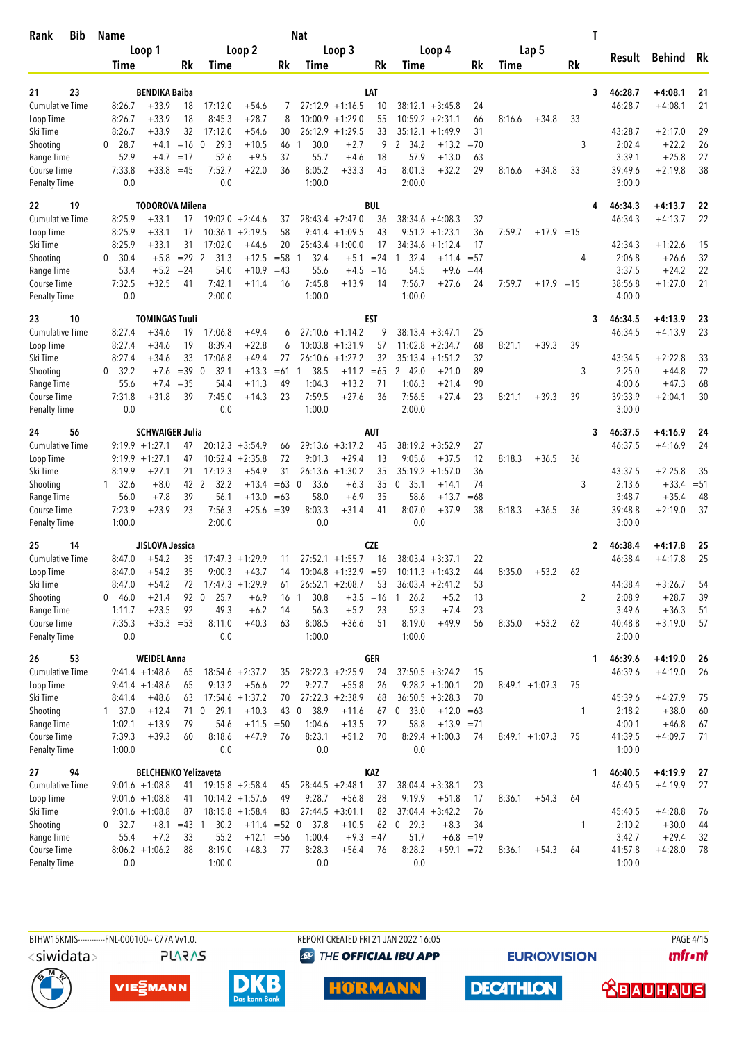| Bib<br>Rank                               | Name                 |                             |          |                     |                    |          | Nat                  |                                              |            |                                          |                        |          |        |                   |    | T  |                    |           |          |
|-------------------------------------------|----------------------|-----------------------------|----------|---------------------|--------------------|----------|----------------------|----------------------------------------------|------------|------------------------------------------|------------------------|----------|--------|-------------------|----|----|--------------------|-----------|----------|
|                                           |                      | Loop 1                      |          |                     | Loop 2             |          |                      | Loop 3                                       |            |                                          | Loop 4                 |          |        | Lap 5             |    |    |                    |           |          |
|                                           | Time                 |                             | Rk       | Time                |                    | Rk       | Time                 |                                              | Rk         | Time                                     |                        | Rk       | Time   |                   | Rk |    | Result             | Behind    | Rk       |
|                                           |                      |                             |          |                     |                    |          |                      |                                              |            |                                          |                        |          |        |                   |    |    |                    |           |          |
| 23<br>21                                  |                      | <b>BENDIKA Baiba</b>        |          |                     |                    |          |                      |                                              | LAT        |                                          |                        |          |        |                   |    | 3  | 46:28.7            | $+4:08.1$ | 21       |
| <b>Cumulative Time</b>                    | 8:26.7               | $+33.9$                     | 18       | 17:12.0             | $+54.6$            | 7        | 10:00.9              | $27:12.9 +1:16.5$                            | 10         | $38:12.1 + 3:45.8$                       |                        | 24<br>66 |        |                   |    |    | 46:28.7            | $+4:08.1$ | 21       |
| Loop Time<br>Ski Time                     | 8:26.7<br>8:26.7     | $+33.9$<br>$+33.9$          | 18<br>32 | 8:45.3<br>17:12.0   | $+28.7$<br>$+54.6$ | 8<br>30  |                      | $+1:29.0$<br>$26:12.9 +1:29.5$               | 55<br>33   | 10:59.2<br>35:12.1                       | $+2:31.1$<br>$+1:49.9$ | 31       | 8:16.6 | $+34.8$           | 33 |    | 43:28.7            | $+2:17.0$ | 29       |
| Shooting                                  | 28.7<br>$\mathbf{0}$ | $+4.1$                      | $=16$ 0  | 29.3                | $+10.5$            | 46       | 30.0                 | $+2.7$                                       | 9          | 2 34.2                                   | $+13.2$                | $=70$    |        |                   | 3  |    | 2:02.4             | $+22.2$   | 26       |
| Range Time                                | 52.9                 | $+4.7$                      | $=17$    | 52.6                | $+9.5$             | 37       | 55.7                 | $+4.6$                                       | 18         | 57.9                                     | $+13.0$                | 63       |        |                   |    |    | 3:39.1             | $+25.8$   | 27       |
| Course Time                               | 7:33.8               | $+33.8$                     | $=45$    | 7:52.7              | $+22.0$            | 36       | 8:05.2               | $+33.3$                                      | 45         | 8:01.3                                   | $+32.2$                | 29       | 8:16.6 | $+34.8$           | 33 |    | 39:49.6            | $+2:19.8$ | 38       |
| <b>Penalty Time</b>                       | 0.0                  |                             |          | 0.0                 |                    |          | 1:00.0               |                                              |            | 2:00.0                                   |                        |          |        |                   |    |    | 3:00.0             |           |          |
| 22<br>19                                  |                      | <b>TODOROVA Milena</b>      |          |                     |                    |          |                      |                                              | <b>BUL</b> |                                          |                        |          |        |                   |    | 4  | 46:34.3            | $+4:13.7$ | 22       |
| <b>Cumulative Time</b>                    | 8:25.9               | $+33.1$                     | 17       |                     | $19:02.0 + 2:44.6$ | 37       |                      | $28:43.4 + 2:47.0$                           | 36         | $38:34.6 + 4:08.3$                       |                        | 32       |        |                   |    |    | 46:34.3            | $+4:13.7$ | 22       |
| Loop Time                                 | 8:25.9               | $+33.1$                     | 17       |                     | $10:36.1 + 2:19.5$ | 58       |                      | $9:41.4 +1:09.5$                             | 43         | 9:51.2                                   | $+1:23.1$              | 36       | 7:59.7 | $+17.9 = 15$      |    |    |                    |           |          |
| Ski Time                                  | 8:25.9               | $+33.1$                     | 31       | 17:02.0             | $+44.6$            | 20       | 25:43.4              | $+1:00.0$                                    | 17         | 34:34.6                                  | $+1:12.4$              | 17       |        |                   |    |    | 42:34.3            | $+1:22.6$ | 15       |
| Shooting                                  | 30.4<br>0            | $+5.8$                      | $= 29$ 2 | 31.3                | $+12.5$            | $= 58$   | 32.4<br>$\mathbf{1}$ | $+5.1$                                       | $= 24$     | 32.4<br>$\mathbf{1}$                     | $+11.4$                | $= 57$   |        |                   | 4  |    | 2:06.8             | $+26.6$   | 32       |
| Range Time                                | 53.4                 | $+5.2$                      | $= 24$   | 54.0                | $+10.9$            | $=43$    | 55.6                 | $+4.5 = 16$                                  |            | 54.5                                     | $+9.6$                 | $=44$    |        |                   |    |    | 3:37.5             | $+24.2$   | 22       |
| <b>Course Time</b>                        | 7:32.5               | $+32.5$                     | 41       | 7:42.1              | +11.4              | 16       | 7:45.8               | $+13.9$                                      | 14         | 7:56.7                                   | +27.6                  | 24       | 7:59.7 | $+17.9 = 15$      |    |    | 38:56.8            | $+1:27.0$ | 21       |
| <b>Penalty Time</b>                       | 0.0                  |                             |          | 2:00.0              |                    |          | 1:00.0               |                                              |            | 1:00.0                                   |                        |          |        |                   |    |    | 4:00.0             |           |          |
| 10<br>23                                  |                      | <b>TOMINGAS Tuuli</b>       |          |                     |                    |          |                      |                                              | EST        |                                          |                        |          |        |                   |    | 3  | 46:34.5            | $+4:13.9$ | 23       |
| <b>Cumulative Time</b>                    | 8:27.4               | $+34.6$                     | 19       | 17:06.8             | $+49.4$            | 6        |                      | $27:10.6 + 1:14.2$                           | 9          | $38:13.4 + 3:47.1$                       |                        | 25       |        |                   |    |    | 46:34.5            | $+4:13.9$ | 23       |
| Loop Time                                 | 8:27.4               | $+34.6$                     | 19       | 8:39.4              | $+22.8$            | 6        |                      | $10:03.8 +1:31.9$                            | 57         | 11:02.8                                  | $+2:34.7$              | 68       | 8:21.1 | $+39.3$           | 39 |    |                    |           |          |
| Ski Time                                  | 8:27.4               | $+34.6$                     | 33       | 17:06.8             | +49.4              | 27       |                      | $26:10.6 + 1:27.2$                           | 32         | 35:13.4                                  | $+1:51.2$              | 32       |        |                   |    |    | 43:34.5            | $+2:22.8$ | 33       |
| Shooting                                  | 32.2<br>$\mathbf{0}$ | $+7.6$                      | $=39$    | $\mathbf 0$<br>32.1 | $+13.3$            | $=61$    | 38.5<br>-1           | $+11.2$                                      | $=65$      | 242.0                                    | $+21.0$                | 89       |        |                   | 3  |    | 2:25.0             | $+44.8$   | 72       |
| Range Time                                | 55.6                 | $+7.4$                      | $=35$    | 54.4                | $+11.3$            | 49       | 1:04.3               | $+13.2$                                      | 71         | 1:06.3                                   | $+21.4$                | 90       |        |                   |    |    | 4:00.6             | $+47.3$   | 68       |
| Course Time                               | 7:31.8               | $+31.8$                     | 39       | 7:45.0              | $+14.3$            | 23       | 7:59.5               | $+27.6$                                      | 36         | 7:56.5                                   | $+27.4$                | 23       | 8:21.1 | $+39.3$           | 39 |    | 39:33.9            | $+2:04.1$ | 30       |
| <b>Penalty Time</b>                       | 0.0                  |                             |          | 0.0                 |                    |          | 1:00.0               |                                              |            | 2:00.0                                   |                        |          |        |                   |    |    | 3:00.0             |           |          |
| 56<br>24                                  |                      | <b>SCHWAIGER Julia</b>      |          |                     |                    |          |                      |                                              | <b>AUT</b> |                                          |                        |          |        |                   |    | 3  | 46:37.5            | $+4:16.9$ | 24       |
| <b>Cumulative Time</b>                    |                      | $9:19.9 + 1:27.1$           | 47       |                     | $20:12.3 + 3:54.9$ | 66       | 29:13.6              | $+3:17.2$                                    | 45         | $38:19.2 + 3:52.9$                       |                        | 27       |        |                   |    |    | 46:37.5            | $+4:16.9$ | 24       |
| Loop Time                                 |                      | $9:19.9 + 1:27.1$           | 47       |                     | $10:52.4 +2:35.8$  | 72       | 9:01.3               | $+29.4$                                      | 13         | 9:05.6                                   | $+37.5$                | 12       | 8:18.3 | $+36.5$           | 36 |    |                    |           |          |
| Ski Time                                  | 8:19.9               | +27.1                       | 21       | 17:12.3             | $+54.9$            | 31       | 26:13.6              | $+1:30.2$                                    | 35         | 35:19.2                                  | $+1:57.0$              | 36       |        |                   |    |    | 43:37.5            | $+2:25.8$ | 35       |
| Shooting                                  | $1 \quad 32.6$       | $+8.0$                      | 42 2     | 32.2                | $+13.4$            | $=63$    | 33.6<br>0            | $+6.3$                                       | 35         | 0, 35.1                                  | $+14.1$                | 74       |        |                   | 3  |    | 2:13.6             | $+33.4$   | $= 51$   |
| Range Time                                | 56.0                 | $+7.8$                      | 39       | 56.1                | $+13.0$            | $=63$    | 58.0                 | $+6.9$                                       | 35         | 58.6                                     | $+13.7$                | $=68$    |        |                   |    |    | 3:48.7             | $+35.4$   | 48       |
| <b>Course Time</b><br><b>Penalty Time</b> | 7:23.9<br>1:00.0     | $+23.9$                     | 23       | 7:56.3<br>2:00.0    | $+25.6 = 39$       |          | 8:03.3<br>0.0        | $+31.4$                                      | 41         | 8:07.0<br>0.0                            | $+37.9$                | 38       | 8:18.3 | $+36.5$           | 36 |    | 39:48.8<br>3:00.0  | $+2:19.0$ | 37       |
|                                           |                      | <b>JISLOVA Jessica</b>      |          |                     |                    |          |                      |                                              |            |                                          |                        |          |        |                   |    |    |                    |           |          |
| 25<br>14                                  |                      |                             |          |                     | $17:47.3 +1:29.9$  |          |                      |                                              | <b>CZE</b> |                                          |                        |          |        |                   |    | 2  | 46:38.4<br>46:38.4 | $+4:17.8$ | 25<br>25 |
| <b>Cumulative Time</b><br>Loop Time       | 8:47.0<br>8:47.0     | $+54.2$<br>$+54.2$          | 35<br>35 | 9:00.3              | $+43.7$            | 11<br>14 |                      | $27:52.1 + 1:55.7$<br>$10:04.8 +1:32.9 = 59$ | 16         | $38:03.4 + 3:37.1$<br>$10:11.3 + 1:43.2$ |                        | 22<br>44 | 8:35.0 | $+53.2$           | 62 |    |                    | $+4:17.8$ |          |
| Ski Time                                  | 8:47.0               | $+54.2$                     | 72       |                     | $17:47.3 +1:29.9$  | 61       |                      | $26:52.1 + 2:08.7$                           | 53         | $36:03.4 +2:41.2$                        |                        | 53       |        |                   |    |    | 44:38.4            | $+3:26.7$ | 54       |
| Shooting                                  | 0 46.0               | $+21.4$                     | 92 0     | 25.7                | $+6.9$             | 16       | 30.8<br>$\mathbf{1}$ | $+3.5$                                       | $=16$      | 26.2<br>1                                | $+5.2$                 | 13       |        |                   | 2  |    | 2:08.9             | $+28.7$   | 39       |
| Range Time                                | 1:11.7               | $+23.5$                     | 92       | 49.3                | $+6.2$             | 14       | 56.3                 | $+5.2$                                       | 23         | 52.3                                     | $+7.4$                 | 23       |        |                   |    |    | 3:49.6             | $+36.3$   | 51       |
| Course Time                               | 7:35.3               | $+35.3 = 53$                |          | 8:11.0              | $+40.3$            | 63       | 8:08.5               | $+36.6$                                      | 51         | 8:19.0                                   | $+49.9$                | 56       | 8:35.0 | $+53.2$           | 62 |    | 40:48.8            | $+3:19.0$ | 57       |
| <b>Penalty Time</b>                       | 0.0                  |                             |          | 0.0                 |                    |          | 1:00.0               |                                              |            | 1:00.0                                   |                        |          |        |                   |    |    | 2:00.0             |           |          |
| 26<br>53                                  |                      | <b>WEIDEL Anna</b>          |          |                     |                    |          |                      |                                              | GER        |                                          |                        |          |        |                   |    | 1. | 46:39.6            | $+4:19.0$ | 26       |
| <b>Cumulative Time</b>                    |                      | $9:41.4 +1:48.6$            | 65       |                     | $18:54.6 + 2:37.2$ | 35       |                      | $28:22.3 +2:25.9$                            | 24         | $37:50.5 + 3:24.2$                       |                        | 15       |        |                   |    |    | 46:39.6            | $+4:19.0$ | 26       |
| Loop Time                                 |                      | $9:41.4 + 1:48.6$           | 65       | 9:13.2              | $+56.6$            | 22       | 9:27.7               | $+55.8$                                      | 26         |                                          | $9:28.2 +1:00.1$       | 20       |        | $8:49.1 + 1:07.3$ | 75 |    |                    |           |          |
| Ski Time                                  | 8:41.4               | $+48.6$                     | 63       |                     | $17:54.6 + 1:37.2$ | 70       |                      | $27:22.3 +2:38.9$                            | 68         | $36:50.5 + 3:28.3$                       |                        | 70       |        |                   |    |    | 45:39.6            | $+4:27.9$ | 75       |
| Shooting                                  | 1 37.0               | $+12.4$                     | 71 0     | 29.1                | $+10.3$            | 43 0     | 38.9                 | $+11.6$                                      | 67         | 0, 33.0                                  | $+12.0 = 63$           |          |        |                   | 1  |    | 2:18.2             | $+38.0$   | 60       |
| Range Time                                | 1:02.1               | $+13.9$                     | 79       | 54.6                | $+11.5 = 50$       |          | 1:04.6               | $+13.5$                                      | 72         | 58.8                                     | $+13.9 = 71$           |          |        |                   |    |    | 4:00.1             | $+46.8$   | 67       |
| Course Time                               | 7:39.3               | $+39.3$                     | 60       | 8:18.6              | $+47.9$            | 76       | 8:23.1               | $+51.2$                                      | 70         |                                          | $8:29.4 +1:00.3$       | 74       |        | $8:49.1 + 1:07.3$ | 75 |    | 41:39.5            | $+4:09.7$ | 71       |
| <b>Penalty Time</b>                       | 1:00.0               |                             |          | 0.0                 |                    |          | 0.0                  |                                              |            | 0.0                                      |                        |          |        |                   |    |    | 1:00.0             |           |          |
| 94<br>27                                  |                      | <b>BELCHENKO Yelizaveta</b> |          |                     |                    |          |                      |                                              | KAZ        |                                          |                        |          |        |                   |    | 1  | 46:40.5            | $+4:19.9$ | 27       |
| Cumulative Time                           |                      | $9:01.6 +1:08.8$            | 41       |                     | $19:15.8 + 2:58.4$ | 45       |                      | $28:44.5 + 2:48.1$                           | 37         | $38:04.4 + 3:38.1$                       |                        | 23       |        |                   |    |    | 46:40.5            | $+4:19.9$ | 27       |
| Loop Time                                 |                      | $9:01.6 + 1:08.8$           | 41       |                     | $10:14.2 + 1:57.6$ | 49       | 9:28.7               | $+56.8$                                      | 28         | 9:19.9                                   | $+51.8$                | 17       | 8:36.1 | $+54.3$           | 64 |    |                    |           |          |
| Ski Time                                  |                      | $9:01.6 + 1:08.8$           | 87       |                     | $18:15.8 + 1:58.4$ | 83       |                      | $27:44.5 +3:01.1$                            | 82         | $37:04.4 + 3:42.2$                       |                        | 76       |        |                   |    |    | 45:40.5            | $+4:28.8$ | 76       |
| Shooting                                  | $0$ 32.7             | $+8.1$                      | $=43$ 1  | 30.2                | $+11.4 = 52 0$     |          | 37.8                 | $+10.5$                                      | 62         | $0$ 29.3                                 | $+8.3$                 | 34       |        |                   | 1  |    | 2:10.2             | $+30.0$   | 44       |
| Range Time                                | 55.4                 | $+7.2$                      | 33       | 55.2                | $+12.1 = 56$       |          | 1:00.4               | $+9.3 = 47$                                  |            | 51.7                                     | $+6.8 = 19$            |          |        |                   |    |    | 3:42.7             | $+29.4$   | 32       |
| Course Time                               |                      | $8:06.2 +1:06.2$            | 88       | 8:19.0              | $+48.3$            | 77       | 8:28.3               | $+56.4$                                      | 76         | 8:28.2                                   | $+59.1 = 72$           |          | 8:36.1 | $+54.3$           | 64 |    | 41:57.8            | $+4:28.0$ | 78       |
| <b>Penalty Time</b>                       | 0.0                  |                             |          | 1:00.0              |                    |          | 0.0                  |                                              |            | 0.0                                      |                        |          |        |                   |    |    | 1:00.0             |           |          |

REPORT CREATED FRI 21 JAN 2022 16:05 **<sup><sup>3</sup>** THE OFFICIAL IBU APP</sup>

**EURIOVISION** 

**DECATHLON** 

**PAGE 4/15** *<u><u>Infront</u>*</u>









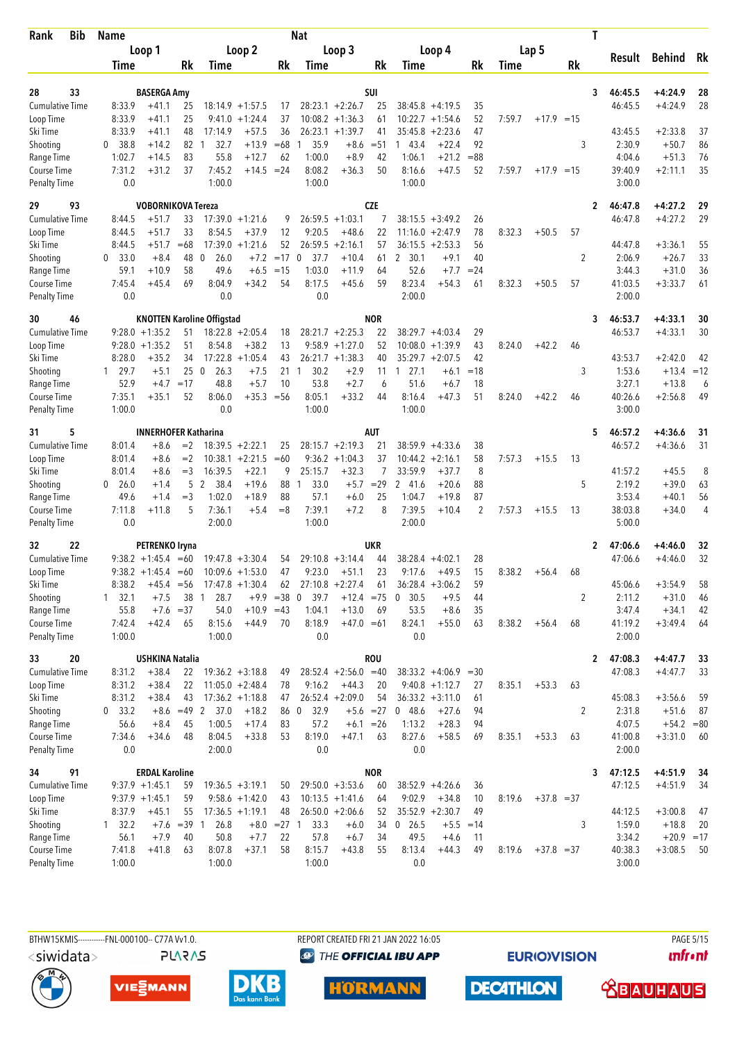| Bib<br>Rank                               | Name                   |                             |                   |                                   |                        |               | Nat                 |                                         |             |                        |                        |                |        |              |    | T |                   |                    |          |
|-------------------------------------------|------------------------|-----------------------------|-------------------|-----------------------------------|------------------------|---------------|---------------------|-----------------------------------------|-------------|------------------------|------------------------|----------------|--------|--------------|----|---|-------------------|--------------------|----------|
|                                           |                        | Loop 1                      |                   |                                   | Loop 2                 |               |                     | Loop 3                                  |             |                        | Loop 4                 |                |        | Lap 5        |    |   |                   |                    |          |
|                                           | Time                   |                             | Rk                | Time                              |                        | Rk            | Time                |                                         | Rk          | Time                   |                        | Rk             | Time   |              | Rk |   | Result            | <b>Behind</b>      | Rk       |
|                                           |                        |                             |                   |                                   |                        |               |                     |                                         |             |                        |                        |                |        |              |    |   |                   |                    |          |
| 33<br>28                                  |                        | <b>BASERGA Amy</b>          |                   |                                   |                        |               |                     |                                         | SUI         |                        |                        |                |        |              |    | 3 | 46:45.5           | $+4:24.9$          | 28       |
| <b>Cumulative Time</b>                    | 8:33.9                 | $+41.1$                     | 25                |                                   | $18:14.9 + 1:57.5$     | 17            |                     | $28:23.1 + 2:26.7$                      | 25          |                        | $38:45.8 + 4:19.5$     | 35             |        |              |    |   | 46:45.5           | $+4:24.9$          | 28       |
| Loop Time<br>Ski Time                     | 8:33.9<br>8:33.9       | $+41.1$<br>$+41.1$          | 25<br>48          | 9:41.0<br>17:14.9                 | $+1:24.4$<br>$+57.5$   | 37<br>36      |                     | $10:08.2 +1:36.3$<br>$26:23.1 + 1:39.7$ | 61<br>41    | 10:22.7<br>35:45.8     | $+1:54.6$<br>$+2:23.6$ | 52<br>47       | 7:59.7 | $+17.9 = 15$ |    |   | 43:45.5           | $+2:33.8$          | 37       |
| Shooting                                  | 38.8<br>$\mathbf{0}$   | $+14.2$                     | 82                | 32.7<br>-1                        | $+13.9$                | $=68$         | 35.9                | $+8.6$                                  | $= 51$      | 1 43.4                 | $+22.4$                | 92             |        |              | 3  |   | 2:30.9            | $+50.7$            | 86       |
| Range Time                                | 1:02.7                 | $+14.5$                     | 83                | 55.8                              | $+12.7$                | 62            | 1:00.0              | $+8.9$                                  | 42          | 1:06.1                 | $+21.2$                | $= 88$         |        |              |    |   | 4:04.6            | $+51.3$            | 76       |
| Course Time                               | 7:31.2                 | $+31.2$                     | 37                | 7:45.2                            | $+14.5 = 24$           |               | 8:08.2              | $+36.3$                                 | 50          | 8:16.6                 | $+47.5$                | 52             | 7:59.7 | $+17.9 = 15$ |    |   | 39:40.9           | $+2:11.1$          | 35       |
| <b>Penalty Time</b>                       | 0.0                    |                             |                   | 1:00.0                            |                        |               | 1:00.0              |                                         |             | 1:00.0                 |                        |                |        |              |    |   | 3:00.0            |                    |          |
| 29<br>93                                  |                        | <b>VOBORNIKOVA Tereza</b>   |                   |                                   |                        |               |                     |                                         | <b>CZE</b>  |                        |                        |                |        |              |    | 2 | 46:47.8           | $+4:27.2$          | 29       |
| <b>Cumulative Time</b>                    | 8:44.5                 | +51.7                       | 33                |                                   | $17:39.0 + 1:21.6$     | 9             |                     | $26:59.5 + 1:03.1$                      | 7           |                        | $38:15.5 + 3:49.2$     | 26             |        |              |    |   | 46:47.8           | $+4:27.2$          | 29       |
| Loop Time                                 | 8:44.5                 | $+51.7$                     | 33                | 8:54.5                            | $+37.9$                | 12            | 9:20.5              | $+48.6$                                 | 22          | 11:16.0                | $+2:47.9$              | 78             | 8:32.3 | $+50.5$      | 57 |   |                   |                    |          |
| Ski Time                                  | 8:44.5                 | $+51.7$                     | $=68$             | 17:39.0                           | $+1:21.6$              | 52            | 26:59.5             | $+2:16.1$                               | 57          | 36:15.5                | $+2:53.3$              | 56             |        |              |    |   | 44:47.8           | $+3:36.1$          | 55       |
| Shooting                                  | 33.0<br>0              | $+8.4$                      | 48                | $\mathbf 0$<br>26.0               | $+7.2$                 | $=17$         | 37.7<br>$\mathbf 0$ | $+10.4$                                 | 61          | $\overline{2}$<br>30.1 | $+9.1$                 | 40             |        |              | 2  |   | 2:06.9            | $+26.7$            | 33       |
| Range Time                                | 59.1                   | $+10.9$                     | 58                | 49.6                              | $+6.5$                 | $=15$         | 1:03.0              | $+11.9$                                 | 64          | 52.6                   | $+7.7$                 | $= 24$         |        |              |    |   | 3:44.3            | $+31.0$            | 36       |
| <b>Course Time</b>                        | 7:45.4                 | $+45.4$                     | 69                | 8:04.9                            | $+34.2$                | 54            | 8:17.5              | $+45.6$                                 | 59          | 8:23.4                 | $+54.3$                | 61             | 8:32.3 | $+50.5$      | 57 |   | 41:03.5           | $+3:33.7$          | 61       |
| <b>Penalty Time</b>                       | 0.0                    |                             |                   | 0.0                               |                        |               | 0.0                 |                                         |             | 2:00.0                 |                        |                |        |              |    |   | 2:00.0            |                    |          |
| 30<br>46                                  |                        |                             |                   | <b>KNOTTEN Karoline Offigstad</b> |                        |               |                     |                                         | <b>NOR</b>  |                        |                        |                |        |              |    | 3 | 46:53.7           | $+4:33.1$          | 30       |
| <b>Cumulative Time</b>                    |                        | $9:28.0 + 1:35.2$           | 51                |                                   | $18:22.8 + 2:05.4$     | 18            |                     | $28:21.7 + 2:25.3$                      | 22          |                        | $38:29.7 + 4:03.4$     | 29             |        |              |    |   | 46:53.7           | $+4:33.1$          | 30       |
| Loop Time                                 |                        | $9:28.0 + 1:35.2$           | 51                | 8:54.8                            | $+38.2$                | 13            |                     | $9:58.9 +1:27.0$                        | 52          | 10:08.0                | $+1:39.9$              | 43             | 8:24.0 | $+42.2$      | 46 |   |                   |                    |          |
| Ski Time                                  | 8:28.0                 | +35.2                       | 34                |                                   | $17:22.8 + 1:05.4$     | 43            |                     | $26:21.7 +1:38.3$                       | 40          |                        | $35:29.7 + 2:07.5$     | 42             |        |              |    |   | 43:53.7           | $+2:42.0$          | 42       |
| Shooting                                  | 129.7                  | $+5.1$                      | 25                | $\mathbf 0$<br>26.3               | $+7.5$                 | 21            | 30.2<br>1           | $+2.9$                                  | 11          | 27.1<br>1              | $+6.1$                 | $=18$          |        |              | 3  |   | 1:53.6            | $+13.4 = 12$       |          |
| Range Time                                | 52.9                   | $+4.7$                      | $=17$             | 48.8                              | $+5.7$                 | 10            | 53.8                | $+2.7$                                  | 6           | 51.6                   | $+6.7$                 | 18             |        |              |    |   | 3:27.1            | $+13.8$            | 6        |
| Course Time                               | 7:35.1                 | +35.1                       | 52                | 8:06.0                            | $+35.3 = 56$           |               | 8:05.1              | $+33.2$                                 | 44          | 8:16.4                 | $+47.3$                | 51             | 8:24.0 | $+42.2$      | 46 |   | 40:26.6           | $+2:56.8$          | 49       |
| <b>Penalty Time</b>                       | 1:00.0                 |                             |                   | 0.0                               |                        |               | 1:00.0              |                                         |             | 1:00.0                 |                        |                |        |              |    |   | 3:00.0            |                    |          |
| 5<br>31                                   |                        | <b>INNERHOFER Katharina</b> |                   |                                   |                        |               |                     |                                         | <b>AUT</b>  |                        |                        |                |        |              |    | 5 | 46:57.2           | $+4:36.6$          | 31       |
| <b>Cumulative Time</b>                    | 8:01.4                 | $+8.6$                      | $=2$              |                                   | $18:39.5 + 2:22.1$     | 25            |                     | $28:15.7 + 2:19.3$                      | 21          | 38:59.9                | $+4:33.6$              | 38             |        |              |    |   | 46:57.2           | $+4:36.6$          | 31       |
| Loop Time                                 | 8:01.4                 | $+8.6$                      | $=2$              | 10:38.1                           | $+2:21.5$              | $=60$         |                     | $9:36.2 +1:04.3$                        | 37          | 10:44.2                | $+2:16.1$              | 58             | 7:57.3 | $+15.5$      | 13 |   |                   |                    |          |
| Ski Time                                  | 8:01.4                 | $+8.6$                      | $=$ 3             | 16:39.5                           | $+22.1$                | 9             | 25:15.7             | $+32.3$                                 | 7           | 33:59.9                | $+37.7$                | 8              |        |              |    |   | 41:57.2           | $+45.5$            | 8        |
| Shooting                                  | 0<br>26.0              | $+1.4$                      | 5                 | $\overline{2}$<br>-38.4           | $+19.6$                | 88            | 33.0<br>1           | $+5.7$                                  | $= 29$      | 2 41.6                 | $+20.6$                | 88             |        |              | 5  |   | 2:19.2            | $+39.0$            | 63       |
| Range Time                                | 49.6                   | $+1.4$                      | $=$ 3             | 1:02.0                            | $+18.9$                | 88            | 57.1                | $+6.0$                                  | 25          | 1:04.7                 | $+19.8$                | 87             |        |              |    |   | 3:53.4            | $+40.1$            | 56       |
| <b>Course Time</b><br><b>Penalty Time</b> | 7:11.8<br>0.0          | $+11.8$                     | 5                 | 7:36.1<br>2:00.0                  | $+5.4$                 | $=8$          | 7:39.1<br>1:00.0    | $+7.2$                                  | 8           | 7:39.5<br>2:00.0       | $+10.4$                | $\overline{2}$ | 7:57.3 | $+15.5$      | 13 |   | 38:03.8<br>5:00.0 | $+34.0$            | 4        |
|                                           |                        |                             |                   |                                   |                        |               |                     |                                         |             |                        |                        |                |        |              |    |   |                   |                    |          |
| 22<br>32                                  |                        | PETRENKO Iryna              |                   |                                   |                        |               |                     |                                         | <b>UKR</b>  |                        |                        |                |        |              |    | 2 | 47:06.6           | $+4:46.0$          | 32       |
| <b>Cumulative Time</b>                    |                        | $9:38.2 +1:45.4 = 60$       |                   |                                   | $19:47.8 + 3:30.4$     | 54            |                     | $29:10.8 + 3:14.4$                      | 44          | 38:28.4                | $+4:02.1$              | 28             |        |              |    |   | 47:06.6           | $+4:46.0$          | 32       |
| Loop Time                                 |                        | $9:38.2 +1:45.4 = 60$       |                   |                                   | $10:09.6 + 1:53.0$     | 47            | 9:23.0              | $+51.1$                                 | 23          | 9:17.6                 | $+49.5$                | 15             | 8:38.2 | $+56.4$      | 68 |   |                   |                    |          |
| Ski Time                                  | 8:38.2                 | $+45.4 = 56$                |                   |                                   | $17:47.8 + 1:30.4$     | 62            | $27:10.8 + 2:27.4$  |                                         | 61          |                        | $36:28.4 + 3:06.2$     | 59             |        |              |    |   | 45:06.6           | $+3:54.9$          | 58       |
| Shooting                                  | $1 \quad 32.1$<br>55.8 | $+7.5$                      | 38<br>$+7.6 = 37$ | 28.7<br>1<br>54.0                 | $+9.9$<br>$+10.9 = 43$ | $= 38$        | $\mathbf 0$<br>39.7 | $+12.4 = 75$<br>$+13.0$                 |             | 30.5<br>0<br>53.5      | $+9.5$<br>$+8.6$       | 44             |        |              | 2  |   | 2:11.2<br>3:47.4  | $+31.0$<br>$+34.1$ | 46       |
| Range Time<br>Course Time                 | 7:42.4                 | $+42.4$                     | 65                | 8:15.6                            | $+44.9$                | 70            | 1:04.1<br>8:18.9    | $+47.0 = 61$                            | 69          | 8:24.1                 | $+55.0$                | 35<br>63       | 8:38.2 | $+56.4$      | 68 |   | 41:19.2           | $+3:49.4$          | 42<br>64 |
| <b>Penalty Time</b>                       | 1:00.0                 |                             |                   | 1:00.0                            |                        |               | 0.0                 |                                         |             | 0.0                    |                        |                |        |              |    |   | 2:00.0            |                    |          |
| 33<br>20                                  |                        | <b>USHKINA Natalia</b>      |                   |                                   |                        |               |                     |                                         | <b>ROU</b>  |                        |                        |                |        |              |    | 2 | 47:08.3           | $+4:47.7$          | 33       |
| <b>Cumulative Time</b>                    | 8:31.2                 | $+38.4$                     | 22                |                                   | $19:36.2 + 3:18.8$     | 49            |                     | $28:52.4 +2:56.0 = 40$                  |             |                        | $38:33.2 +4:06.9$      | $=30$          |        |              |    |   | 47:08.3           | $+4:47.7$          | 33       |
| Loop Time                                 | 8:31.2                 | $+38.4$                     | 22                |                                   | $11:05.0 +2:48.4$      | 78            | 9:16.2              | $+44.3$                                 | 20          |                        | $9:40.8 +1:12.7$       | 27             | 8:35.1 | $+53.3$      | 63 |   |                   |                    |          |
| Ski Time                                  | 8:31.2                 | $+38.4$                     | 43                |                                   | $17:36.2 +1:18.8$      | 47            |                     | $26:52.4 +2:09.0$                       | 54          |                        | $36:33.2 + 3:11.0$     | 61             |        |              |    |   | 45:08.3           | $+3:56.6$          | 59       |
| Shooting                                  | $0$ 33.2               |                             | $+8.6 = 49$ 2     | 37.0                              | $+18.2$                |               | 86 0<br>32.9        |                                         | $+5.6 = 27$ | 048.6                  | $+27.6$                | 94             |        |              | 2  |   | 2:31.8            | $+51.6$            | 87       |
| Range Time                                | 56.6                   | $+8.4$                      | 45                | 1:00.5                            | $+17.4$                | 83            | 57.2                |                                         | $+6.1 = 26$ | 1:13.2                 | $+28.3$                | 94             |        |              |    |   | 4:07.5            | $+54.2 = 80$       |          |
| Course Time                               | 7:34.6                 | $+34.6$                     | 48                | 8:04.5                            | $+33.8$                | 53            | 8:19.0              | $+47.1$                                 | 63          | 8:27.6                 | $+58.5$                | 69             | 8:35.1 | $+53.3$      | 63 |   | 41:00.8           | $+3:31.0$          | - 60     |
| <b>Penalty Time</b>                       | 0.0                    |                             |                   | 2:00.0                            |                        |               | 0.0                 |                                         |             | 0.0                    |                        |                |        |              |    |   | 2:00.0            |                    |          |
| 91<br>34                                  |                        | <b>ERDAL Karoline</b>       |                   |                                   |                        |               |                     |                                         | <b>NOR</b>  |                        |                        |                |        |              |    | 3 | 47:12.5           | $+4:51.9$          | 34       |
| <b>Cumulative Time</b>                    |                        | $9:37.9 +1:45.1$            | 59                |                                   | $19:36.5 + 3:19.1$     | 50            |                     | $29:50.0 + 3:53.6$                      | 60          |                        | $38:52.9 +4:26.6$      | 36             |        |              |    |   | 47:12.5           | $+4:51.9$          | 34       |
| Loop Time                                 |                        | $9:37.9 +1:45.1$            | 59                |                                   | $9:58.6 +1:42.0$       | 43            |                     | $10:13.5 +1:41.6$                       | 64          | 9:02.9                 | $+34.8$                | 10             | 8:19.6 | $+37.8 = 37$ |    |   |                   |                    |          |
| Ski Time                                  | 8:37.9                 | $+45.1$                     | 55                |                                   | $17:36.5 +1:19.1$      | 48            |                     | $26:50.0 + 2:06.6$                      | 52          |                        | $35:52.9 +2:30.7$      | 49             |        |              |    |   | 44:12.5           | $+3:00.8$          | 47       |
| Shooting                                  | $1 \quad 32.2$         |                             | $+7.6 = 39$ 1     | 26.8                              |                        | $+8.0 = 27$ 1 | 33.3                | $+6.0$                                  | 34          | $0$ 26.5               | $+5.5$                 | $=14$          |        |              | 3  |   | 1:59.0            | $+18.8$            | 20       |
| Range Time                                | 56.1                   | $+7.9$                      | 40                | 50.8                              | $+7.7$                 | 22            | 57.8                | $+6.7$                                  | 34          | 49.5                   | $+4.6$                 | 11             |        |              |    |   | 3:34.2            | $+20.9 = 17$       |          |
| Course Time                               | 7:41.8                 | $+41.8$                     | 63                | 8:07.8                            | $+37.1$                | 58            | 8:15.7              | $+43.8$                                 | 55          | 8:13.4                 | $+44.3$                | 49             | 8:19.6 | $+37.8 = 37$ |    |   | 40:38.3           | $+3:08.5$          | - 50     |
| <b>Penalty Time</b>                       | 1:00.0                 |                             |                   | 1:00.0                            |                        |               | 1:00.0              |                                         |             | 0.0                    |                        |                |        |              |    |   | 3:00.0            |                    |          |

REPORT CREATED FRI 21 JAN 2022 16:05 **<sup><sup>3</sup>** THE OFFICIAL IBU APP</sup>

**EURIOVISION** 

**PAGE 5/15** *<u><u>Infront</u>*</u>









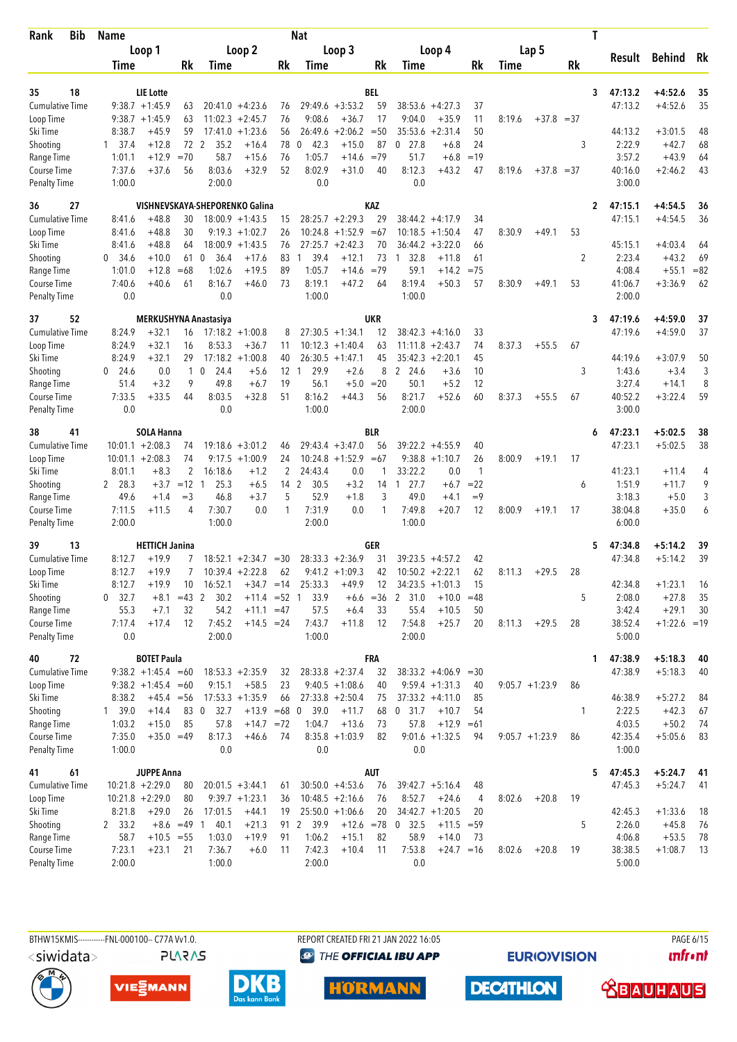| Bib<br>Rank                        | <b>Name</b>              |                       |          |                                |                                        |                   | Nat                  |                                          |             |                        |                                 |              |        |                  | T            |                    |                        |          |
|------------------------------------|--------------------------|-----------------------|----------|--------------------------------|----------------------------------------|-------------------|----------------------|------------------------------------------|-------------|------------------------|---------------------------------|--------------|--------|------------------|--------------|--------------------|------------------------|----------|
|                                    |                          | Loop 1                |          |                                | Loop 2                                 |                   |                      | Loop 3                                   |             |                        | Loop 4                          |              |        | Lap 5            |              |                    |                        |          |
|                                    | <b>Time</b>              |                       | Rk       | Time                           |                                        | Rk                | Time                 |                                          | Rk          | Time                   |                                 | Rk           | Time   |                  | Rk           | Result             | <b>Behind</b>          | Rk       |
|                                    |                          |                       |          |                                |                                        |                   |                      |                                          |             |                        |                                 |              |        |                  |              |                    |                        |          |
| 18<br>35                           |                          | LIE Lotte             |          |                                |                                        |                   |                      |                                          | <b>BEL</b>  |                        |                                 |              |        |                  | 3            | 47:13.2            | $+4:52.6$              | 35       |
| Cumulative Time                    |                          | $9:38.7 +1:45.9$      | 63       |                                | $20:41.0 + 4:23.6$                     | 76                |                      | $29:49.6 + 3:53.2$                       | 59          |                        | $38:53.6 + 4:27.3$              | 37           |        |                  |              | 47:13.2            | $+4:52.6$              | 35       |
| Loop Time                          |                          | $9:38.7 +1:45.9$      | 63       |                                | $11:02.3 +2:45.7$                      | 76                | 9:08.6               | $+36.7$                                  | 17          | 9:04.0                 | $+35.9$                         | 11           | 8:19.6 | $+37.8 = 37$     |              |                    |                        |          |
| Ski Time                           | 8:38.7                   | $+45.9$               | 59       | 17:41.0                        | $+1:23.6$                              | 56                | 26:49.6              | $+2:06.2$                                | $=50$       | 35:53.6<br>$0$ 27.8    | $+2:31.4$                       | 50           |        |                  |              | 44:13.2            | $+3:01.5$              | 48       |
| Shooting<br>Range Time             | $1 \quad 37.4$<br>1:01.1 | $+12.8$<br>$+12.9$    | $=70$    | 72 2<br>35.2<br>58.7           | $+16.4$<br>$+15.6$                     | 78<br>76          | 42.3<br>0<br>1:05.7  | $+15.0$<br>$+14.6$                       | 87<br>$=79$ | 51.7                   | $+6.8$<br>$+6.8$                | 24<br>$=19$  |        |                  | 3            | 2:22.9<br>3:57.2   | $+42.7$<br>$+43.9$     | 68<br>64 |
| Course Time                        | 7:37.6                   | $+37.6$               | 56       | 8:03.6                         | $+32.9$                                | 52                | 8:02.9               | $+31.0$                                  | 40          | 8:12.3                 | $+43.2$                         | 47           | 8:19.6 | $+37.8 = 37$     |              | 40:16.0            | $+2:46.2$              | 43       |
| <b>Penalty Time</b>                | 1:00.0                   |                       |          | 2:00.0                         |                                        |                   | 0.0                  |                                          |             | 0.0                    |                                 |              |        |                  |              | 3:00.0             |                        |          |
|                                    |                          |                       |          |                                |                                        |                   |                      |                                          |             |                        |                                 |              |        |                  |              |                    |                        |          |
| 36<br>27                           |                          | $+48.8$               |          | VISHNEVSKAYA-SHEPORENKO Galina |                                        |                   |                      |                                          | KAZ         |                        |                                 |              |        |                  | 2            | 47:15.1            | $+4:54.5$              | 36       |
| <b>Cumulative Time</b>             | 8:41.6<br>8:41.6         | $+48.8$               | 30<br>30 |                                | $18:00.9 + 1:43.5$<br>$9:19.3 +1:02.7$ | 15<br>26          |                      | $28:25.7 + 2:29.3$<br>$10:24.8 + 1:52.9$ | 29<br>$=67$ | 10:18.5                | $38:44.2 + 4:17.9$<br>$+1:50.4$ | 34<br>47     | 8:30.9 | $+49.1$          | 53           | 47:15.1            | $+4:54.5$              | 36       |
| Loop Time<br>Ski Time              | 8:41.6                   | $+48.8$               | 64       |                                | $18:00.9 + 1:43.5$                     | 76                |                      | $27:25.7 + 2:42.3$                       | 70          | 36:44.2                | $+3:22.0$                       | 66           |        |                  |              | 45:15.1            | $+4:03.4$              | 64       |
| Shooting                           | 34.6<br>0                | $+10.0$               | 61       | 36.4<br>0                      | $+17.6$                                | 83                | 39.4<br>1            | $+12.1$                                  | 73          | 32.8<br>$\overline{1}$ | $+11.8$                         | 61           |        |                  | 2            | 2:23.4             | $+43.2$                | 69       |
| Range Time                         | 1:01.0                   | $+12.8$               | $=68$    | 1:02.6                         | $+19.5$                                | 89                | 1:05.7               | $+14.6$                                  | $=79$       | 59.1                   | $+14.2$                         | $=75$        |        |                  |              | 4:08.4             | $+55.1$                | $= 82$   |
| Course Time                        | 7:40.6                   | $+40.6$               | 61       | 8:16.7                         | $+46.0$                                | 73                | 8:19.1               | $+47.2$                                  | 64          | 8:19.4                 | $+50.3$                         | 57           | 8:30.9 | $+49.1$          | 53           | 41:06.7            | $+3:36.9$              | 62       |
| Penalty Time                       | 0.0                      |                       |          | 0.0                            |                                        |                   | 1:00.0               |                                          |             | 1:00.0                 |                                 |              |        |                  |              | 2:00.0             |                        |          |
|                                    |                          |                       |          |                                |                                        |                   |                      |                                          |             |                        |                                 |              |        |                  |              |                    |                        |          |
| 52<br>37<br><b>Cumulative Time</b> | 8:24.9                   | $+32.1$               |          | MERKUSHYNA Anastasiya          |                                        |                   |                      | $27:30.5 +1:34.1$                        | <b>UKR</b>  |                        | $38:42.3 +4:16.0$               |              |        |                  | 3            | 47:19.6<br>47:19.6 | $+4:59.0$<br>$+4:59.0$ | 37<br>37 |
|                                    | 8:24.9                   | $+32.1$               | 16<br>16 | 8:53.3                         | $17:18.2 + 1:00.8$<br>$+36.7$          | 8<br>11           |                      | $10:12.3 +1:40.4$                        | 12<br>63    | 11:11.8                | $+2:43.7$                       | 33<br>74     | 8:37.3 | $+55.5$          | 67           |                    |                        |          |
| Loop Time<br>Ski Time              | 8:24.9                   | $+32.1$               | 29       |                                | $17:18.2 + 1:00.8$                     | 40                |                      | $26:30.5 +1:47.1$                        | 45          |                        | $35:42.3 + 2:20.1$              | 45           |        |                  |              | 44:19.6            | $+3:07.9$              | 50       |
| Shooting                           | $0$ 24.6                 | 0.0                   | 1        | $\mathbf 0$<br>24.4            | $+5.6$                                 | $12 \overline{ }$ | 29.9<br>$\mathbf{1}$ | $+2.6$                                   | 8           | 2 24.6                 | $+3.6$                          | 10           |        |                  | 3            | 1:43.6             | $+3.4$                 | 3        |
| Range Time                         | 51.4                     | $+3.2$                | 9        | 49.8                           | $+6.7$                                 | 19                | 56.1                 | $+5.0$                                   | $=20$       | 50.1                   | $+5.2$                          | 12           |        |                  |              | 3:27.4             | $+14.1$                | 8        |
| <b>Course Time</b>                 | 7:33.5                   | $+33.5$               | 44       | 8:03.5                         | $+32.8$                                | 51                | 8:16.2               | $+44.3$                                  | 56          | 8:21.7                 | $+52.6$                         | 60           | 8:37.3 | $+55.5$          | 67           | 40:52.2            | $+3:22.4$              | 59       |
| <b>Penalty Time</b>                | 0.0                      |                       |          | 0.0                            |                                        |                   | 1:00.0               |                                          |             | 2:00.0                 |                                 |              |        |                  |              | 3:00.0             |                        |          |
| 41<br>38                           |                          | <b>SOLA Hanna</b>     |          |                                |                                        |                   |                      |                                          | <b>BLR</b>  |                        |                                 |              |        |                  | 6            | 47:23.1            | $+5:02.5$              | 38       |
| <b>Cumulative Time</b>             |                          | $10:01.1 + 2:08.3$    | 74       |                                | $19:18.6 + 3:01.2$                     | 46                |                      | $29:43.4 + 3:47.0$                       | 56          |                        | $39:22.2 + 4:55.9$              | 40           |        |                  |              | 47:23.1            | $+5:02.5$              | 38       |
| Loop Time                          |                          | $10:01.1 + 2:08.3$    | 74       | 9:17.5                         | $+1:00.9$                              | 24                |                      | $10:24.8 + 1:52.9$                       | $=67$       |                        | $9:38.8 + 1:10.7$               | 26           | 8:00.9 | $+19.1$          | 17           |                    |                        |          |
| Ski Time                           | 8:01.1                   | $+8.3$                | 2        | 16:18.6                        | $+1.2$                                 | 2                 | 24:43.4              | 0.0                                      | 1           | 33:22.2                | 0.0                             | $\mathbf{1}$ |        |                  |              | 41:23.1            | $+11.4$                | 4        |
| Shooting                           | 2 28.3                   | $+3.7$                | $=12$ 1  | 25.3                           | $+6.5$                                 | 14 2              | 30.5                 | $+3.2$                                   | 14          | 27.7<br>$\mathbf{1}$   | $+6.7$                          | $= 22$       |        |                  | 6            | 1:51.9             | $+11.7$                | 9        |
| Range Time                         | 49.6                     | $+1.4$                | $=$ 3    | 46.8                           | $+3.7$                                 | 5                 | 52.9                 | $+1.8$                                   | 3           | 49.0                   | $+4.1$                          | $=9$         |        |                  |              | 3:18.3             | $+5.0$                 | 3        |
| Course Time                        | 7:11.5                   | $+11.5$               | 4        | 7:30.7                         | 0.0                                    | 1                 | 7:31.9               | 0.0                                      | 1           | 7:49.8                 | $+20.7$                         | 12           | 8:00.9 | $+19.1$          | 17           | 38:04.8            | $+35.0$                | 6        |
| <b>Penalty Time</b>                | 2:00.0                   |                       |          | 1:00.0                         |                                        |                   | 2:00.0               |                                          |             | 1:00.0                 |                                 |              |        |                  |              | 6:00.0             |                        |          |
| 13<br>39                           |                          | <b>HETTICH Janina</b> |          |                                |                                        |                   |                      |                                          | GER         |                        |                                 |              |        |                  | 5            | 47:34.8            | $+5:14.2$              | 39       |
| Cumulative Time                    | 8:12.7                   | $+19.9$               |          |                                | $18:52.1 + 2:34.7$                     | $=30$             |                      | $28:33.3 + 2:36.9$                       | 31          |                        | $39:23.5 + 4:57.2$              | 42           |        |                  |              | 47:34.8            | $+5:14.2$              | 39       |
| Loop Time                          | 8:12.7                   | $+19.9$               | 7        |                                | $10:39.4 +2:22.8$                      | 62                |                      | $9:41.2 +1:09.3$                         | 42          |                        | $10:50.2 + 2:22.1$              | 62           | 8:11.3 | $+29.5$          | 28           |                    |                        |          |
| Ski Time                           | 8:12.7                   | $+19.9$               | 10       | 16:52.1                        | $+34.7 = 14$                           |                   | 25:33.3              | $+49.9$                                  | 12          |                        | $34:23.5 +1:01.3$               | 15           |        |                  |              | 42:34.8            | $+1:23.1$              | 16       |
| Shooting                           | 32.7<br>0                | $+8.1$                | $=43$ 2  | 30.2                           | $+11.4 = 52$                           |                   | 33.9<br>-1           | $+6.6$                                   | $= 36$      | 31.0<br>2              | $+10.0$                         | $=48$        |        |                  | 5            | 2:08.0             | $+27.8$                | 35       |
| Range Time                         | 55.3                     | $+7.1$                | 32       | 54.2                           | $+11.1 = 47$                           |                   | 57.5                 | $+6.4$                                   | 33          | 55.4                   | $+10.5$                         | 50           |        |                  |              | 3:42.4             | $+29.1$                | 30       |
| Course Time                        | 7:17.4                   | $+17.4$               | 12       | 7:45.2                         | $+14.5 = 24$                           |                   | 7:43.7               | $+11.8$                                  | 12          | 7:54.8                 | $+25.7$                         | 20           | 8:11.3 | $+29.5$          | 28           | 38:52.4            | $+1:22.6 = 19$         |          |
| Penalty Time                       | 0.0                      |                       |          | 2:00.0                         |                                        |                   | 1:00.0               |                                          |             | 2:00.0                 |                                 |              |        |                  |              | 5:00.0             |                        |          |
| 72<br>40                           |                          | <b>BOTET Paula</b>    |          |                                |                                        |                   |                      |                                          | <b>FRA</b>  |                        |                                 |              |        |                  |              | 47:38.9<br>1       | $+5:18.3$              | 40       |
| <b>Cumulative Time</b>             |                          | $9:38.2 +1:45.4 = 60$ |          |                                | $18:53.3 + 2:35.9$                     | 32                |                      | $28:33.8 + 2:37.4$                       | 32          |                        | $38:33.2 +4:06.9$               | $=30$        |        |                  |              | 47:38.9            | $+5:18.3$              | 40       |
| Loop Time                          |                          | $9:38.2 +1:45.4 = 60$ |          | 9:15.1                         | $+58.5$                                | 23                |                      | $9:40.5 +1:08.6$                         | 40          |                        | $9:59.4 + 1:31.3$               | 40           |        | $9:05.7 +1:23.9$ | 86           |                    |                        |          |
| Ski Time                           | 8:38.2                   | $+45.4 = 56$          |          |                                | $17:53.3 +1:35.9$                      | 66                |                      | $27:33.8 + 2:50.4$                       | 75          |                        | $37:33.2 +4:11.0$               | 85           |        |                  |              | 46:38.9            | $+5:27.2$              | 84       |
| Shooting                           | 1, 39.0                  | $+14.4$               | 83 0     | 32.7                           | $+13.9 = 68$ 0                         |                   | 39.0                 | $+11.7$                                  | 68          | $0$ 31.7               | $+10.7$                         | 54           |        |                  | $\mathbf{1}$ | 2:22.5             | $+42.3$                | 67       |
| Range Time                         | 1:03.2                   | $+15.0$               | 85       | 57.8                           | $+14.7 = 72$                           |                   | 1:04.7               | $+13.6$                                  | 73          | 57.8                   | $+12.9$                         | $=61$        |        |                  |              | 4:03.5             | $+50.2$                | 74       |
| Course Time                        | 7:35.0                   | $+35.0 = 49$          |          | 8:17.3                         | $+46.6$                                | 74                |                      | $8:35.8 +1:03.9$                         | 82          |                        | $9:01.6 +1:32.5$                | 94           |        | $9:05.7 +1:23.9$ | 86           | 42:35.4            | $+5:05.6$              | 83       |
| Penalty Time                       | 1:00.0                   |                       |          | 0.0                            |                                        |                   | 0.0                  |                                          |             | 0.0                    |                                 |              |        |                  |              | 1:00.0             |                        |          |
| 41<br>61                           |                          | <b>JUPPE Anna</b>     |          |                                |                                        |                   |                      |                                          | AUT         |                        |                                 |              |        |                  |              | 47:45.3<br>5.      | $+5:24.7$              | 41       |
| Cumulative Time                    |                          | $10:21.8 + 2:29.0$    | 80       |                                | $20:01.5 + 3:44.1$                     | 61                |                      | $30:50.0 +4:53.6$                        | 76          |                        | $39:42.7 + 5:16.4$              | 48           |        |                  |              | 47:45.3            | $+5:24.7$              | 41       |
| Loop Time                          |                          | $10:21.8 + 2:29.0$    | 80       |                                | $9:39.7 +1:23.1$                       | 36                |                      | $10:48.5 +2:16.6$                        | 76          | 8:52.7                 | $+24.6$                         | 4            | 8:02.6 | $+20.8$          | 19           |                    |                        |          |
| Ski Time                           | 8:21.8                   | $+29.0$               | 26       | 17:01.5                        | $+44.1$                                | 19                |                      | $25:50.0 +1:06.6$                        | 20          |                        | $34:42.7 +1:20.5$               | 20           |        |                  |              | 42:45.3            | $+1:33.6$              | 18       |
| Shooting                           | 2 33.2                   | $+8.6 = 49$ 1         |          | 40.1                           | $+21.3$                                | 91                | 2 39.9               |                                          |             | $+12.6$ =78 0 32.5     | $+11.5 = 59$                    |              |        |                  | 5            | 2:26.0             | $+45.8$                | 76       |
| Range Time                         | 58.7                     | $+10.5 = 55$          |          | 1:03.0                         | $+19.9$                                | 91                | 1:06.2               | $+15.1$                                  | 82          | 58.9                   | $+14.0$                         | 73           |        |                  |              | 4:06.8             | $+53.5$                | 78       |
| Course Time                        | 7:23.1                   | $+23.1$               | 21       | 7:36.7                         | $+6.0$                                 | 11                | 7:42.3               | $+10.4$                                  | 11          | 7:53.8                 | $+24.7 = 16$                    |              | 8:02.6 | $+20.8$          | 19           | 38:38.5            | $+1:08.7$              | -13      |
| Penalty Time                       | 2:00.0                   |                       |          | 1:00.0                         |                                        |                   | 2:00.0               |                                          |             | 0.0                    |                                 |              |        |                  |              | 5:00.0             |                        |          |







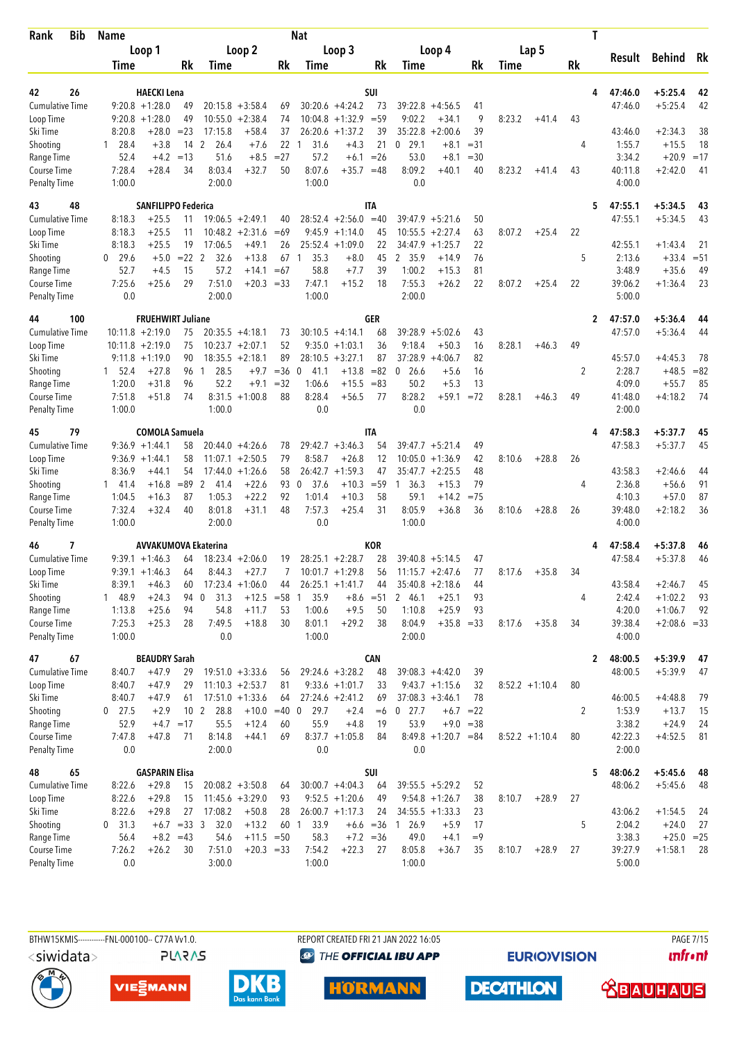| Bib<br>Rank                        | <b>Name</b>      |                             |                 |                 |                    |          | Nat                    |                              |             |                      |                       |         |        |                  | T            |                   |                |        |
|------------------------------------|------------------|-----------------------------|-----------------|-----------------|--------------------|----------|------------------------|------------------------------|-------------|----------------------|-----------------------|---------|--------|------------------|--------------|-------------------|----------------|--------|
|                                    |                  | Loop 1                      |                 |                 | Loop 2             |          |                        | Loop 3                       |             |                      | Loop 4                |         |        | Lap 5            |              |                   |                |        |
|                                    | Time             |                             | Rk              | Time            |                    | Rk       | Time                   |                              | Rk          | Time                 |                       | Rk      | Time   |                  | Rk           | Result            | Behind         | Rk     |
|                                    |                  |                             |                 |                 |                    |          |                        |                              |             |                      |                       |         |        |                  |              |                   |                |        |
| 26<br>42                           |                  | <b>HAECKI Lena</b>          |                 |                 |                    |          |                        |                              | <b>SUI</b>  |                      |                       |         |        |                  | 4            | 47:46.0           | $+5:25.4$      | 42     |
| <b>Cumulative Time</b>             |                  | $9:20.8 + 1:28.0$           | 49              |                 | $20:15.8 + 3:58.4$ | 69       |                        | $30:20.6 +4:24.2$            | 73          |                      | $39:22.8 + 4:56.5$    | 41      |        |                  |              | 47:46.0           | $+5:25.4$      | 42     |
| Loop Time                          |                  | $9:20.8 + 1:28.0$           | 49<br>$= 23$    | 10:55.0         | $+2:38.4$          | 74<br>37 | 10:04.8                | $+1:32.9$ = 59               | 39          | 9:02.2<br>35:22.8    | $+34.1$<br>$+2:00.6$  | 9<br>39 | 8:23.2 | $+41.4$          | 43           |                   | $+2:34.3$      | 38     |
| Ski Time<br>Shooting               | 8:20.8<br>1 28.4 | +28.0<br>$+3.8$             | 14 <sub>2</sub> | 17:15.8<br>26.4 | $+58.4$<br>$+7.6$  | 22       | 31.6<br>-1             | $26:20.6 + 1:37.2$<br>$+4.3$ | 21          | $0$ 29.1             | $+8.1$                | $= 31$  |        |                  | 4            | 43:46.0<br>1:55.7 | $+15.5$        | 18     |
| Range Time                         | 52.4             | $+4.2$                      | $=13$           | 51.6            | $+8.5$             | $= 27$   | 57.2                   |                              | $+6.1 = 26$ | 53.0                 | $+8.1$                | $=30$   |        |                  |              | 3:34.2            | $+20.9$        | $=17$  |
| Course Time                        | 7:28.4           | $+28.4$                     | 34              | 8:03.4          | $+32.7$            | 50       | 8:07.6                 | $+35.7$                      | $=48$       | 8:09.2               | $+40.1$               | 40      | 8:23.2 | $+41.4$          | 43           | 40:11.8           | $+2:42.0$      | 41     |
| <b>Penalty Time</b>                | 1:00.0           |                             |                 | 2:00.0          |                    |          | 1:00.0                 |                              |             | 0.0                  |                       |         |        |                  |              | 4:00.0            |                |        |
| 43<br>48                           |                  | <b>SANFILIPPO Federica</b>  |                 |                 |                    |          |                        |                              | ITA         |                      |                       |         |        |                  | 5            | 47:55.1           | $+5:34.5$      | 43     |
| <b>Cumulative Time</b>             | 8:18.3           | $+25.5$                     | 11              |                 | $19:06.5 + 2:49.1$ | 40       |                        | $28:52.4 +2:56.0$            | $=40$       |                      | $39:47.9 + 5:21.6$    | 50      |        |                  |              | 47:55.1           | $+5:34.5$      | 43     |
| Loop Time                          | 8:18.3           | $+25.5$                     | 11              |                 | $10:48.2 + 2:31.6$ | $=69$    |                        | $9:45.9 +1:14.0$             | 45          | 10:55.5              | $+2:27.4$             | 63      | 8:07.2 | $+25.4$          | 22           |                   |                |        |
| Ski Time                           | 8:18.3           | $+25.5$                     | 19              | 17:06.5         | $+49.1$            | 26       | 25:52.4                | $+1:09.0$                    | 22          | 34:47.9              | $+1:25.7$             | 22      |        |                  |              | 42:55.1           | $+1:43.4$      | 21     |
| Shooting                           | 29.6<br>0        | $+5.0$                      | $= 22$ 2        | 32.6            | $+13.8$            | 67       | 35.3<br>$\overline{1}$ | $+8.0$                       | 45          | 2 35.9               | $+14.9$               | 76      |        |                  | 5            | 2:13.6            | $+33.4$        | $= 51$ |
| Range Time                         | 52.7             | $+4.5$                      | 15              | 57.2            | $+14.1$            | $=67$    | 58.8                   | $+7.7$                       | 39          | 1:00.2               | $+15.3$               | 81      |        |                  |              | 3:48.9            | $+35.6$        | 49     |
| <b>Course Time</b>                 | 7:25.6           | +25.6                       | 29              | 7:51.0          | $+20.3 = 33$       |          | 7:47.1                 | $+15.2$                      | 18          | 7:55.3               | $+26.2$               | 22      | 8:07.2 | $+25.4$          | 22           | 39:06.2           | $+1:36.4$      | 23     |
| <b>Penalty Time</b>                | 0.0              |                             |                 | 2:00.0          |                    |          | 1:00.0                 |                              |             | 2:00.0               |                       |         |        |                  |              | 5:00.0            |                |        |
| 100<br>44                          |                  | <b>FRUEHWIRT Juliane</b>    |                 |                 |                    |          |                        |                              | <b>GER</b>  |                      |                       |         |        |                  | $\mathbf{2}$ | 47:57.0           | $+5:36.4$      | 44     |
| <b>Cumulative Time</b>             |                  | $10:11.8 + 2:19.0$          | 75              |                 | $20:35.5 + 4:18.1$ | 73       |                        | $30:10.5 +4:14.1$            | 68          |                      | $39:28.9 + 5:02.6$    | 43      |        |                  |              | 47:57.0           | $+5:36.4$      | 44     |
| Loop Time                          |                  | $10:11.8 + 2:19.0$          | 75              |                 | $10:23.7 + 2:07.1$ | 52       |                        | $9:35.0 +1:03.1$             | 36          | 9:18.4               | $+50.3$               | 16      | 8:28.1 | $+46.3$          | 49           |                   |                |        |
| Ski Time                           |                  | $9:11.8 + 1:19.0$           | 90              |                 | $18:35.5 + 2:18.1$ | 89       |                        | $28:10.5 + 3:27.1$           | 87          | 37:28.9              | $+4:06.7$             | 82      |        |                  |              | 45:57.0           | $+4:45.3$      | 78     |
| Shooting                           | 1, 52.4          | $+27.8$                     | 96              | 28.5<br>1       | $+9.7$             | $=36$    | $\mathbf 0$<br>41.1    | $+13.8$                      | $= 82$      | $\mathbf 0$<br>26.6  | $+5.6$                | 16      |        |                  | 2            | 2:28.7            | $+48.5$        | $= 82$ |
| Range Time                         | 1:20.0           | $+31.8$                     | 96              | 52.2            | $+9.1$             | $=32$    | 1:06.6                 | $+15.5$                      | $= 83$      | 50.2                 | $+5.3$                | 13      |        |                  |              | 4:09.0            | $+55.7$        | 85     |
| Course Time                        | 7:51.8           | $+51.8$                     | 74              |                 | $8:31.5 +1:00.8$   | 88       | 8:28.4                 | $+56.5$                      | 77          | 8:28.2               | +59.1                 | $=72$   | 8:28.1 | $+46.3$          | 49           | 41:48.0           | $+4:18.2$      | 74     |
| <b>Penalty Time</b>                | 1:00.0           |                             |                 | 1:00.0          |                    |          | 0.0                    |                              |             | 0.0                  |                       |         |        |                  |              | 2:00.0            |                |        |
| 79<br>45                           |                  | <b>COMOLA Samuela</b>       |                 |                 |                    |          |                        |                              | ITA         |                      |                       |         |        |                  | 4            | 47:58.3           | $+5:37.7$      | 45     |
| <b>Cumulative Time</b>             |                  | $9:36.9 +1:44.1$            | 58              |                 | $20:44.0 + 4:26.6$ | 78       |                        | $29:42.7 + 3:46.3$           | 54          | 39:47.7              | $+5:21.4$             | 49      |        |                  |              | 47:58.3           | $+5:37.7$      | 45     |
| Loop Time                          |                  | $9:36.9 +1:44.1$            | 58              |                 | $11:07.1 + 2:50.5$ | 79       | 8:58.7                 | $+26.8$                      | 12          | 10:05.0              | $+1:36.9$             | 42      | 8:10.6 | $+28.8$          | 26           |                   |                |        |
| Ski Time                           | 8:36.9           | $+44.1$                     | 54              |                 | $17:44.0 + 1:26.6$ | 58       | 26:42.7                | $+1:59.3$                    | 47          | 35:47.7              | $+2:25.5$             | 48      |        |                  |              | 43:58.3           | $+2:46.6$      | 44     |
| Shooting                           | 141.4            | $+16.8$                     | $= 89$          | 2<br>41.4       | $+22.6$            | 93       | 37.6<br>0              | $+10.3$                      | $= 59$      | 36.3<br>$\mathbf{1}$ | $+15.3$               | 79      |        |                  | 4            | 2:36.8            | $+56.6$        | 91     |
| Range Time                         | 1:04.5           | $+16.3$                     | 87              | 1:05.3          | $+22.2$            | 92       | 1:01.4                 | $+10.3$                      | 58          | 59.1                 | $+14.2$               | $=75$   |        |                  |              | 4:10.3            | $+57.0$        | 87     |
| Course Time                        | 7:32.4           | $+32.4$                     | 40              | 8:01.8          | $+31.1$            | 48       | 7:57.3                 | $+25.4$                      | 31          | 8:05.9               | $+36.8$               | 36      | 8:10.6 | $+28.8$          | 26           | 39:48.0           | $+2:18.2$      | 36     |
| <b>Penalty Time</b>                | 1:00.0           |                             |                 | 2:00.0          |                    |          | 0.0                    |                              |             | 1:00.0               |                       |         |        |                  |              | 4:00.0            |                |        |
| 7<br>46                            |                  | <b>AVVAKUMOVA Ekaterina</b> |                 |                 |                    |          |                        |                              | KOR         |                      |                       |         |        |                  |              | 47:58.4           | $+5:37.8$      | 46     |
| <b>Cumulative Time</b>             |                  | $9:39.1 + 1:46.3$           | 64              |                 | $18:23.4 + 2:06.0$ | 19       |                        | $28:25.1 + 2:28.7$           | 28          |                      | $39:40.8 + 5:14.5$    | 47      |        |                  |              | 47:58.4           | $+5:37.8$      | 46     |
| Loop Time                          |                  | $9:39.1 + 1:46.3$           | 64              | 8:44.3          | $+27.7$            | 7        |                        | $10:01.7 +1:29.8$            | 56          |                      | $11:15.7 + 2:47.6$    | 77      | 8:17.6 | $+35.8$          | 34           |                   |                |        |
| Ski Time                           | 8:39.1           | $+46.3$                     | 60              |                 | $17:23.4 +1:06.0$  | 44       |                        | $26:25.1 + 1:41.7$           | 44          |                      | $35:40.8 + 2:18.6$    | 44      |        |                  |              | 43:58.4           | $+2:46.7$      | 45     |
| Shooting                           | 1 48.9           | $+24.3$                     | 94 0            | 31.3            | $+12.5 = 58$       |          | 35.9<br>1              |                              | $+8.6 = 51$ | 2 46.1               | $+25.1$               | 93      |        |                  | 4            | 2:42.4            | $+1:02.2$      | 93     |
| Range Time                         | 1:13.8           | $+25.6$                     | 94              | 54.8            | $+11.7$            | 53       | 1:00.6                 | $+9.5$                       | 50          | 1:10.8               | $+25.9$               | 93      |        |                  |              | 4:20.0            | $+1:06.7$      | 92     |
| Course Time<br><b>Penalty Time</b> | 7:25.3<br>1:00.0 | $+25.3$                     | 28              | 7:49.5<br>0.0   | $+18.8$            | 30       | 8:01.1<br>1:00.0       | $+29.2$                      | 38          | 8:04.9<br>2:00.0     | $+35.8 = 33$          |         | 8:17.6 | $+35.8$          | 34           | 39:38.4<br>4:00.0 | $+2:08.6 = 33$ |        |
| 67<br>47                           |                  | <b>BEAUDRY Sarah</b>        |                 |                 |                    |          |                        |                              | <b>CAN</b>  |                      |                       |         |        |                  | 2            | 48:00.5           | $+5:39.9$      | 47     |
| <b>Cumulative Time</b>             | 8:40.7           | $+47.9$                     | 29              |                 | $19:51.0 + 3:33.6$ | 56       |                        | $29:24.6 + 3:28.2$           | 48          |                      | $39:08.3 +4:42.0$     | 39      |        |                  |              | 48:00.5           | $+5:39.9$      | 47     |
| Loop Time                          | 8:40.7           | $+47.9$                     | 29              |                 | $11:10.3 + 2:53.7$ | 81       |                        | $9:33.6 +1:01.7$             | 33          |                      | $9:43.7 +1:15.6$      | 32      |        | $8:52.2 +1:10.4$ | 80           |                   |                |        |
| Ski Time                           | 8:40.7           | $+47.9$                     | 61              |                 | $17:51.0 +1:33.6$  | 64       |                        | $27:24.6 +2:41.2$            | 69          |                      | $37:08.3 + 3:46.1$    | 78      |        |                  |              | 46:00.5           | $+4:48.8$      | 79     |
| Shooting                           | $0$ 27.5         | $+2.9$                      | 10 <sub>2</sub> | 28.8            | $+10.0 = 40$ 0     |          | 29.7                   | $+2.4$                       | $=6$        | $0$ 27.7             | $+6.7 = 22$           |         |        |                  | 2            | 1:53.9            | $+13.7$        | 15     |
| Range Time                         | 52.9             |                             | $+4.7 = 17$     | 55.5            | $+12.4$            | 60       | 55.9                   | $+4.8$                       | 19          | 53.9                 | $+9.0 = 38$           |         |        |                  |              | 3:38.2            | $+24.9$        | 24     |
| Course Time                        | 7:47.8           | $+47.8$                     | 71              | 8:14.8          | $+44.1$            | 69       |                        | $8:37.7 +1:05.8$             | 84          |                      | $8:49.8 +1:20.7 = 84$ |         |        | $8:52.2 +1:10.4$ | 80           | 42:22.3           | $+4:52.5$      | 81     |
| <b>Penalty Time</b>                | 0.0              |                             |                 | 2:00.0          |                    |          | 0.0                    |                              |             | 0.0                  |                       |         |        |                  |              | 2:00.0            |                |        |
| 48<br>65                           |                  | <b>GASPARIN Elisa</b>       |                 |                 |                    |          |                        |                              | SUI         |                      |                       |         |        |                  | 5            | 48:06.2           | $+5:45.6$      | 48     |
| <b>Cumulative Time</b>             | 8:22.6           | $+29.8$                     | 15              |                 | $20:08.2 + 3:50.8$ | 64       |                        | $30:00.7 +4:04.3$            | 64          |                      | $39:55.5 + 5:29.2$    | 52      |        |                  |              | 48:06.2           | $+5:45.6$      | 48     |
| Loop Time                          | 8:22.6           | $+29.8$                     | 15              |                 | $11:45.6 + 3:29.0$ | 93       |                        | $9:52.5 +1:20.6$             | 49          |                      | $9:54.8 + 1:26.7$     | 38      | 8:10.7 | $+28.9$          | 27           |                   |                |        |
| Ski Time                           | 8:22.6           | $+29.8$                     | 27              | 17:08.2         | $+50.8$            | 28       |                        | $26:00.7 +1:17.3$            | 24          |                      | $34:55.5 + 1:33.3$    | 23      |        |                  |              | 43:06.2           | $+1:54.5$      | 24     |
| Shooting                           | $0$ 31.3         |                             | $+6.7 = 33.3$   | 32.0            | $+13.2$            | 60 1     | 33.9                   |                              | $+6.6 = 36$ | 126.9                | $+5.9$                | 17      |        |                  | 5            | 2:04.2            | $+24.0$        | 27     |
| Range Time                         | 56.4             |                             | $+8.2 = 43$     | 54.6            | $+11.5 = 50$       |          | 58.3                   | $+7.2 = 36$                  |             | 49.0                 | $+4.1$                | $=9$    |        |                  |              | 3:38.3            | $+25.0 = 25$   |        |
| Course Time                        | 7:26.2           | $+26.2$                     | 30              | 7:51.0          | $+20.3 = 33$       |          | 7:54.2                 | $+22.3$                      | 27          | 8:05.8               | $+36.7$               | 35      | 8:10.7 | $+28.9$          | 27           | 39:27.9           | $+1:58.1$      | -28    |
| <b>Penalty Time</b>                | 0.0              |                             |                 | 3:00.0          |                    |          | 1:00.0                 |                              |             | 1:00.0               |                       |         |        |                  |              | 5:00.0            |                |        |

BTHW15KMIS------------FNL-000100-- C77A Vv1.0. **PAGE 7/15** REPORT CREATED FRI 21 JAN 2022 16:05 <siwidata> **<sup><sup>3</sup>** THE OFFICIAL IBU APP</sup> *<u><u>Infront</u>*</u> **PLARAS EURIOVISION DECATHLON <u>CBAUHAUS</u> HORMANN** 





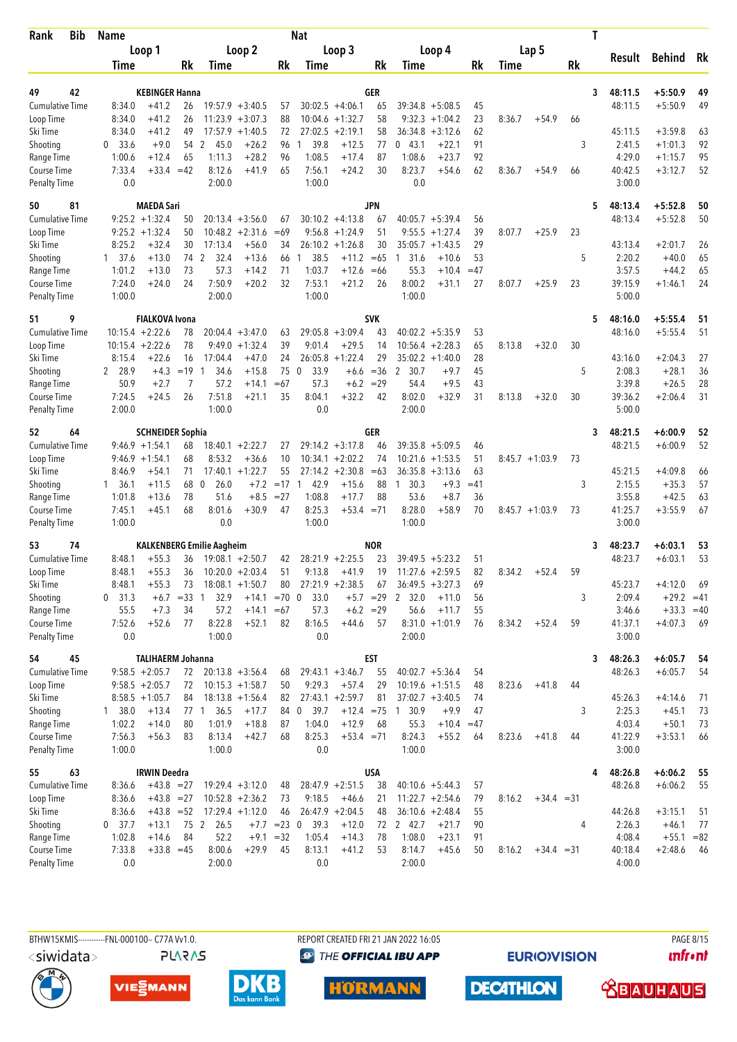| <b>Bib</b><br>Rank          | <b>Name</b>      |                                       |               |                                  |                                          |              | Nat                  |                                         |             |                                          |             |             |                  |    | T                 |               |      |
|-----------------------------|------------------|---------------------------------------|---------------|----------------------------------|------------------------------------------|--------------|----------------------|-----------------------------------------|-------------|------------------------------------------|-------------|-------------|------------------|----|-------------------|---------------|------|
|                             |                  | Loop 1                                |               |                                  | Loop 2                                   |              |                      | Loop 3                                  |             | Loop 4                                   |             |             | Lap 5            |    |                   |               |      |
|                             | Time             |                                       | Rk            | Time                             |                                          | Rk           | <b>Time</b>          |                                         | Rk          | Time                                     | Rk          | <b>Time</b> |                  | Rk | Result            | <b>Behind</b> | Rk   |
|                             |                  |                                       |               |                                  |                                          |              |                      |                                         |             |                                          |             |             |                  |    |                   |               |      |
| 49<br>42                    |                  | <b>KEBINGER Hanna</b>                 |               |                                  |                                          |              |                      |                                         | GER         |                                          |             |             |                  |    | 48:11.5<br>3      | $+5:50.9$     | 49   |
| <b>Cumulative Time</b>      | 8:34.0<br>8:34.0 | $+41.2$<br>$+41.2$                    | 26            |                                  | $19:57.9 + 3:40.5$<br>$11:23.9 + 3:07.3$ | 57<br>88     |                      | $30:02.5 +4:06.1$<br>$10:04.6 + 1:32.7$ | 65<br>58    | $39:34.8 + 5:08.5$<br>9:32.3             | 45<br>23    | 8:36.7      | $+54.9$          |    | 48:11.5           | $+5:50.9$     | 49   |
| Loop Time<br>Ski Time       | 8:34.0           | $+41.2$                               | 26<br>49      |                                  | $17:57.9 + 1:40.5$                       | 72           |                      | $27:02.5 +2:19.1$                       | 58          | $+1:04.2$<br>36:34.8<br>$+3:12.6$        | 62          |             |                  | 66 | 45:11.5           | $+3:59.8$     | 63   |
| Shooting                    | 33.6<br>0        | $+9.0$                                | 54 2          | 45.0                             | $+26.2$                                  | 96           | 39.8<br>1            | $+12.5$                                 | 77          | 0, 43.1<br>$+22.1$                       | 91          |             |                  | 3  | 2:41.5            | $+1:01.3$     | 92   |
| Range Time                  | 1:00.6           | $+12.4$                               | 65            | 1:11.3                           | $+28.2$                                  | 96           | 1:08.5               | $+17.4$                                 | 87          | 1:08.6<br>$+23.7$                        | 92          |             |                  |    | 4:29.0            | $+1:15.7$     | 95   |
| Course Time                 | 7:33.4           | $+33.4 = 42$                          |               | 8:12.6                           | $+41.9$                                  | 65           | 7:56.1               | $+24.2$                                 | 30          | 8:23.7<br>$+54.6$                        | 62          | 8:36.7      | $+54.9$          | 66 | 40:42.5           | $+3:12.7$     | 52   |
| <b>Penalty Time</b>         | 0.0              |                                       |               | 2:00.0                           |                                          |              | 1:00.0               |                                         |             | 0.0                                      |             |             |                  |    | 3:00.0            |               |      |
| 50<br>81                    |                  | <b>MAEDA Sari</b>                     |               |                                  |                                          |              |                      |                                         | JPN         |                                          |             |             |                  |    | 48:13.4<br>5      | $+5:52.8$     | 50   |
| <b>Cumulative Time</b>      |                  | $9:25.2 + 1:32.4$                     | 50            |                                  | $20:13.4 + 3:56.0$                       | 67           |                      | $30:10.2 +4:13.8$                       | 67          | 40:05.7<br>$+5:39.4$                     | 56          |             |                  |    | 48:13.4           | $+5:52.8$     | 50   |
| Loop Time                   |                  | $9:25.2 +1:32.4$                      | 50            |                                  | $10:48.2 + 2:31.6$                       | $=69$        |                      | $9:56.8 +1:24.9$                        | 51          | $+1:27.4$<br>9:55.5                      | 39          | 8:07.7      | $+25.9$          | 23 |                   |               |      |
| Ski Time                    | 8:25.2           | $+32.4$                               | 30            | 17:13.4                          | $+56.0$                                  | 34           |                      | $26:10.2 +1:26.8$                       | 30          | 35:05.7<br>$+1:43.5$                     | 29          |             |                  |    | 43:13.4           | $+2:01.7$     | 26   |
| Shooting                    | $1 \quad 37.6$   | $+13.0$                               | 74            | 2<br>32.4                        | $+13.6$                                  | 66           | 38.5<br>1            | $+11.2$                                 | $=65$       | $+10.6$<br>$\overline{1}$<br>31.6        | 53          |             |                  | 5  | 2:20.2            | $+40.0$       | 65   |
| Range Time                  | 1:01.2           | $+13.0$                               | 73            | 57.3                             | $+14.2$                                  | 71           | 1:03.7               | $+12.6$                                 | $=66$       | 55.3<br>$+10.4$                          | $=47$       |             |                  |    | 3:57.5            | $+44.2$       | 65   |
| Course Time                 | 7:24.0           | $+24.0$                               | 24            | 7:50.9                           | $+20.2$                                  | 32           | 7:53.1               | $+21.2$                                 | 26          | 8:00.2<br>$+31.1$                        | 27          | 8:07.7      | $+25.9$          | 23 | 39:15.9           | $+1:46.1$     | 24   |
| Penalty Time                | 1:00.0           |                                       |               | 2:00.0                           |                                          |              | 1:00.0               |                                         |             | 1:00.0                                   |             |             |                  |    | 5:00.0            |               |      |
| 51<br>9                     |                  | <b>FIALKOVA Ivona</b>                 |               |                                  |                                          |              |                      |                                         | <b>SVK</b>  |                                          |             |             |                  |    | 48:16.0<br>5      | $+5:55.4$     | 51   |
| <b>Cumulative Time</b>      |                  | $10:15.4 + 2:22.6$                    | 78            |                                  | $20:04.4 + 3:47.0$                       | 63           |                      | $29:05.8 + 3:09.4$                      | 43          | $40:02.2 + 5:35.9$                       | 53          |             |                  |    | 48:16.0           | $+5:55.4$     | 51   |
| Loop Time                   |                  | $10:15.4 + 2:22.6$                    | 78            | 9:49.0                           | $+1:32.4$                                | 39           | 9:01.4               | $+29.5$                                 | 14          | $+2:28.3$<br>10:56.4                     | 65          | 8:13.8      | $+32.0$          | 30 |                   |               |      |
| Ski Time                    | 8:15.4           | $+22.6$                               | 16            | 17:04.4                          | $+47.0$                                  | 24           | 26:05.8              | $+1:22.4$                               | 29          | $35:02.2 +1:40.0$                        | 28          |             |                  |    | 43:16.0           | $+2:04.3$     | 27   |
| Shooting                    | 2 28.9           | $+4.3$                                | $=19$         | 34.6<br>$\overline{1}$           | $+15.8$                                  | 75           | 33.9<br>$\mathbf{0}$ | $+6.6$                                  | $= 36$      | 30.7<br>$+9.7$<br>$\overline{2}$         | 45          |             |                  | 5  | 2:08.3            | $+28.1$       | 36   |
| Range Time                  | 50.9             | $+2.7$                                | 7             | 57.2                             | $+14.1$                                  | $=67$        | 57.3                 | $+6.2$                                  | $=29$       | 54.4<br>$+9.5$                           | 43          |             |                  |    | 3:39.8            | $+26.5$       | 28   |
| Course Time                 | 7:24.5           | $+24.5$                               | 26            | 7:51.8                           | $+21.1$                                  | 35           | 8:04.1               | $+32.2$                                 | 42          | 8:02.0<br>$+32.9$                        | 31          | 8:13.8      | $+32.0$          | 30 | 39:36.2           | $+2:06.4$     | 31   |
| <b>Penalty Time</b>         | 2:00.0           |                                       |               | 1:00.0                           |                                          |              | 0.0                  |                                         |             | 2:00.0                                   |             |             |                  |    | 5:00.0            |               |      |
| 52<br>64                    |                  | <b>SCHNEIDER Sophia</b>               |               |                                  |                                          |              |                      |                                         | GER         |                                          |             |             |                  |    | 48:21.5<br>3      | $+6:00.9$     | 52   |
| <b>Cumulative Time</b>      |                  | $9:46.9 + 1:54.1$                     | 68            |                                  | $18:40.1 + 2:22.7$                       | 27           |                      | $29:14.2 + 3:17.8$                      | 46          | 39:35.8<br>$+5:09.5$                     | 46          |             |                  |    | 48:21.5           | $+6:00.9$     | 52   |
| Loop Time                   |                  | $9:46.9 + 1:54.1$                     | 68            | 8:53.2                           | $+36.6$                                  | 10           |                      | $10:34.1 + 2:02.2$                      | 74          | 10:21.6<br>$+1:53.5$                     | 51          |             | $8:45.7 +1:03.9$ | 73 |                   |               |      |
| Ski Time                    | 8:46.9           | $+54.1$                               | 71            |                                  | $17:40.1 + 1:22.7$                       | 55           |                      | $27:14.2 + 2:30.8$                      | $=63$       | 36:35.8<br>$+3:13.6$                     | 63          |             |                  |    | 45:21.5           | $+4:09.8$     | 66   |
| Shooting                    | 1 36.1           | $+11.5$                               | 68            | $\Omega$<br>26.0                 | $+7.2$                                   | $=17$        | 42.9<br>$\mathbf{1}$ | $+15.6$                                 | 88          | 30.3<br>$+9.3$<br>1                      | $=41$       |             |                  | 3  | 2:15.5            | $+35.3$       | 57   |
| Range Time                  | 1:01.8           | $+13.6$                               | 78            | 51.6                             | $+8.5$                                   | $= 27$       | 1:08.8               | $+17.7$                                 | 88          | 53.6<br>$+8.7$                           | 36          |             |                  |    | 3:55.8            | $+42.5$       | 63   |
| Course Time                 | 7:45.1           | $+45.1$                               | 68            | 8:01.6                           | $+30.9$                                  | 47           | 8:25.3               | $+53.4 = 71$                            |             | 8:28.0<br>$+58.9$                        | 70          |             | $8:45.7 +1:03.9$ | 73 | 41:25.7           | $+3:55.9$     | 67   |
| Penalty Time                | 1:00.0           |                                       |               | 0.0                              |                                          |              | 1:00.0               |                                         |             | 1:00.0                                   |             |             |                  |    | 3:00.0            |               |      |
| 53<br>74                    |                  |                                       |               | <b>KALKENBERG Emilie Aagheim</b> |                                          |              |                      |                                         | <b>NOR</b>  |                                          |             |             |                  |    | 48:23.7<br>3      | $+6:03.1$     | 53   |
| <b>Cumulative Time</b>      | 8:48.1           | $+55.3$                               | 36            |                                  | $19:08.1 + 2:50.7$                       | 42           |                      | $28:21.9 +2:25.5$                       | 23          | $39:49.5 + 5:23.2$                       | 51          |             |                  |    | 48:23.7           | $+6:03.1$     | 53   |
| Loop Time                   | 8:48.1           | $+55.3$                               | 36            |                                  | $10:20.0 + 2:03.4$                       | 51           | 9:13.8               | $+41.9$                                 | 19          | $11:27.6 + 2:59.5$                       | 82          | 8:34.2      | $+52.4$          | 59 |                   |               |      |
| Ski Time                    | 8:48.1           | $+55.3$                               | 73            |                                  | $18:08.1 + 1:50.7$                       | 80           |                      | $27:21.9 +2:38.5$                       | 67          | $36:49.5 + 3:27.3$                       | 69          |             |                  |    | 45:23.7           | $+4:12.0$     | 69   |
| Shooting                    | 31.3<br>0        |                                       | $+6.7 = 33$ 1 | 32.9                             | $+14.1$                                  | $=70$ 0      | 33.0                 |                                         | $+5.7 = 29$ | 2<br>32.0<br>$+11.0$                     | 56          |             |                  | 3  | 2:09.4            | $+29.2 = 41$  |      |
| Range Time                  | 55.5             | $+7.3$                                | 34            | 57.2                             | $+14.1 = 67$                             |              | 57.3                 | $+6.2 = 29$                             |             | 56.6<br>$+11.7$                          | 55          |             |                  |    | 3:46.6            | $+33.3 = 40$  |      |
| Course Time<br>Penalty Time | 7:52.6<br>0.0    | $+52.6$                               | 77            | 8:22.8<br>1:00.0                 | $+52.1$                                  | 82           | 8:16.5<br>0.0        | $+44.6$                                 | 57          | $8:31.0 +1:01.9$<br>2:00.0               | 76          | 8:34.2      | $+52.4$          | 59 | 41:37.1<br>3:00.0 | $+4:07.3$     | 69   |
|                             |                  |                                       |               |                                  |                                          |              |                      |                                         |             |                                          |             |             |                  |    |                   |               |      |
| 45<br>54                    |                  | <b>TALIHAERM Johanna</b>              |               |                                  |                                          |              |                      |                                         | <b>EST</b>  |                                          |             |             |                  |    | 48:26.3<br>3      | $+6:05.7$     | 54   |
| <b>Cumulative Time</b>      |                  | $9:58.5 + 2:05.7$                     | 72            |                                  | $20:13.8 + 3:56.4$                       | 68           |                      | $29:43.1 + 3:46.7$                      | 55<br>29    | $40:02.7 + 5:36.4$<br>$10:19.6 + 1:51.5$ | 54          | 8:23.6      |                  | 44 | 48:26.3           | $+6:05.7$     | 54   |
| Loop Time<br>Ski Time       |                  | $9:58.5 + 2:05.7$<br>$8:58.5 +1:05.7$ | 72            |                                  | $10:15.3 + 1:58.7$<br>$18:13.8 + 1:56.4$ | 50<br>82     | 9:29.3               | $+57.4$<br>$27:43.1 + 2:59.7$           | 81          | $37:02.7 + 3:40.5$                       | 48<br>74    |             | $+41.8$          |    | 45:26.3           | $+4:14.6$     | 71   |
| Shooting                    | 1 38.0           | $+13.4$                               | 84            | 77 1 36.5                        | $+17.7$                                  | 84 0         | 39.7                 | $+12.4 = 75$ 1                          |             | 30.9<br>$+9.9$                           |             |             |                  | 3  | 2:25.3            | $+45.1$       | 73   |
| Range Time                  | 1:02.2           | $+14.0$                               | 80            | 1:01.9                           | $+18.8$                                  | 87           | 1:04.0               | $+12.9$                                 | 68          | 55.3<br>$+10.4$                          | 47<br>$=47$ |             |                  |    | 4:03.4            | $+50.1$       | 73   |
| Course Time                 | 7:56.3           | $+56.3$                               | 83            | 8:13.4                           | $+42.7$                                  | 68           | 8:25.3               | $+53.4 = 71$                            |             | 8:24.3<br>$+55.2$                        | 64          | 8:23.6      | $+41.8$          | 44 | 41:22.9           | $+3:53.1$     | 66   |
| Penalty Time                | 1:00.0           |                                       |               | 1:00.0                           |                                          |              | 0.0                  |                                         |             | 1:00.0                                   |             |             |                  |    | 3:00.0            |               |      |
| 55<br>63                    |                  | <b>IRWIN Deedra</b>                   |               |                                  |                                          |              |                      |                                         | <b>USA</b>  |                                          |             |             |                  |    | 48:26.8<br>4      | $+6:06.2$     | 55   |
| Cumulative Time             | 8:36.6           | $+43.8 = 27$                          |               |                                  | $19:29.4 + 3:12.0$                       | 48           |                      | $28:47.9 + 2:51.5$                      | 38          | $40:10.6 + 5:44.3$                       | 57          |             |                  |    | 48:26.8           | $+6:06.2$     | 55   |
| Loop Time                   | 8:36.6           | $+43.8 = 27$                          |               |                                  | $10:52.8 + 2:36.2$                       | 73           | 9:18.5               | $+46.6$                                 | 21          | $11:22.7 + 2:54.6$                       | 79          | 8:16.2      | $+34.4 = 31$     |    |                   |               |      |
| Ski Time                    | 8:36.6           | $+43.8 = 52$                          |               |                                  | $17:29.4 +1:12.0$                        | 46           |                      | $26:47.9 + 2:04.5$                      | 48          | $36:10.6 + 2:48.4$                       | 55          |             |                  |    | 44:26.8           | $+3:15.1$     | 51   |
| Shooting                    | $0$ 37.7         | $+13.1$                               | 75 2          | 26.5                             |                                          | $+7.7$ =23 0 | 39.3                 | $+12.0$                                 | 72          | 2 42.7<br>$+21.7$                        | 90          |             |                  | 4  | 2:26.3            | $+46.1$       | 77   |
| Range Time                  | 1:02.8           | $+14.6$                               | 84            | 52.2                             | $+9.1$                                   | $=32$        | 1:05.4               | $+14.3$                                 | 78          | 1:08.0<br>$+23.1$                        | 91          |             |                  |    | 4:08.4            | $+55.1 = 82$  |      |
| Course Time                 | 7:33.8           | $+33.8 = 45$                          |               | 8:00.6                           | $+29.9$                                  | 45           | 8:13.1               | $+41.2$                                 | 53          | 8:14.7<br>$+45.6$                        | 50          | 8:16.2      | $+34.4 = 31$     |    | 40:18.4           | $+2:48.6$     | - 46 |
| Penalty Time                | 0.0              |                                       |               | 2:00.0                           |                                          |              | 0.0                  |                                         |             | 2:00.0                                   |             |             |                  |    | 4:00.0            |               |      |

BTHW15KMIS----------FNL-000100-- C77A Vv1.0. REPORT CREATED FRI 21 JAN 2022 16:05 PAGE 8/15 <siwidata> **PLARAS** 

**<sup><sup>3</sup>** THE OFFICIAL IBU APP</sup>

**HORMANN** 

**EURIOVISION** 

*<u><u>Infront</u>*</u>







**DECATHLON** 

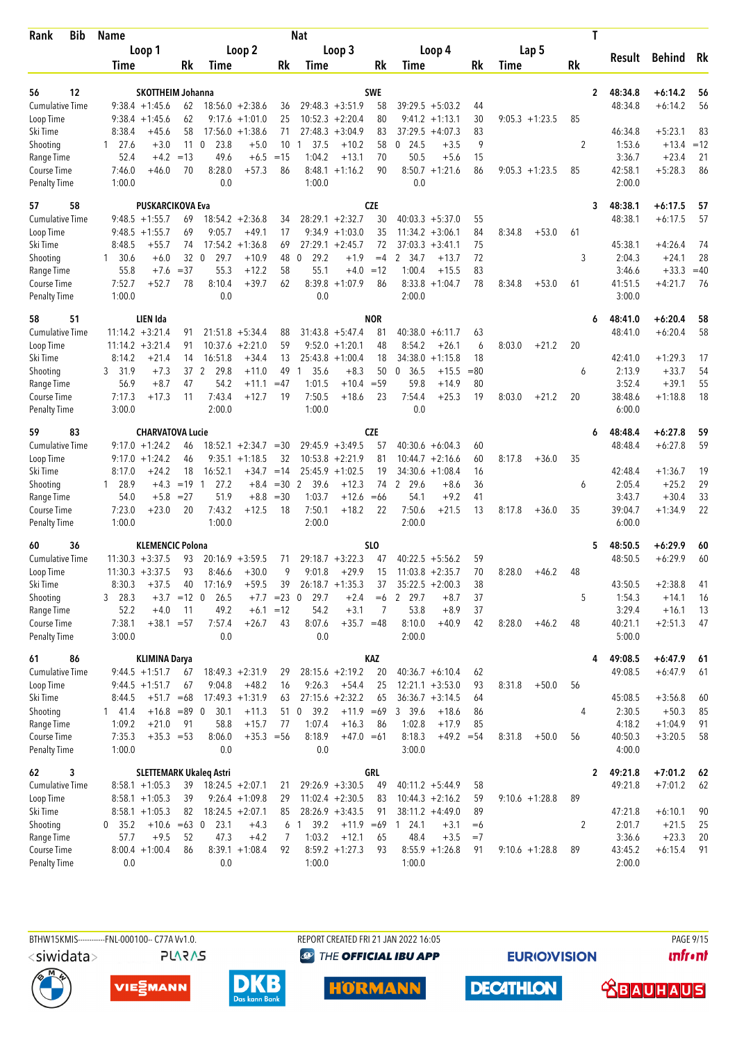| Bib<br><b>Rank</b>                  | <b>Name</b>      |                                      |               |                                |                                         |               | Nat                  |                                          |            |                                          |          |                   | T            |                   |               |       |
|-------------------------------------|------------------|--------------------------------------|---------------|--------------------------------|-----------------------------------------|---------------|----------------------|------------------------------------------|------------|------------------------------------------|----------|-------------------|--------------|-------------------|---------------|-------|
|                                     |                  | Loop 1                               |               |                                | Loop 2                                  |               |                      | Loop 3                                   |            | Loop 4                                   |          | Lap 5             |              |                   |               |       |
|                                     | Time             |                                      | Rk            | Time                           |                                         | Rk            | <b>Time</b>          |                                          | Rk         | Time                                     | Rk       | Time              | Rk           | Result            | <b>Behind</b> | Rk    |
|                                     |                  |                                      |               |                                |                                         |               |                      |                                          |            |                                          |          |                   |              |                   |               |       |
| 56<br>12                            |                  | <b>SKOTTHEIM Johanna</b>             |               |                                |                                         |               |                      |                                          | <b>SWE</b> |                                          |          |                   | $\mathbf{2}$ | 48:34.8           | $+6:14.2$     | 56    |
| <b>Cumulative Time</b><br>Loop Time |                  | $9:38.4 +1:45.6$<br>$9:38.4 +1:45.6$ | 62<br>62      |                                | $18:56.0 + 2:38.6$<br>$9:17.6 + 1:01.0$ | 36<br>25      |                      | $29:48.3 + 3:51.9$<br>$10:52.3 + 2:20.4$ | 58<br>80   | $39:29.5 + 5:03.2$<br>$9:41.2 +1:13.1$   | 44<br>30 | $9:05.3 +1:23.5$  | 85           | 48:34.8           | $+6:14.2$     | 56    |
| Ski Time                            | 8:38.4           | $+45.6$                              | 58            |                                | $17:56.0 + 1:38.6$                      | 71            |                      | $27:48.3 +3:04.9$                        | 83         | $37:29.5 + 4:07.3$                       | 83       |                   |              | 46:34.8           | $+5:23.1$     | 83    |
| Shooting                            | $1 \quad 27.6$   | $+3.0$                               | 11            | $\mathbf{0}$<br>23.8           | $+5.0$                                  | 10            | 37.5<br>$\mathbf{1}$ | $+10.2$                                  | 58         | $0$ 24.5<br>$+3.5$                       | 9        |                   | 2            | 1:53.6            | $+13.4$       | $=12$ |
| Range Time                          | 52.4             | $+4.2$                               | $=13$         | 49.6                           | $+6.5$                                  | $=15$         | 1:04.2               | $+13.1$                                  | 70         | 50.5<br>$+5.6$                           | 15       |                   |              | 3:36.7            | $+23.4$       | 21    |
| Course Time                         | 7:46.0           | $+46.0$                              | 70            | 8:28.0                         | $+57.3$                                 | 86            | 8:48.1               | $+1:16.2$                                | 90         | $8:50.7 +1:21.6$                         | 86       | $9:05.3 +1:23.5$  | 85           | 42:58.1           | $+5:28.3$     | 86    |
| <b>Penalty Time</b>                 | 1:00.0           |                                      |               | 0.0                            |                                         |               | 1:00.0               |                                          |            | 0.0                                      |          |                   |              | 2:00.0            |               |       |
| 58<br>57                            |                  | <b>PUSKARCIKOVA Eva</b>              |               |                                |                                         |               |                      |                                          | <b>CZE</b> |                                          |          |                   | 3            | 48:38.1           | $+6:17.5$     | 57    |
| <b>Cumulative Time</b>              |                  | $9:48.5 +1:55.7$                     | 69            |                                | $18:54.2 + 2:36.8$                      | 34            |                      | $28:29.1 + 2:32.7$                       | 30         | $40:03.3 + 5:37.0$                       | 55       |                   |              | 48:38.1           | $+6:17.5$     | 57    |
| Loop Time                           |                  | $9:48.5 +1:55.7$                     | 69            | 9:05.7                         | $+49.1$                                 | 17            |                      | $9:34.9 +1:03.0$                         | 35         | $11:34.2 + 3:06.1$                       | 84       | 8:34.8<br>$+53.0$ | 61           |                   |               |       |
| Ski Time                            | 8:48.5           | +55.7                                | 74            |                                | $17:54.2 + 1:36.8$                      | 69            |                      | $27:29.1 + 2:45.7$                       | 72         | $37:03.3 + 3:41.1$                       | 75       |                   |              | 45:38.1           | $+4:26.4$     | 74    |
| Shooting                            | $1 \quad 30.6$   | $+6.0$                               | 32            | $\overline{0}$<br>29.7         | $+10.9$                                 | 48            | 29.2<br>$\mathbf{0}$ | $+1.9$                                   | $=4$       | 2 34.7<br>$+13.7$                        | 72       |                   | 3            | 2:04.3            | $+24.1$       | 28    |
| Range Time                          | 55.8             | $+7.6$                               | $= 37$        | 55.3                           | $+12.2$                                 | 58            | 55.1                 | $+4.0$                                   | $=12$      | 1:00.4<br>$+15.5$                        | 83       |                   |              | 3:46.6            | $+33.3$       | $=40$ |
| Course Time                         | 7:52.7           | $+52.7$                              | 78            | 8:10.4                         | $+39.7$                                 | 62            | 8:39.8               | $+1:07.9$                                | 86         | 8:33.8<br>$+1:04.7$                      | 78       | 8:34.8<br>$+53.0$ | 61           | 41:51.5           | $+4:21.7$     | 76    |
| <b>Penalty Time</b>                 | 1:00.0           |                                      |               | 0.0                            |                                         |               | 0.0                  |                                          |            | 2:00.0                                   |          |                   |              | 3:00.0            |               |       |
| 51<br>58                            |                  | LIEN Ida                             |               |                                |                                         |               |                      |                                          | <b>NOR</b> |                                          |          |                   | 6            | 48:41.0           | $+6:20.4$     | 58    |
| <b>Cumulative Time</b>              |                  | $11:14.2 + 3:21.4$                   | 91            | 21:51.8                        | $+5:34.4$                               | 88            |                      | $31:43.8 + 5:47.4$                       | 81         | $40:38.0 + 6:11.7$                       | 63       |                   |              | 48:41.0           | $+6:20.4$     | 58    |
| Loop Time                           |                  | $11:14.2 + 3:21.4$                   | 91            | 10:37.6                        | $+2:21.0$                               | 59            |                      | $9:52.0 +1:20.1$                         | 48         | 8:54.2<br>$+26.1$                        | 6        | 8:03.0<br>$+21.2$ | 20           |                   |               |       |
| Ski Time                            | 8:14.2           | $+21.4$                              | 14            | 16:51.8                        | $+34.4$                                 | 13            |                      | $25:43.8 +1:00.4$                        | 18         | 34:38.0<br>$+1:15.8$                     | 18       |                   |              | 42:41.0           | $+1:29.3$     | 17    |
| Shooting                            | 3 31.9           | $+7.3$                               |               | 37 2<br>29.8                   | $+11.0$                                 | 49            | 35.6<br>$\mathbf{1}$ | $+8.3$                                   | 50         | 36.5<br>$+15.5$<br>$\mathbf{0}$          | $= 80$   |                   | 6            | 2:13.9            | $+33.7$       | 54    |
| Range Time                          | 56.9             | $+8.7$                               | 47            | 54.2                           | $+11.1$                                 | $=47$         | 1:01.5               | $+10.4$                                  | $= 59$     | 59.8<br>$+14.9$                          | 80       |                   |              | 3:52.4            | $+39.1$       | 55    |
| Course Time                         | 7:17.3           | $+17.3$                              | 11            | 7:43.4                         | $+12.7$                                 | 19            | 7:50.5               | $+18.6$                                  | 23         | 7:54.4<br>$+25.3$                        | 19       | 8:03.0<br>$+21.2$ | 20           | 38:48.6           | $+1:18.8$     | 18    |
| <b>Penalty Time</b>                 | 3:00.0           |                                      |               | 2:00.0                         |                                         |               | 1:00.0               |                                          |            | 0.0                                      |          |                   |              | 6:00.0            |               |       |
| 83<br>59                            |                  | <b>CHARVATOVA Lucie</b>              |               |                                |                                         |               |                      |                                          | <b>CZE</b> |                                          |          |                   | 6            | 48:48.4           | $+6:27.8$     | 59    |
| <b>Cumulative Time</b>              |                  | $9:17.0 + 1:24.2$                    | 46            |                                | $18:52.1 + 2:34.7 = 30$                 |               |                      | $29:45.9 + 3:49.5$                       | 57         | $40:30.6 + 6:04.3$                       | 60       |                   |              | 48:48.4           | $+6:27.8$     | 59    |
| Loop Time                           |                  | $9:17.0 + 1:24.2$                    | 46            | 9:35.1                         | $+1:18.5$                               | 32            |                      | $10:53.8 + 2:21.9$                       | 81         | $10:44.7 + 2:16.6$                       | 60       | 8:17.8<br>$+36.0$ | 35           |                   |               |       |
| Ski Time                            | 8:17.0           | $+24.2$                              | 18            | 16:52.1                        | $+34.7$                                 | $=14$         |                      | $25:45.9 +1:02.5$                        | 19         | 34:30.6<br>$+1:08.4$                     | 16       |                   |              | 42:48.4           | $+1:36.7$     | 19    |
| Shooting                            | 1 28.9           | $+4.3$                               | $= 19$ 1      | 27.2                           | $+8.4$                                  | $=30$ 2       | 39.6                 | $+12.3$                                  | 74         | 2 29.6<br>$+8.6$                         | 36       |                   | 6            | 2:05.4            | $+25.2$       | 29    |
| Range Time                          | 54.0             | $+5.8$                               | $= 27$        | 51.9                           | $+8.8$                                  | $=30$         | 1:03.7               | $+12.6$                                  | $=66$      | 54.1<br>$+9.2$                           | 41       |                   |              | 3:43.7            | $+30.4$       | 33    |
| Course Time                         | 7:23.0           | $+23.0$                              | 20            | 7:43.2                         | $+12.5$                                 | 18            | 7:50.1               | $+18.2$                                  | 22         | 7:50.6<br>$+21.5$                        | 13       | 8:17.8<br>$+36.0$ | 35           | 39:04.7           | $+1:34.9$     | 22    |
| <b>Penalty Time</b>                 | 1:00.0           |                                      |               | 1:00.0                         |                                         |               | 2:00.0               |                                          |            | 2:00.0                                   |          |                   |              | 6:00.0            |               |       |
| 60<br>36                            |                  | <b>KLEMENCIC Polona</b>              |               |                                |                                         |               |                      |                                          | <b>SLO</b> |                                          |          |                   | 5            | 48:50.5           | +6:29.9       | 60    |
| <b>Cumulative Time</b>              |                  | $11:30.3 + 3:37.5$                   | 93            |                                | $20:16.9 + 3:59.5$                      | 71            |                      | $29:18.7 + 3:22.3$                       | 47         | $40:22.5 + 5:56.2$                       | 59       |                   |              | 48:50.5           | $+6:29.9$     | 60    |
| Loop Time                           |                  | $11:30.3 + 3:37.5$                   | 93            | 8:46.6                         | $+30.0$                                 | 9             | 9:01.8               | $+29.9$                                  | 15         | $11:03.8 + 2:35.7$                       | 70       | 8:28.0<br>$+46.2$ | 48           |                   |               |       |
| Ski Time                            | 8:30.3           | $+37.5$                              | 40            | 17:16.9                        | $+59.5$                                 | 39            |                      | $26:18.7 + 1:35.3$                       | 37         | $35:22.5 + 2:00.3$                       | 38       |                   |              | 43:50.5           | $+2:38.8$     | 41    |
| Shooting                            | 3 28.3           |                                      | $+3.7 = 12$ 0 | 26.5                           |                                         | $+7.7$ = 23 0 | 29.7                 | $+2.4$                                   | $=6$       | 29.7<br>$\mathbf{2}$<br>$+8.7$           | 37       |                   | 5            | 1:54.3            | $+14.1$       | 16    |
| Range Time                          | 52.2             | $+4.0$                               | 11            | 49.2                           |                                         | $+6.1 = 12$   | 54.2                 | $+3.1$                                   | 7          | 53.8<br>$+8.9$                           | 37       |                   |              | 3:29.4            | $+16.1$       | 13    |
| Course Time<br><b>Penalty Time</b>  | 7:38.1<br>3:00.0 | $+38.1 = 57$                         |               | 7:57.4<br>0.0                  | $+26.7$                                 | 43            | 8:07.6<br>0.0        | $+35.7 = 48$                             |            | 8:10.0<br>$+40.9$<br>2:00.0              | 42       | 8:28.0<br>$+46.2$ | 48           | 40:21.1<br>5:00.0 | $+2:51.3$     | 47    |
|                                     |                  |                                      |               |                                |                                         |               |                      |                                          |            |                                          |          |                   |              |                   |               |       |
| 61<br>86                            |                  | <b>KLIMINA Darya</b>                 |               |                                |                                         |               |                      |                                          | KAZ        |                                          |          |                   | 4            | 49:08.5           | $+6:47.9$     | 61    |
| <b>Cumulative Time</b>              |                  | $9:44.5 +1:51.7$                     | 67            |                                | $18:49.3 + 2:31.9$                      | 29            |                      | $28:15.6 + 2:19.2$                       | 20         | $40:36.7 + 6:10.4$                       | 62       |                   |              | 49:08.5           | $+6:47.9$     | 61    |
| Loop Time<br>Ski Time               | 8:44.5           | $9:44.5 +1:51.7$<br>$+51.7 = 68$     | 67            | 9:04.8                         | $+48.2$<br>$17:49.3 +1:31.9$            | 16<br>63      | 9:26.3               | $+54.4$<br>$27:15.6 + 2:32.2$            | 25<br>65   | $12:21.1 + 3:53.0$<br>$36:36.7 + 3:14.5$ | 93<br>64 | 8:31.8<br>$+50.0$ | 56           | 45:08.5           | $+3:56.8$     | 60    |
| Shooting                            | 141.4            | $+16.8 = 89$ 0                       |               | 30.1                           | $+11.3$                                 |               | 51 0<br>39.2         | $+11.9 = 69$                             |            | 3 39.6<br>$+18.6$                        | 86       |                   | 4            | 2:30.5            | $+50.3$       | 85    |
| Range Time                          | 1:09.2           | $+21.0$                              | 91            | 58.8                           | $+15.7$                                 | 77            | 1:07.4               | $+16.3$                                  | 86         | 1:02.8<br>$+17.9$                        | 85       |                   |              | 4:18.2            | $+1:04.9$     | 91    |
| Course Time                         | 7:35.3           | $+35.3 = 53$                         |               | 8:06.0                         | $+35.3 = 56$                            |               | 8:18.9               | $+47.0 = 61$                             |            | 8:18.3<br>$+49.2 = 54$                   |          | $+50.0$<br>8:31.8 | 56           | 40:50.3           | $+3:20.5$     | 58    |
| <b>Penalty Time</b>                 | 1:00.0           |                                      |               | 0.0                            |                                         |               | 0.0                  |                                          |            | 3:00.0                                   |          |                   |              | 4:00.0            |               |       |
| 62<br>3                             |                  |                                      |               | <b>SLETTEMARK Ukaleq Astri</b> |                                         |               |                      |                                          | GRL        |                                          |          |                   | $\mathbf{2}$ | 49:21.8           | $+7:01.2$     | 62    |
| <b>Cumulative Time</b>              |                  | $8:58.1 + 1:05.3$                    | 39            |                                | $18:24.5 + 2:07.1$                      | 21            |                      | $29:26.9 + 3:30.5$                       | 49         | $40:11.2 + 5:44.9$                       | 58       |                   |              | 49:21.8           | $+7:01.2$     | 62    |
| Loop Time                           |                  | $8:58.1 + 1:05.3$                    | 39            |                                | $9:26.4 +1:09.8$                        | 29            |                      | $11:02.4 +2:30.5$                        | 83         | $10:44.3 + 2:16.2$                       | 59       | $9:10.6 + 1:28.8$ | 89           |                   |               |       |
| Ski Time                            |                  | $8:58.1 + 1:05.3$                    | 82            |                                | $18:24.5 + 2:07.1$                      | 85            |                      | $28:26.9 + 3:43.5$                       | 91         | $38:11.2 +4:49.0$                        | 89       |                   |              | 47:21.8           | $+6:10.1$     | 90    |
| Shooting                            | 0, 35.2          | $+10.6$                              | $=63$ 0       | 23.1                           | $+4.3$                                  |               | 6 1 39.2             | $+11.9 = 69$                             |            | 124.1<br>$+3.1$                          | $=6$     |                   | 2            | 2:01.7            | $+21.5$       | 25    |
| Range Time                          | 57.7             | $+9.5$                               | 52            | 47.3                           | $+4.2$                                  | 7             | 1:03.2               | $+12.1$                                  | 65         | 48.4<br>$+3.5$                           | $=7$     |                   |              | 3:36.6            | $+23.3$       | 20    |
| Course Time                         |                  | $8:00.4 +1:00.4$                     | 86            |                                | $8:39.1 + 1:08.4$                       | 92            |                      | $8:59.2 +1:27.3$                         | 93         | $8:55.9 +1:26.8$                         | 91       | $9:10.6 + 1:28.8$ | 89           | 43:45.2           | $+6:15.4$     | 91    |
| <b>Penalty Time</b>                 | 0.0              |                                      |               | 0.0                            |                                         |               | 1:00.0               |                                          |            | 1:00.0                                   |          |                   |              | 2:00.0            |               |       |

BTHW15KMIS----------FNL-000100-- C77A Vv1.0. REPORT CREATED FRI 21 JAN 2022 16:05 PAGE 9/15 <siwidata> **PLARAS** 

**<sup><sup>3</sup>** THE OFFICIAL IBU APP</sup>

**EURIOVISION** 

*<u><u>Infront</u>*</u>







**DECATHLON HORMANN** 

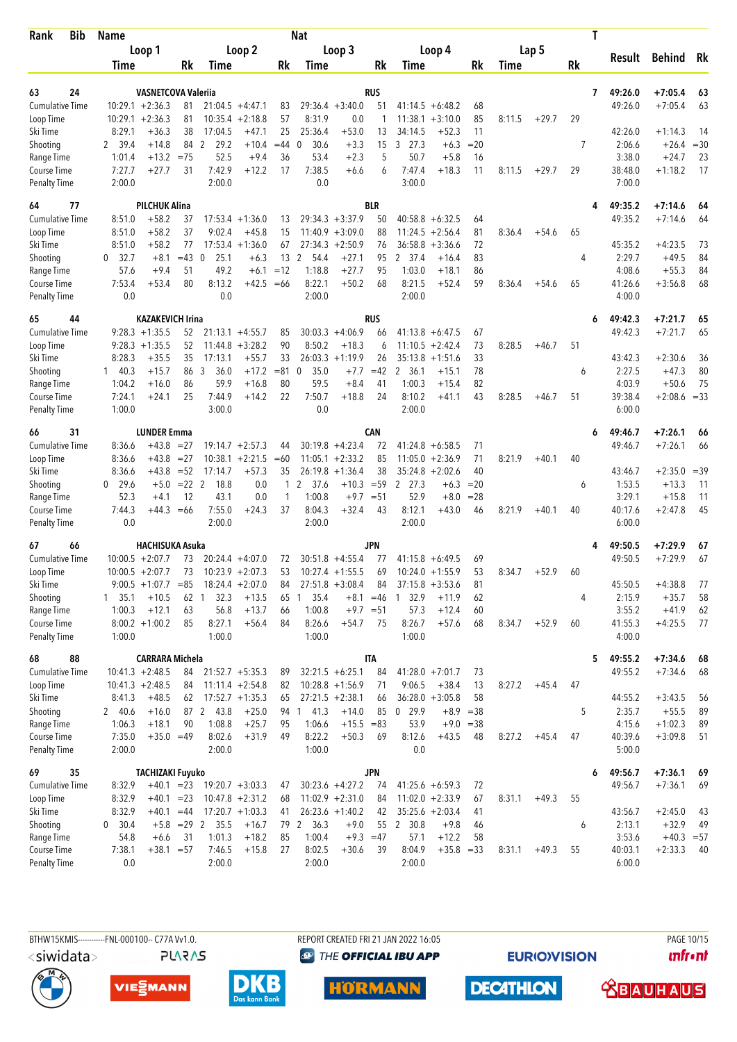| Rank<br>Bib               | <b>Name</b>      |                            |          |                      |                    |              | <b>Nat</b>           |                    |             |                    |                    |              |        |         |    | T |                   |                      |              |
|---------------------------|------------------|----------------------------|----------|----------------------|--------------------|--------------|----------------------|--------------------|-------------|--------------------|--------------------|--------------|--------|---------|----|---|-------------------|----------------------|--------------|
|                           |                  | Loop 1                     |          |                      | Loop 2             |              |                      | Loop 3             |             |                    | Loop 4             |              |        | Lap 5   |    |   |                   |                      |              |
|                           | <b>Time</b>      |                            | Rk       | Time                 |                    | Rk           | Time                 |                    | Rk          | Time               |                    | Rk           | Time   |         | Rk |   | Result            | <b>Behind</b>        | Rk           |
|                           |                  |                            |          |                      |                    |              |                      |                    |             |                    |                    |              |        |         |    |   |                   |                      |              |
| 24<br>63                  |                  | <b>VASNETCOVA Valerija</b> |          |                      |                    |              |                      |                    | RUS         |                    |                    |              |        |         |    | 7 | 49:26.0           | $+7:05.4$            | 63           |
| <b>Cumulative Time</b>    |                  | $10:29.1 + 2:36.3$         | 81       |                      | $21:04.5 +4:47.1$  | 83           |                      | $29:36.4 + 3:40.0$ | 51          | $41:14.5 + 6:48.2$ |                    | 68           |        |         |    |   | 49:26.0           | $+7:05.4$            | 63           |
| Loop Time                 | 10:29.1          | $+2:36.3$                  | 81       |                      | $10:35.4 +2:18.8$  | 57<br>25     | 8:31.9               | 0.0                | 1           | 11:38.1            | $+3:10.0$          | 85           | 8:11.5 | $+29.7$ | 29 |   |                   |                      |              |
| Ski Time                  | 8:29.1           | $+36.3$                    | 38       | 17:04.5              | $+47.1$            |              | 25:36.4              | $+53.0$            | 13          | 34:14.5<br>3, 27.3 | $+52.3$            | 11           |        |         | 7  |   | 42:26.0           | $+1:14.3$            | 14           |
| Shooting<br>Range Time    | 2 39.4<br>1:01.4 | $+14.8$<br>$+13.2$         | $= 75$   | 84 2<br>29.2<br>52.5 | $+10.4$<br>$+9.4$  | $=44$<br>36  | 30.6<br>0<br>53.4    | $+3.3$<br>$+2.3$   | 15<br>5     | 50.7               | $+6.3$<br>$+5.8$   | $= 20$<br>16 |        |         |    |   | 2:06.6<br>3:38.0  | $+26.4$<br>$+24.7$   | $= 30$<br>23 |
| Course Time               | 7:27.7           | $+27.7$                    | 31       | 7:42.9               | $+12.2$            | 17           | 7:38.5               | $+6.6$             | 6           | 7:47.4             | $+18.3$            | 11           | 8:11.5 | $+29.7$ | 29 |   | 38:48.0           | $+1:18.2$            | 17           |
| <b>Penalty Time</b>       | 2:00.0           |                            |          | 2:00.0               |                    |              | 0.0                  |                    |             | 3:00.0             |                    |              |        |         |    |   | 7:00.0            |                      |              |
|                           |                  |                            |          |                      |                    |              |                      |                    |             |                    |                    |              |        |         |    |   |                   |                      |              |
| 64<br>77                  |                  | <b>PILCHUK Alina</b>       |          |                      |                    |              |                      |                    | <b>BLR</b>  |                    |                    |              |        |         |    | 4 | 49:35.2           | $+7:14.6$            | 64           |
| <b>Cumulative Time</b>    | 8:51.0           | $+58.2$                    | 37       |                      | $17:53.4 + 1:36.0$ | 13           |                      | $29:34.3 + 3:37.9$ | 50          | $40:58.8 + 6:32.5$ |                    | 64           |        |         |    |   | 49:35.2           | $+7:14.6$            | 64           |
| Loop Time                 | 8:51.0           | $+58.2$                    | 37       | 9:02.4               | $+45.8$            | 15           |                      | $11:40.9 + 3:09.0$ | 88          | 11:24.5            | $+2:56.4$          | 81           | 8:36.4 | $+54.6$ | 65 |   |                   |                      |              |
| Ski Time                  | 8:51.0           | $+58.2$                    | 77       |                      | $17:53.4 +1:36.0$  | 67           |                      | $27:34.3 +2:50.9$  | 76          | 36:58.8            | $+3:36.6$          | 72           |        |         |    |   | 45:35.2           | $+4:23.5$            | 73           |
| Shooting                  | 32.7<br>0        | $+8.1$                     | $=43$    | 25.1<br>$\mathbf 0$  | $+6.3$             | 13           | 2<br>54.4            | $+27.1$            | 95          | 2 37.4             | $+16.4$            | 83           |        |         | 4  |   | 2:29.7            | $+49.5$              | 84           |
| Range Time<br>Course Time | 57.6<br>7:53.4   | $+9.4$<br>$+53.4$          | 51<br>80 | 49.2<br>8:13.2       | $+6.1$<br>+42.5    | $=12$<br>=66 | 1:18.8<br>8:22.1     | $+27.7$<br>$+50.2$ | 95<br>68    | 1:03.0<br>8:21.5   | $+18.1$<br>$+52.4$ | 86<br>59     | 8:36.4 | $+54.6$ | 65 |   | 4:08.6<br>41:26.6 | $+55.3$<br>$+3:56.8$ | 84<br>68     |
| <b>Penalty Time</b>       | 0.0              |                            |          | 0.0                  |                    |              | 2:00.0               |                    |             | 2:00.0             |                    |              |        |         |    |   | 4:00.0            |                      |              |
|                           |                  |                            |          |                      |                    |              |                      |                    |             |                    |                    |              |        |         |    |   |                   |                      |              |
| 65<br>44                  |                  | <b>KAZAKEVICH Irina</b>    |          |                      |                    |              |                      |                    | <b>RUS</b>  |                    |                    |              |        |         |    | 6 | 49:42.3           | $+7:21.7$            | 65           |
| <b>Cumulative Time</b>    |                  | $9:28.3 +1:35.5$           | 52       |                      | $21:13.1 + 4:55.7$ | 85           |                      | $30:03.3 +4:06.9$  | 66          | $41:13.8 + 6:47.5$ |                    | 67           |        |         |    |   | 49:42.3           | $+7:21.7$            | 65           |
| Loop Time                 |                  | $9:28.3 +1:35.5$           | 52       | 11:44.8              | $+3:28.2$          | 90           | 8:50.2               | $+18.3$            | 6           | 11:10.5            | $+2:42.4$          | 73           | 8:28.5 | $+46.7$ | 51 |   |                   |                      |              |
| Ski Time                  | 8:28.3           | $+35.5$                    | 35       | 17:13.1              | $+55.7$            | 33           | 26:03.3              | $+1:19.9$          | 26          | 35:13.8            | $+1:51.6$          | 33           |        |         |    |   | 43:42.3           | $+2:30.6$            | 36           |
| Shooting                  | $1 \quad 40.3$   | $+15.7$                    | 86       | 3<br>36.0            | $+17.2$            | $= 81$       | 35.0<br>$\mathbf{0}$ | $+7.7$             | $=42$       | 2 36.1             | $+15.1$            | 78           |        |         | 6  |   | 2:27.5            | $+47.3$              | 80           |
| Range Time                | 1:04.2           | $+16.0$                    | 86       | 59.9                 | $+16.8$            | 80           | 59.5                 | $+8.4$             | 41          | 1:00.3             | $+15.4$            | 82           |        |         |    |   | 4:03.9            | $+50.6$              | 75           |
| Course Time               | 7:24.1           | $+24.1$                    | 25       | 7:44.9               | $+14.2$            | 22           | 7:50.7               | $+18.8$            | 24          | 8:10.2             | $+41.1$            | 43           | 8:28.5 | $+46.7$ | 51 |   | 39:38.4           | $+2:08.6 = 33$       |              |
| <b>Penalty Time</b>       | 1:00.0           |                            |          | 3:00.0               |                    |              | 0.0                  |                    |             | 2:00.0             |                    |              |        |         |    |   | 6:00.0            |                      |              |
| 31<br>66                  |                  | <b>LUNDER Emma</b>         |          |                      |                    |              |                      |                    | <b>CAN</b>  |                    |                    |              |        |         |    | 6 | 49:46.7           | $+7:26.1$            | 66           |
| <b>Cumulative Time</b>    | 8:36.6           | $+43.8$                    | $= 27$   |                      | $19:14.7 + 2:57.3$ | 44           |                      | $30:19.8 + 4:23.4$ | 72          | $41:24.8 + 6:58.5$ |                    | 71           |        |         |    |   | 49:46.7           | $+7:26.1$            | 66           |
| Loop Time                 | 8:36.6           | $+43.8$                    | $=27$    | 10:38.1              | $+2:21.5$          | $=60$        |                      | $11:05.1 + 2:33.2$ | 85          | 11:05.0            | $+2:36.9$          | 71           | 8:21.9 | $+40.1$ | 40 |   |                   |                      |              |
| Ski Time                  | 8:36.6           | $+43.8$                    | $= 52$   | 17:14.7              | $+57.3$            | 35           | 26:19.8              | $+1:36.4$          | 38          | 35:24.8            | $+2:02.6$          | 40           |        |         |    |   | 43:46.7           | $+2:35.0$            | $=39$        |
| Shooting                  | 29.6<br>0        | $+5.0$                     | $= 22$ 2 | 18.8                 | 0.0                | $\mathbf{1}$ | 2<br>37.6            | $+10.3$            | $= 59$      | 2 27.3             | $+6.3$             | $=20$        |        |         | 6  |   | 1:53.5            | $+13.3$              | 11           |
| Range Time                | 52.3             | $+4.1$                     | 12       | 43.1                 | 0.0                | 1            | 1:00.8               | $+9.7$             | $= 51$      | 52.9               | $+8.0$             | $= 28$       |        |         |    |   | 3:29.1            | $+15.8$              | 11           |
| Course Time               | 7:44.3           | $+44.3$                    | $=66$    | 7:55.0               | $+24.3$            | 37           | 8:04.3               | $+32.4$            | 43          | 8:12.1             | $+43.0$            | 46           | 8:21.9 | $+40.1$ | 40 |   | 40:17.6           | $+2:47.8$            | 45           |
| <b>Penalty Time</b>       | 0.0              |                            |          | 2:00.0               |                    |              | 2:00.0               |                    |             | 2:00.0             |                    |              |        |         |    |   | 6:00.0            |                      |              |
| 67<br>66                  |                  | <b>HACHISUKA Asuka</b>     |          |                      |                    |              |                      |                    | <b>JPN</b>  |                    |                    |              |        |         |    |   | 49:50.5           | $+7:29.9$            | 67           |
| <b>Cumulative Time</b>    |                  | $10:00.5 + 2:07.7$         | 73       |                      | $20:24.4 + 4:07.0$ | 72           |                      | $30:51.8 + 4:55.4$ | 77          | $41:15.8 + 6:49.5$ |                    | 69           |        |         |    |   | 49:50.5           | $+7:29.9$            | 67           |
| Loop Time                 |                  | $10:00.5 + 2:07.7$         | 73       |                      | $10:23.9 + 2:07.3$ | 53           |                      | $10:27.4 + 1:55.5$ | 69          | $10:24.0 + 1:55.9$ |                    | 53           | 8:34.7 | $+52.9$ | 60 |   |                   |                      |              |
| Ski Time                  |                  | $9:00.5 +1:07.7 = 85$      |          |                      | $18:24.4 + 2:07.0$ | 84           |                      | $27:51.8 + 3:08.4$ | 84          | $37:15.8 + 3:53.6$ |                    | 81           |        |         |    |   | 45:50.5           | $+4:38.8$            | 77           |
| Shooting                  | 1, 35.1          | $+10.5$                    | 62       | 32.3<br>-1           | $+13.5$            | 65           | 35.4<br>-1           |                    | $+8.1 = 46$ | 32.9<br>1          | $+11.9$            | 62           |        |         | 4  |   | 2:15.9            | $+35.7$              | 58           |
| Range Time                | 1:00.3           | $+12.1$                    | 63       | 56.8                 | $+13.7$            | 66           | 1:00.8               | $+9.7 = 51$        |             | 57.3               | $+12.4$            | 60           |        |         |    |   | 3:55.2            | $+41.9$              | 62           |
| Course Time               |                  | $8:00.2 +1:00.2$           | 85       | 8:27.1               | $+56.4$            | 84           | 8:26.6               | $+54.7$            | 75          | 8:26.7             | $+57.6$            | 68           | 8:34.7 | $+52.9$ | 60 |   | 41:55.3           | $+4:25.5$            | 77           |
| Penalty Time              | 1:00.0           |                            |          | 1:00.0               |                    |              | 1:00.0               |                    |             | 1:00.0             |                    |              |        |         |    |   | 4:00.0            |                      |              |
| 88<br>68                  |                  | <b>CARRARA Michela</b>     |          |                      |                    |              |                      |                    | <b>ITA</b>  |                    |                    |              |        |         |    | 5 | 49:55.2           | $+7:34.6$            | -68          |
| <b>Cumulative Time</b>    |                  | $10:41.3 + 2:48.5$         | 84       |                      | $21:52.7 + 5:35.3$ | 89           |                      | $32:21.5 + 6:25.1$ | 84          | $41:28.0 +7:01.7$  |                    | 73           |        |         |    |   | 49:55.2           | $+7:34.6$            | 68           |
| Loop Time                 |                  | $10:41.3 + 2:48.5$         | 84       |                      | $11:11.4 + 2:54.8$ | 82           |                      | $10:28.8 + 1:56.9$ | 71          | 9:06.5             | $+38.4$            | 13           | 8:27.2 | $+45.4$ | 47 |   |                   |                      |              |
| Ski Time                  | 8:41.3           | $+48.5$                    | 62       |                      | $17:52.7 + 1:35.3$ | 65           |                      | $27:21.5 +2:38.1$  | 66          | $36:28.0 + 3:05.8$ |                    | 58           |        |         |    |   | 44:55.2           | $+3:43.5$            | 56           |
| Shooting                  | 240.6            | $+16.0$                    |          | 87 2 43.8            | $+25.0$            | 94           | 41.3<br>$\mathbf{1}$ | $+14.0$            | 85          | 0, 29.9            | $+8.9 = 38$        |              |        |         | 5  |   | 2:35.7            | $+55.5$              | 89           |
| Range Time                | 1:06.3           | $+18.1$                    | 90       | 1:08.8               | $+25.7$            | 95           | 1:06.6               | $+15.5 = 83$       |             | 53.9               | $+9.0 = 38$        |              |        |         |    |   | 4:15.6            | $+1:02.3$            | 89           |
| Course Time               | 7:35.0           | $+35.0 = 49$               |          | 8:02.6               | $+31.9$            | 49           | 8:22.2               | $+50.3$            | 69          | 8:12.6             | $+43.5$            | 48           | 8:27.2 | $+45.4$ | 47 |   | 40:39.6           | $+3:09.8$            | 51           |
| Penalty Time              | 2:00.0           |                            |          | 2:00.0               |                    |              | 1:00.0               |                    |             | 0.0                |                    |              |        |         |    |   | 5:00.0            |                      |              |
| 69<br>35                  |                  | <b>TACHIZAKI Fuyuko</b>    |          |                      |                    |              |                      |                    | <b>JPN</b>  |                    |                    |              |        |         |    | 6 | 49:56.7           | $+7:36.1$            | 69           |
| <b>Cumulative Time</b>    | 8:32.9           | $+40.1 = 23$               |          |                      | $19:20.7 + 3:03.3$ | 47           |                      | $30:23.6 +4:27.2$  | 74          | $41:25.6 + 6:59.3$ |                    | 72           |        |         |    |   | 49:56.7           | $+7:36.1$            | 69           |
| Loop Time                 | 8:32.9           | $+40.1 = 23$               |          |                      | $10:47.8 + 2:31.2$ | 68           |                      | $11:02.9 +2:31.0$  | 84          | $11:02.0 + 2:33.9$ |                    | 67           | 8:31.1 | $+49.3$ | 55 |   |                   |                      |              |
| Ski Time                  | 8:32.9           | $+40.1 = 44$               |          |                      | $17:20.7 +1:03.3$  | 41           |                      | $26:23.6 +1:40.2$  | 42          | $35:25.6 + 2:03.4$ |                    | 41           |        |         |    |   | 43:56.7           | $+2:45.0$            | 43           |
| Shooting                  | 0 30.4           |                            |          | $+5.8$ = 29 2 35.5   | $+16.7$            |              | 79 2 36.3            | $+9.0$             | 55          | 2 30.8             | $+9.8$             | 46           |        |         | 6  |   | 2:13.1            | $+32.9$              | 49           |
| Range Time                | 54.8             | $+6.6$                     | 31       | 1:01.3               | $+18.2$            | 85           | 1:00.4               | $+9.3 = 47$        |             | 57.1               | $+12.2$            | 58           |        |         |    |   | 3:53.6            | $+40.3 = 57$         |              |
| Course Time               | 7:38.1           | $+38.1 = 57$               |          | 7:46.5               | $+15.8$            | 27           | 8:02.5               | $+30.6$            | 39          | 8:04.9             | $+35.8 = 33$       |              | 8:31.1 | $+49.3$ | 55 |   | 40:03.1           | $+2:33.3$            | - 40         |
| Penalty Time              | 0.0              |                            |          | 2:00.0               |                    |              | 2:00.0               |                    |             | 2:00.0             |                    |              |        |         |    |   | 6:00.0            |                      |              |







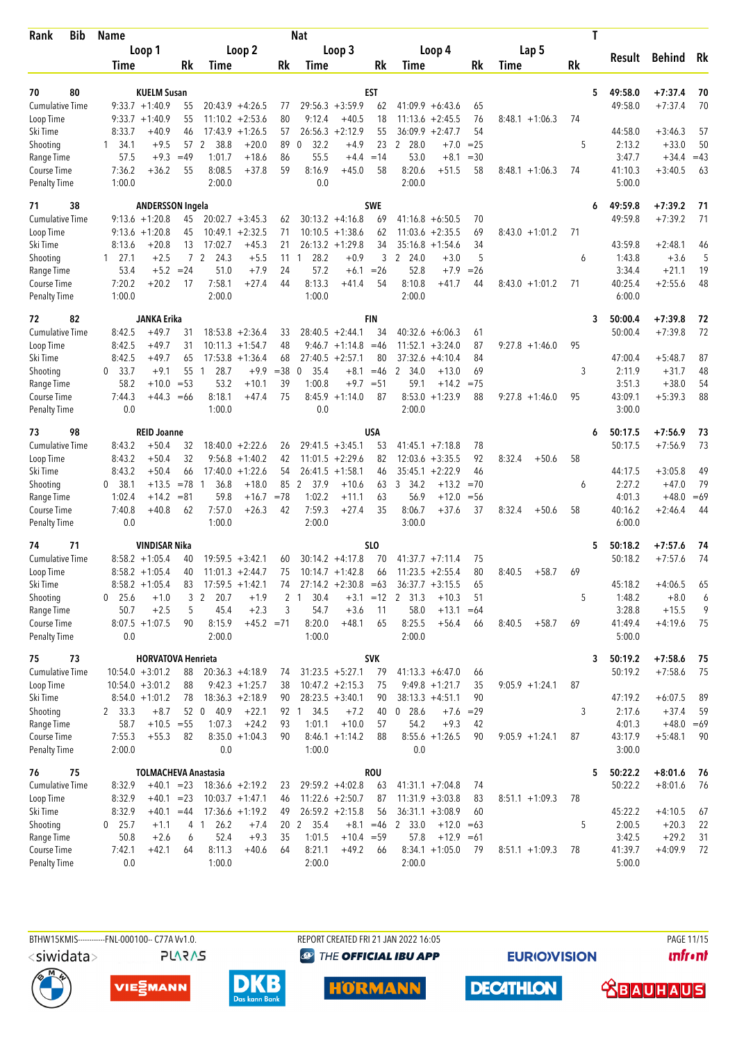| Bib<br>Rank                         | <b>Name</b>    |                                        |                |                      |                                          |                | <b>Nat</b>             |                                         |            |                               |                    |             |                   | T  |                   |               |          |
|-------------------------------------|----------------|----------------------------------------|----------------|----------------------|------------------------------------------|----------------|------------------------|-----------------------------------------|------------|-------------------------------|--------------------|-------------|-------------------|----|-------------------|---------------|----------|
|                                     |                | Loop 1                                 |                |                      | Loop 2                                   |                |                        | Loop 3                                  |            |                               | Loop 4             |             | Lap 5             |    | Result            | <b>Behind</b> | Rk       |
|                                     | Time           |                                        | Rk             | Time                 |                                          | Rk             | Time                   |                                         | Rk         | Time                          |                    | Rk          | Time              | Rk |                   |               |          |
|                                     |                |                                        |                |                      |                                          |                |                        |                                         |            |                               |                    |             |                   |    |                   |               |          |
| 80<br>70                            |                | <b>KUELM Susan</b>                     |                |                      |                                          |                |                        |                                         | EST        |                               |                    |             |                   | 5  | 49:58.0           | $+7:37.4$     | 70<br>70 |
| <b>Cumulative Time</b><br>Loop Time |                | $9:33.7 +1:40.9$<br>$9:33.7 +1:40.9$   | 55<br>55       |                      | $20:43.9 + 4:26.5$<br>$11:10.2 + 2:53.6$ | 77<br>80       | 9:12.4                 | $29:56.3 + 3:59.9$<br>$+40.5$           | 62<br>18   | $41:09.9 + 6:43.6$<br>11:13.6 | $+2:45.5$          | 65<br>76    | $8:48.1 + 1:06.3$ | 74 | 49:58.0           | $+7:37.4$     |          |
| Ski Time                            | 8:33.7         | +40.9                                  | 46             |                      | $17:43.9 +1:26.5$                        | 57             | 26:56.3                | $+2:12.9$                               | 55         | 36:09.9                       | $+2:47.7$          | 54          |                   |    | 44:58.0           | $+3:46.3$     | 57       |
| Shooting                            | $1 \quad 34.1$ | $+9.5$                                 |                | 38.8<br>57 2         | $+20.0$                                  | 89             | 32.2<br>0              | $+4.9$                                  | 23         | 2 28.0                        | $+7.0$             | $= 25$      |                   | 5  | 2:13.2            | $+33.0$       | 50       |
| Range Time                          | 57.5           | $+9.3$                                 | $=49$          | 1:01.7               | $+18.6$                                  | 86             | 55.5                   | $+4.4$                                  | $=14$      | 53.0                          | $+8.1$             | $= 30$      |                   |    | 3:47.7            | $+34.4$       | $=43$    |
| Course Time                         | 7:36.2         | $+36.2$                                | 55             | 8:08.5               | $+37.8$                                  | 59             | 8:16.9                 | $+45.0$                                 | 58         | 8:20.6                        | $+51.5$            | 58          | $8:48.1 + 1:06.3$ | 74 | 41:10.3           | $+3:40.5$     | 63       |
| <b>Penalty Time</b>                 | 1:00.0         |                                        |                | 2:00.0               |                                          |                | 0.0                    |                                         |            | 2:00.0                        |                    |             |                   |    | 5:00.0            |               |          |
| 71<br>38                            |                | <b>ANDERSSON Ingela</b>                |                |                      |                                          |                |                        |                                         | <b>SWE</b> |                               |                    |             |                   | 6  | 49:59.8           | $+7:39.2$     | 71       |
| <b>Cumulative Time</b>              |                | $9:13.6 + 1:20.8$                      | 45             |                      | $20:02.7 + 3:45.3$                       | 62             |                        | $30:13.2 +4:16.8$                       | 69         | $41:16.8 + 6:50.5$            |                    | 70          |                   |    | 49:59.8           | $+7:39.2$     | 71       |
| Loop Time                           |                | $9:13.6 + 1:20.8$                      | 45             |                      | $10:49.1 + 2:32.5$                       | 71             |                        | $10:10.5 + 1:38.6$                      | 62         | 11:03.6                       | $+2:35.5$          | 69          | $8:43.0 +1:01.2$  | 71 |                   |               |          |
| Ski Time                            | 8:13.6         | +20.8                                  | 13             | 17:02.7              | $+45.3$                                  | 21             |                        | $26:13.2 + 1:29.8$                      | 34         | $35:16.8 + 1:54.6$            |                    | 34          |                   |    | 43:59.8           | $+2:48.1$     | 46       |
| Shooting                            | $1 \quad 27.1$ | $+2.5$                                 | $\overline{7}$ | 2<br>24.3            | $+5.5$                                   | 11             | 28.2<br>1              | $+0.9$                                  | 3          | $\overline{2}$<br>24.0        | $+3.0$             | 5           |                   | 6  | 1:43.8            | $+3.6$        | 5        |
| Range Time                          | 53.4           |                                        | $+5.2 = 24$    | 51.0                 | $+7.9$                                   | 24             | 57.2                   | $+6.1$                                  | $=26$      | 52.8                          | $+7.9$             | $=26$       |                   |    | 3:34.4            | $+21.1$       | 19       |
| Course Time                         | 7:20.2         | $+20.2$                                | 17             | 7:58.1               | $+27.4$                                  | 44             | 8:13.3                 | $+41.4$                                 | 54         | 8:10.8                        | +41.7              | 44          | $8:43.0 +1:01.2$  | 71 | 40:25.4           | $+2:55.6$     | 48       |
| <b>Penalty Time</b>                 | 1:00.0         |                                        |                | 2:00.0               |                                          |                | 1:00.0                 |                                         |            | 2:00.0                        |                    |             |                   |    | 6:00.0            |               |          |
| 82<br>72                            |                | JANKA Erika                            |                |                      |                                          |                |                        |                                         | FIN        |                               |                    |             |                   | 3  | 50:00.4           | $+7:39.8$     | 72       |
| <b>Cumulative Time</b>              | 8:42.5         | $+49.7$                                | 31             |                      | $18:53.8 + 2:36.4$                       | 33             |                        | $28:40.5 + 2:44.1$                      | 34         | $40:32.6 + 6:06.3$            |                    | 61          |                   |    | 50:00.4           | $+7:39.8$     | 72       |
| Loop Time                           | 8:42.5         | $+49.7$                                | 31             |                      | $10:11.3 + 1:54.7$                       | 48             |                        | $9:46.7 +1:14.8$                        | $=46$      | 11:52.1                       | $+3:24.0$          | 87          | $9:27.8 + 1:46.0$ | 95 |                   |               |          |
| Ski Time                            | 8:42.5         | $+49.7$                                | 65             |                      | $17:53.8 + 1:36.4$                       | 68             |                        | $27:40.5 + 2:57.1$                      | 80         | 37:32.6                       | $+4:10.4$          | 84          |                   |    | 47:00.4           | $+5:48.7$     | 87       |
| Shooting                            | 0, 33.7        | $+9.1$                                 | 55             | 28.7<br>1            | $+9.9$                                   | $= 38$         | 35.4<br>$\mathbf 0$    | $+8.1$                                  | $=46$      | 2<br>34.0                     | $+13.0$            | 69          |                   | 3  | 2:11.9            | $+31.7$       | 48       |
| Range Time                          | 58.2           | $+10.0$                                | $= 53$         | 53.2                 | $+10.1$                                  | 39             | 1:00.8                 | $+9.7$                                  | $= 51$     | 59.1                          | $+14.2$            | $= 75$      |                   |    | 3:51.3            | $+38.0$       | 54       |
| Course Time                         | 7:44.3         | $+44.3$                                | $=66$          | 8:18.1               | $+47.4$                                  | 75             |                        | $8:45.9 +1:14.0$                        | 87         | 8:53.0                        | $+1:23.9$          | 88          | $9:27.8 + 1:46.0$ | 95 | 43:09.1           | $+5:39.3$     | 88       |
| <b>Penalty Time</b>                 | 0.0            |                                        |                | 1:00.0               |                                          |                | 0.0                    |                                         |            | 2:00.0                        |                    |             |                   |    | 3:00.0            |               |          |
| 98<br>73                            |                | <b>REID Joanne</b>                     |                |                      |                                          |                |                        |                                         | USA        |                               |                    |             |                   | 6  | 50:17.5           | $+7:56.9$     | 73       |
| Cumulative Time                     | 8:43.2         | $+50.4$                                | 32             |                      | $18:40.0 + 2:22.6$                       | 26             |                        | $29:41.5 + 3:45.1$                      | 53         | $41:45.1 + 7:18.8$            |                    | 78          |                   |    | 50:17.5           | $+7:56.9$     | 73       |
| Loop Time                           | 8:43.2         | $+50.4$                                | 32             |                      | $9:56.8 +1:40.2$                         | 42             |                        | $11:01.5 +2:29.6$                       | 82         | 12:03.6                       | $+3:35.5$          | 92          | 8:32.4<br>$+50.6$ | 58 |                   |               |          |
| Ski Time                            | 8:43.2         | $+50.4$                                | 66             | 17:40.0              | $+1:22.6$                                | 54             |                        | $26:41.5 +1:58.1$                       | 46         | 35:45.1                       | $+2:22.9$          | 46          |                   |    | 44:17.5           | $+3:05.8$     | 49       |
| Shooting                            | 38.1<br>0      | $+13.5$                                | $= 78$         | $\mathbf{1}$<br>36.8 | $+18.0$                                  | 85             | 2<br>37.9              | $+10.6$                                 | 63         | 3, 34.2                       | $+13.2$            | $=70$       |                   | 6  | 2:27.2            | $+47.0$       | 79       |
| Range Time                          | 1:02.4         | $+14.2$                                | $= 81$         | 59.8                 | $+16.7$                                  | $=78$          | 1:02.2<br>7:59.3       | $+11.1$                                 | 63         | 56.9                          | $+12.0$<br>$+37.6$ | $=$ 56      |                   |    | 4:01.3            | $+48.0$       | $=69$    |
| Course Time<br><b>Penalty Time</b>  | 7:40.8<br>0.0  | $+40.8$                                | 62             | 7:57.0<br>1:00.0     | $+26.3$                                  | 42             | 2:00.0                 | $+27.4$                                 | 35         | 8:06.7<br>3:00.0              |                    | 37          | 8:32.4<br>$+50.6$ | 58 | 40:16.2<br>6:00.0 | $+2:46.4$     | 44       |
|                                     |                |                                        |                |                      |                                          |                |                        |                                         |            |                               |                    |             |                   |    |                   |               |          |
| 74<br>71                            |                | VINDISAR Nika                          |                |                      |                                          |                |                        |                                         | SLO        |                               |                    |             |                   | 5  | 50:18.2           | $+7:57.6$     | 74       |
| <b>Cumulative Time</b>              |                | $8:58.2 + 1:05.4$<br>$8:58.2 + 1:05.4$ | 40<br>40       |                      | $19:59.5 + 3:42.1$<br>$11:01.3 +2:44.7$  | 60<br>75       |                        | $30:14.2 +4:17.8$<br>$10:14.7 + 1:42.8$ | 70         | $41:37.7 +7:11.4$<br>11:23.5  | $+2:55.4$          | 75<br>80    | 8:40.5<br>$+58.7$ | 69 | 50:18.2           | $+7:57.6$     | 74       |
| Loop Time<br>Ski Time               |                | $8:58.2 + 1:05.4$                      | 83             |                      | $17:59.5 + 1:42.1$                       | 74             |                        | $27:14.2 + 2:30.8 = 63$                 | 66         | $36:37.7 + 3:15.5$            |                    | 65          |                   |    | 45:18.2           | $+4:06.5$     | 65       |
| Shooting                            | $0$ 25.6       | $+1.0$                                 | 3              | 2<br>20.7            | $+1.9$                                   | $\overline{2}$ | 30.4<br>$\overline{1}$ | $+3.1$                                  | $=12$      | 2 31.3                        | $+10.3$            | 51          |                   | 5  | 1:48.2            | $+8.0$        | 6        |
| Range Time                          | 50.7           | $+2.5$                                 | 5              | 45.4                 | $+2.3$                                   | 3              | 54.7                   | $+3.6$                                  | 11         | 58.0                          | $+13.1$            | $=64$       |                   |    | 3:28.8            | $+15.5$       | 9        |
| Course Time                         |                | $8:07.5 +1:07.5$                       | 90             | 8:15.9               | $+45.2 = 71$                             |                | 8:20.0                 | $+48.1$                                 | 65         | 8:25.5                        | $+56.4$            | 66          | 8:40.5<br>$+58.7$ | 69 | 41:49.4           | $+4:19.6$     | 75       |
| <b>Penalty Time</b>                 | 0.0            |                                        |                | 2:00.0               |                                          |                | 1:00.0                 |                                         |            | 2:00.0                        |                    |             |                   |    | 5:00.0            |               |          |
| 73<br>75                            |                | <b>HORVATOVA Henrieta</b>              |                |                      |                                          |                |                        |                                         | <b>SVK</b> |                               |                    |             |                   | 3  | 50:19.2           | $+7:58.6$     | - 75     |
| <b>Cumulative Time</b>              |                | $10:54.0 + 3:01.2$                     | 88             |                      | $20:36.3 +4:18.9$                        | 74             |                        | $31:23.5 + 5:27.1$                      | 79         | $41:13.3 + 6:47.0$            |                    | 66          |                   |    | 50:19.2           | $+7:58.6$     | 75       |
| Loop Time                           |                | $10:54.0 + 3:01.2$                     | 88             |                      | $9:42.3 +1:25.7$                         | 38             |                        | $10:47.2 +2:15.3$                       | 75         | $9:49.8 + 1:21.7$             |                    | 35          | $9:05.9 +1:24.1$  | 87 |                   |               |          |
| Ski Time                            |                | $8:54.0 +1:01.2$                       | 78             |                      | $18:36.3 + 2:18.9$                       | 90             |                        | $28:23.5 + 3:40.1$                      | 90         | $38:13.3 + 4:51.1$            |                    | 90          |                   |    | 47:19.2           | $+6:07.5$     | 89       |
| Shooting                            | 2 33.3         | $+8.7$                                 |                | 52 0 40.9            | $+22.1$                                  |                | 34.5<br>92 1           | $+7.2$                                  | 40         | $0$ 28.6                      |                    | $+7.6 = 29$ |                   | 3  | 2:17.6            | $+37.4$       | 59       |
| Range Time                          | 58.7           | $+10.5 = 55$                           |                | 1:07.3               | $+24.2$                                  | 93             | 1:01.1                 | $+10.0$                                 | 57         | 54.2                          | $+9.3$             | 42          |                   |    | 4:01.3            | $+48.0 = 69$  |          |
| Course Time                         | 7:55.3         | $+55.3$                                | 82             |                      | $8:35.0 +1:04.3$                         | 90             |                        | $8:46.1 + 1:14.2$                       | 88         | $8:55.6 +1:26.5$              |                    | 90          | $9:05.9 +1:24.1$  | 87 | 43:17.9           | $+5:48.1$     | 90       |
| <b>Penalty Time</b>                 | 2:00.0         |                                        |                | 0.0                  |                                          |                | 1:00.0                 |                                         |            | 0.0                           |                    |             |                   |    | 3:00.0            |               |          |
| 75<br>76                            |                | <b>TOLMACHEVA Anastasia</b>            |                |                      |                                          |                |                        |                                         | <b>ROU</b> |                               |                    |             |                   | 5  | 50:22.2           | $+8:01.6$     | 76       |
| Cumulative Time                     | 8:32.9         | $+40.1 = 23$                           |                |                      | $18:36.6 + 2:19.2$                       | 23             |                        | $29:59.2 + 4:02.8$                      | 63         | $41:31.1 + 7:04.8$            |                    | 74          |                   |    | 50:22.2           | $+8:01.6$     | - 76     |
| Loop Time                           | 8:32.9         | $+40.1 = 23$                           |                |                      | $10:03.7 + 1:47.1$                       | 46             |                        | $11:22.6 + 2:50.7$                      | 87         | $11:31.9 + 3:03.8$            |                    | 83          | $8:51.1 + 1:09.3$ | 78 |                   |               |          |
| Ski Time                            | 8:32.9         | $+40.1 = 44$                           |                |                      | $17:36.6 + 1:19.2$                       | 49             |                        | $26:59.2 + 2:15.8$                      | 56         | $36:31.1 + 3:08.9$            |                    | 60          |                   |    | 45:22.2           | $+4:10.5$     | 67       |
| Shooting                            | $0$ 25.7       | $+1.1$                                 |                | 26.2<br>4 1          | $+7.4$                                   |                | 20 2 35.4              | $+8.1$                                  | $=46$      | 2 33.0                        | $+12.0 = 63$       |             |                   | 5  | 2:00.5            | $+20.3$       | 22       |
| Range Time                          | 50.8           | $+2.6$                                 | 6              | 52.4                 | $+9.3$                                   | 35             | 1:01.5                 | $+10.4 = 59$                            |            | 57.8                          | $+12.9 = 61$       |             |                   |    | 3:42.5            | $+29.2$       | 31       |
| Course Time                         | 7:42.1         | $+42.1$                                | 64             | 8:11.3               | $+40.6$                                  | 64             | 8:21.1                 | $+49.2$                                 | 66         | $8:34.1 + 1:05.0$             |                    | 79          | $8:51.1 + 1:09.3$ | 78 | 41:39.7           | $+4:09.9$     | 72       |
| <b>Penalty Time</b>                 | 0.0            |                                        |                | 1:00.0               |                                          |                | 2:00.0                 |                                         |            | 2:00.0                        |                    |             |                   |    | 5:00.0            |               |          |

BTHW15KMIS----------FNL-000100-- C77A Vv1.0. REPORT CREATED FRI 21 JAN 2022 16:05 PAGE 11/15 <siwidata> **PLARAS** 

**<sup><sup>3</sup>** THE OFFICIAL IBU APP</sup>

**EURIOVISION** 

**unfront** 







**DECATHLON HÖRMANN** 

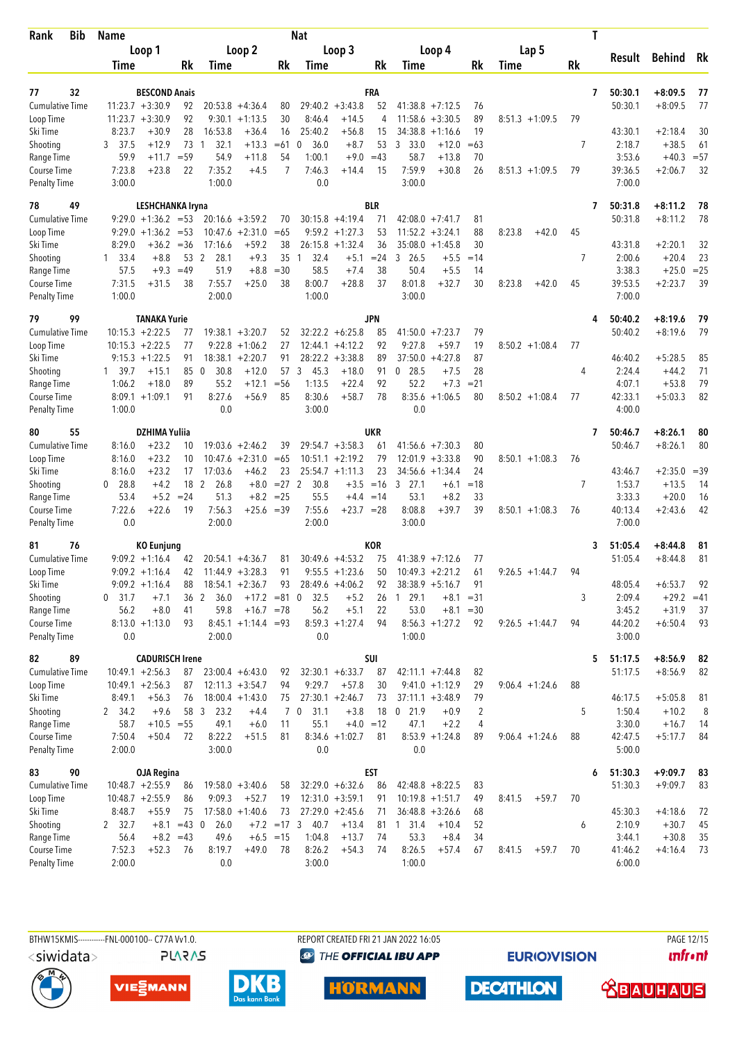| Rank<br>Bib            | <b>Name</b>                  |                        |               |                        |                              |               | <b>Nat</b>           |                    |             |                               |                        |          |                   | T  |         |               |        |
|------------------------|------------------------------|------------------------|---------------|------------------------|------------------------------|---------------|----------------------|--------------------|-------------|-------------------------------|------------------------|----------|-------------------|----|---------|---------------|--------|
|                        |                              | Loop 1                 |               |                        | Loop 2                       |               |                      | Loop 3             |             | Loop 4                        |                        |          | Lap 5             |    |         |               |        |
|                        | Time                         |                        | Rk            | Time                   |                              | Rk            | Time                 |                    | Rk          | Time                          |                        | Rk       | Time              | Rk | Result  | <b>Behind</b> | Rk     |
|                        |                              |                        |               |                        |                              |               |                      |                    |             |                               |                        |          |                   |    |         |               |        |
| 77<br>32               |                              | <b>BESCOND Anais</b>   |               |                        |                              |               |                      |                    | FRA         |                               |                        |          |                   | 7  | 50:30.1 | $+8:09.5$     | 77     |
| Cumulative Time        | $11:23.7 + 3:30.9$           |                        | 92            |                        | $20:53.8 + 4:36.4$           | 80            |                      | $29:40.2 + 3:43.8$ | 52          | $41:38.8 + 7:12.5$<br>11:58.6 |                        | 76       |                   |    | 50:30.1 | $+8:09.5$     | 77     |
| Loop Time<br>Ski Time  | $11:23.7 + 3:30.9$<br>8:23.7 | $+30.9$                | 92<br>28      | 16:53.8                | $9:30.1 + 1:13.5$<br>$+36.4$ | 30<br>16      | 8:46.4<br>25:40.2    | $+14.5$<br>$+56.8$ | 4<br>15     | 34:38.8                       | $+3:30.5$<br>$+1:16.6$ | 89<br>19 | $8:51.3 +1:09.5$  | 79 | 43:30.1 | $+2:18.4$     | 30     |
| Shooting               | 37.5<br>3                    | $+12.9$                | 73            | 32.1<br>-1             | $+13.3$                      | $=61$         | 36.0<br>0            | $+8.7$             | 53          | 3<br>33.0                     | $+12.0$                | $=63$    |                   | 7  | 2:18.7  | $+38.5$       | 61     |
| Range Time             | 59.9                         | $+11.7$                | $= 59$        | 54.9                   | $+11.8$                      | 54            | 1:00.1               | $+9.0$             | $=43$       | 58.7                          | $+13.8$                | 70       |                   |    | 3:53.6  | $+40.3$       | $= 57$ |
| Course Time            | 7:23.8                       | $+23.8$                | 22            | 7:35.2                 | $+4.5$                       | 7             | 7:46.3               | $+14.4$            | 15          | 7:59.9                        | $+30.8$                | 26       | $8:51.3 +1:09.5$  | 79 | 39:36.5 | $+2:06.7$     | 32     |
| Penalty Time           | 3:00.0                       |                        |               | 1:00.0                 |                              |               | 0.0                  |                    |             | 3:00.0                        |                        |          |                   |    | 7:00.0  |               |        |
| 49<br>78               |                              | LESHCHANKA Iryna       |               |                        |                              |               |                      |                    | <b>BLR</b>  |                               |                        |          |                   | 7  | 50:31.8 | $+8:11.2$     | 78     |
| <b>Cumulative Time</b> |                              | $9:29.0 +1:36.2 = 53$  |               |                        | $20:16.6 + 3:59.2$           | 70            |                      | $30:15.8 + 4:19.4$ | 71          | $42:08.0 +7:41.7$             |                        | 81       |                   |    | 50:31.8 | $+8:11.2$     | 78     |
| Loop Time              |                              | $9:29.0 +1:36.2$       | $= 53$        |                        | $10:47.6 + 2:31.0$           | $=65$         |                      | $9:59.2 + 1:27.3$  | 53          | $11:52.2 + 3:24.1$            |                        | 88       | 8:23.8<br>$+42.0$ | 45 |         |               |        |
| Ski Time               | 8:29.0                       | $+36.2$                | $= 36$        | 17:16.6                | $+59.2$                      | 38            | 26:15.8              | $+1:32.4$          | 36          | $35:08.0 + 1:45.8$            |                        | 30       |                   |    | 43:31.8 | $+2:20.1$     | 32     |
| Shooting               | 33.4<br>1                    | $+8.8$                 |               | 53 2<br>28.1           | $+9.3$                       | 35            | 32.4<br>$\mathbf{1}$ | $+5.1$             | $= 24$      | 3<br>26.5                     | $+5.5$                 | $=14$    |                   | 7  | 2:00.6  | $+20.4$       | 23     |
| Range Time             | 57.5                         | $+9.3$                 | $=49$         | 51.9                   | $+8.8$                       | $=30$         | 58.5                 | $+7.4$             | 38          | 50.4                          | $+5.5$                 | 14       |                   |    | 3:38.3  | $+25.0$       | $= 25$ |
| Course Time            | 7:31.5                       | $+31.5$                | 38            | 7:55.7                 | $+25.0$                      | 38            | 8:00.7               | $+28.8$            | 37          | 8:01.8                        | $+32.7$                | 30       | 8:23.8<br>$+42.0$ | 45 | 39:53.5 | $+2:23.7$     | 39     |
| <b>Penalty Time</b>    | 1:00.0                       |                        |               | 2:00.0                 |                              |               | 1:00.0               |                    |             | 3:00.0                        |                        |          |                   |    | 7:00.0  |               |        |
| 79<br>99               |                              | <b>TANAKA Yurie</b>    |               |                        |                              |               |                      |                    | <b>JPN</b>  |                               |                        |          |                   |    | 50:40.2 | $+8:19.6$     | 79     |
| <b>Cumulative Time</b> |                              | $10:15.3 + 2:22.5$     | 77            |                        | $19:38.1 + 3:20.7$           | 52            |                      | $32:22.2 + 6:25.8$ | 85          | 41:50.0                       | $+7:23.7$              | 79       |                   |    | 50:40.2 | $+8:19.6$     | 79     |
| Loop Time              | $10:15.3 + 2:22.5$           |                        | 77            | 9:22.8                 | $+1:06.2$                    | 27            |                      | $12:44.1 + 4:12.2$ | 92          | 9:27.8                        | $+59.7$                | 19       | $8:50.2 +1:08.4$  | 77 |         |               |        |
| Ski Time               |                              | $9:15.3 +1:22.5$       | 91            |                        | $18:38.1 + 2:20.7$           | 91            |                      | $28:22.2 + 3:38.8$ | 89          | 37:50.0                       | $+4:27.8$              | 87       |                   |    | 46:40.2 | $+5:28.5$     | 85     |
| Shooting               | 1 39.7                       | $+15.1$                | 85            | 30.8<br>$\overline{0}$ | $+12.0$                      | 57            | 3<br>45.3            | $+18.0$            | 91          | $0$ 28.5                      | $+7.5$                 | 28       |                   | 4  | 2:24.4  | $+44.2$       | 71     |
| Range Time             | 1:06.2                       | $+18.0$                | 89            | 55.2                   | $+12.1$                      | $= 56$        | 1:13.5               | $+22.4$            | 92          | 52.2                          | $+7.3$                 | $= 21$   |                   |    | 4:07.1  | $+53.8$       | 79     |
| Course Time            |                              | $8:09.1 + 1:09.1$      | 91            | 8:27.6                 | $+56.9$                      | 85            | 8:30.6               | $+58.7$            | 78          | 8:35.6                        | $+1:06.5$              | 80       | $8:50.2 + 1:08.4$ | 77 | 42:33.1 | $+5:03.3$     | 82     |
| <b>Penalty Time</b>    | 1:00.0                       |                        |               | 0.0                    |                              |               | 3:00.0               |                    |             | 0.0                           |                        |          |                   |    | 4:00.0  |               |        |
| 55<br>80               |                              | <b>DZHIMA Yuliia</b>   |               |                        |                              |               |                      |                    | UKR         |                               |                        |          |                   | 7  | 50:46.7 | $+8:26.1$     | 80     |
| <b>Cumulative Time</b> | 8:16.0                       | $+23.2$                | 10            |                        | $19:03.6 + 2:46.2$           | 39            |                      | $29:54.7 + 3:58.3$ | 61          | 41:56.6 +7:30.3               |                        | 80       |                   |    | 50:46.7 | $+8:26.1$     | 80     |
| Loop Time              | 8:16.0                       | $+23.2$                | 10            |                        | $10:47.6 + 2:31.0$           | $=65$         |                      | $10:51.1 + 2:19.2$ | 79          | 12:01.9                       | $+3:33.8$              | 90       | $8:50.1 + 1:08.3$ | 76 |         |               |        |
| Ski Time               | 8:16.0                       | $+23.2$                | 17            | 17:03.6                | $+46.2$                      | 23            |                      | $25:54.7 +1:11.3$  | 23          | $34:56.6 + 1:34.4$            |                        | 24       |                   |    | 43:46.7 | $+2:35.0$     | $=39$  |
| Shooting               | 28.8<br>0                    | $+4.2$                 |               | 18 2<br>26.8           | $+8.0$                       | $= 27$ 2      | 30.8                 |                    | $+3.5 = 16$ | $3$ 27.1                      | $+6.1$                 | $=18$    |                   | 7  | 1:53.7  | $+13.5$       | 14     |
| Range Time             | 53.4                         | $+5.2$                 | $= 24$        | 51.3                   | $+8.2$                       | $= 25$        | 55.5                 |                    | $+4.4 = 14$ | 53.1                          | $+8.2$                 | 33       |                   |    | 3:33.3  | $+20.0$       | 16     |
| Course Time            | 7:22.6                       | $+22.6$                | 19            | 7:56.3                 | $+25.6$                      | $=39$         | 7:55.6               | $+23.7 = 28$       |             | 8:08.8                        | $+39.7$                | 39       | $8:50.1 + 1:08.3$ | 76 | 40:13.4 | $+2:43.6$     | 42     |
| <b>Penalty Time</b>    | 0.0                          |                        |               | 2:00.0                 |                              |               | 2:00.0               |                    |             | 3:00.0                        |                        |          |                   |    | 7:00.0  |               |        |
| 81<br>76               |                              | <b>KO Eunjung</b>      |               |                        |                              |               |                      |                    | <b>KOR</b>  |                               |                        |          |                   | 3  | 51:05.4 | $+8:44.8$     | 81     |
| <b>Cumulative Time</b> |                              | $9:09.2 +1:16.4$       | 42            |                        | $20:54.1 + 4:36.7$           | 81            |                      | $30:49.6 + 4:53.2$ | 75          | $41:38.9 +7:12.6$             |                        | 77       |                   |    | 51:05.4 | $+8:44.8$     | 81     |
| Loop Time              |                              | $9:09.2 +1:16.4$       | 42            |                        | $11:44.9 + 3:28.3$           | 91            |                      | $9:55.5 + 1:23.6$  | 50          | $10:49.3 + 2:21.2$            |                        | 61       | $9:26.5 +1:44.7$  | 94 |         |               |        |
| Ski Time               |                              | $9:09.2 +1:16.4$       | 88            |                        | $18:54.1 + 2:36.7$           | 93            |                      | $28:49.6 + 4:06.2$ | 92          | $38:38.9 + 5:16.7$            |                        | 91       |                   |    | 48:05.4 | $+6:53.7$     | 92     |
| Shooting               | 31.7<br>0                    | $+7.1$                 | 36            | 2<br>36.0              | $+17.2 = 81$ 0               |               | 32.5                 | $+5.2$             | 26          | 29.1<br>1                     | $+8.1$                 | $= 31$   |                   | 3  | 2:09.4  | $+29.2 = 41$  |        |
| Range Time             | 56.2                         | $+8.0$                 | 41            | 59.8                   | $+16.7 = 78$                 |               | 56.2                 | $+5.1$             | 22          | 53.0                          | $+8.1$                 | $=30$    |                   |    | 3:45.2  | $+31.9$       | 37     |
| Course Time            |                              | $8:13.0 +1:13.0$       | 93            |                        | $8:45.1 +1:14.4 = 93$        |               |                      | $8:59.3 +1:27.4$   | 94          | $8:56.3 +1:27.2$              |                        | 92       | $9:26.5 +1:44.7$  | 94 | 44:20.2 | $+6:50.4$     | 93     |
| <b>Penalty Time</b>    | 0.0                          |                        |               | 2:00.0                 |                              |               | 0.0                  |                    |             | 1:00.0                        |                        |          |                   |    | 3:00.0  |               |        |
| 89<br>82               |                              | <b>CADURISCH Irene</b> |               |                        |                              |               |                      |                    | SUI         |                               |                        |          |                   | 5  | 51:17.5 | $+8:56.9$     | 82     |
| <b>Cumulative Time</b> |                              | $10:49.1 + 2:56.3$     | 87            |                        | $23:00.4 + 6:43.0$           | 92            |                      | $32:30.1 + 6:33.7$ | 87          | $42:11.1 + 7:44.8$            |                        | 82       |                   |    | 51:17.5 | $+8:56.9$     | 82     |
| Loop Time              | $10:49.1 + 2:56.3$           |                        | 87            |                        | $12:11.3 + 3:54.7$           | 94            | 9:29.7               | $+57.8$            | 30          | $9:41.0 +1:12.9$              |                        | 29       | $9:06.4 +1:24.6$  | 88 |         |               |        |
| Ski Time               | 8:49.1                       | $+56.3$                | 76            |                        | $18:00.4 + 1:43.0$           | 75            |                      | $27:30.1 + 2:46.7$ | 73          | $37:11.1 + 3:48.9$            |                        | 79       |                   |    | 46:17.5 | $+5:05.8$     | 81     |
| Shooting               | 2 34.2                       | $+9.6$                 |               | 58 3<br>23.2           | $+4.4$                       |               | $7\quad0$<br>31.1    | $+3.8$             | 18          | $0$ 21.9                      | $+0.9$                 | 2        |                   | 5  | 1:50.4  | $+10.2$       | 8      |
| Range Time             | 58.7                         | $+10.5 = 55$           |               | 49.1                   | $+6.0$                       | 11            | 55.1                 |                    | $+4.0 = 12$ | 47.1                          | $+2.2$                 | 4        |                   |    | 3:30.0  | $+16.7$       | 14     |
| Course Time            | 7:50.4                       | $+50.4$                | 72            | 8:22.2                 | $+51.5$                      | 81            |                      | $8:34.6 +1:02.7$   | 81          | $8:53.9 +1:24.8$              |                        | 89       | $9:06.4 +1:24.6$  | 88 | 42:47.5 | $+5:17.7$     | 84     |
| <b>Penalty Time</b>    | 2:00.0                       |                        |               | 3:00.0                 |                              |               | 0.0                  |                    |             | 0.0                           |                        |          |                   |    | 5:00.0  |               |        |
| 90<br>83               |                              | <b>OJA Regina</b>      |               |                        |                              |               |                      |                    | EST         |                               |                        |          |                   | 6  | 51:30.3 | $+9:09.7$     | 83     |
| <b>Cumulative Time</b> |                              | $10:48.7 + 2:55.9$     | 86            |                        | $19:58.0 + 3:40.6$           | 58            |                      | $32:29.0 + 6:32.6$ | 86          | $42:48.8 + 8:22.5$            |                        | 83       |                   |    | 51:30.3 | $+9:09.7$     | 83     |
| Loop Time              | $10:48.7 + 2:55.9$           |                        | 86            | 9:09.3                 | $+52.7$                      | 19            |                      | $12:31.0 + 3:59.1$ | 91          | $10:19.8 + 1:51.7$            |                        | 49       | $+59.7$<br>8:41.5 | 70 |         |               |        |
| Ski Time               | 8:48.7                       | $+55.9$                | 75            |                        | $17:58.0 + 1:40.6$           | 73            |                      | $27:29.0 + 2:45.6$ | 71          | $36:48.8 + 3:26.6$            |                        | 68       |                   |    | 45:30.3 | $+4:18.6$     | 72     |
| Shooting               | 2 32.7                       |                        | $+8.1 = 43$ 0 | 26.0                   |                              | $+7.2 = 17.3$ | 40.7                 | $+13.4$            |             | 81 1 31.4                     | $+10.4$                | 52       |                   | 6  | 2:10.9  | $+30.7$       | 45     |
| Range Time             | 56.4                         |                        | $+8.2 = 43$   | 49.6                   |                              | $+6.5 = 15$   | 1:04.8               | $+13.7$            | 74          | 53.3                          | $+8.4$                 | 34       |                   |    | 3:44.1  | $+30.8$       | 35     |
| Course Time            | 7:52.3                       | $+52.3$                | 76            | 8:19.7                 | $+49.0$                      | 78            | 8:26.2               | $+54.3$            | 74          | 8:26.5                        | $+57.4$                | 67       | 8:41.5<br>$+59.7$ | 70 | 41:46.2 | $+4:16.4$     | - 73   |
| <b>Penalty Time</b>    | 2:00.0                       |                        |               | 0.0                    |                              |               | 3:00.0               |                    |             | 1:00.0                        |                        |          |                   |    | 6:00.0  |               |        |

REPORT CREATED FRI 21 JAN 2022 16:05 **<sup><sup>3</sup>** THE OFFICIAL IBU APP</sup>

**EURIOVISION** 

PAGE 12/15 **unfront** 









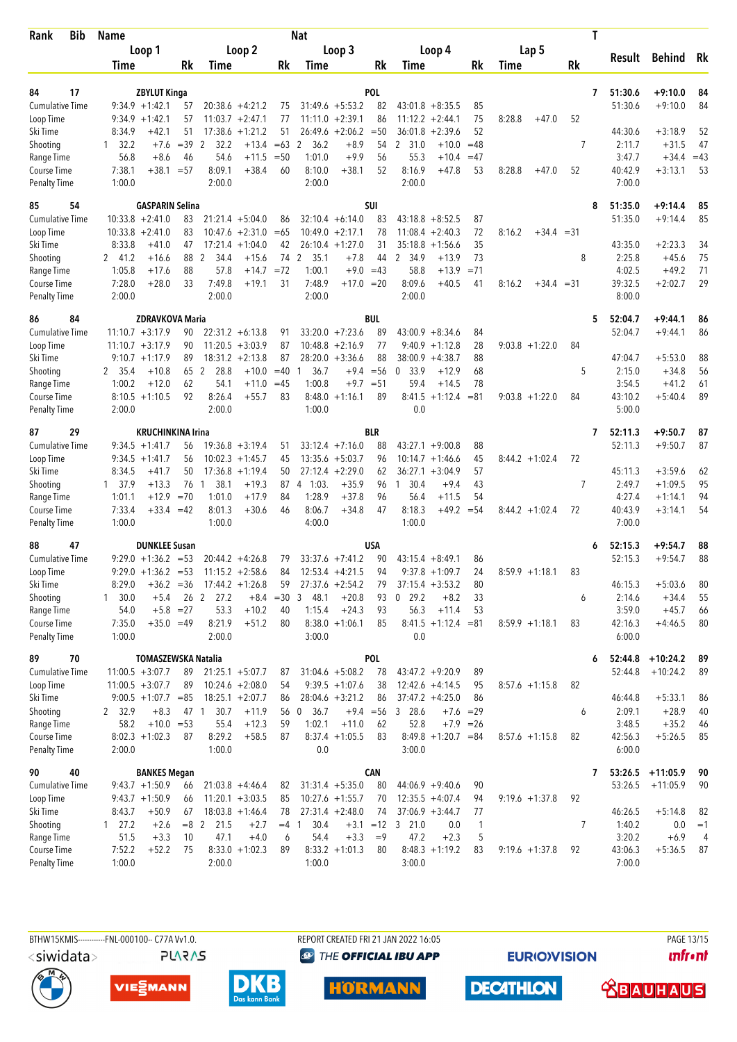| Bib<br>Rank                 | Name             |                             |                     |                  |                                         |             | Nat                  |                                          |             |                               |                        |              |        |                   |    | T                 |                      |          |
|-----------------------------|------------------|-----------------------------|---------------------|------------------|-----------------------------------------|-------------|----------------------|------------------------------------------|-------------|-------------------------------|------------------------|--------------|--------|-------------------|----|-------------------|----------------------|----------|
|                             |                  | Loop 1                      |                     |                  | Loop 2                                  |             |                      | Loop 3                                   |             | Loop 4                        |                        |              |        | Lap 5             |    |                   |                      |          |
|                             | Time             |                             | Rk                  | Time             |                                         | Rk          | Time                 |                                          | Rk          | Time                          |                        | Rk           | Time   |                   | Rk | Result            | Behind               | Rk       |
|                             |                  |                             |                     |                  |                                         |             |                      |                                          |             |                               |                        |              |        |                   |    |                   |                      |          |
| 84<br>17                    |                  | <b>ZBYLUT Kinga</b>         |                     |                  |                                         |             |                      |                                          | POL         |                               |                        |              |        |                   |    | 51:30.6<br>7      | $+9:10.0$            | 84       |
| <b>Cumulative Time</b>      |                  | $9:34.9 +1:42.1$            | 57                  |                  | $20:38.6 +4:21.2$                       | 75          |                      | $31:49.6 + 5:53.2$                       | 82          | $43:01.8 + 8:35.5$            |                        | 85           |        |                   |    | 51:30.6           | $+9:10.0$            | 84       |
| Loop Time<br>Ski Time       | 8:34.9           | $9:34.9 +1:42.1$<br>$+42.1$ | 57<br>51            |                  | $11:03.7 +2:47.1$<br>$17:38.6 + 1:21.2$ | 77<br>51    |                      | $11:11.0 + 2:39.1$<br>$26:49.6 + 2:06.2$ | 86<br>$=50$ | 11:12.2<br>36:01.8            | $+2:44.1$<br>$+2:39.6$ | 75<br>52     | 8:28.8 | $+47.0$           | 52 | 44:30.6           | $+3:18.9$            | 52       |
| Shooting                    | $1 \quad 32.2$   | $+7.6$                      | $=39$               | 2<br>32.2        | $+13.4$                                 | $=63$       | 2<br>36.2            | $+8.9$                                   | 54          | 2 31.0                        | $+10.0$                | $=48$        |        |                   | 7  | 2:11.7            | $+31.5$              | 47       |
| Range Time                  | 56.8             | $+8.6$                      | 46                  | 54.6             | $+11.5$                                 | $=50$       | 1:01.0               | $+9.9$                                   | 56          | 55.3                          | $+10.4$                | $=47$        |        |                   |    | 3:47.7            | $+34.4$              | $=43$    |
| Course Time                 | 7:38.1           | $+38.1$                     | $= 57$              | 8:09.1           | $+38.4$                                 | 60          | 8:10.0               | $+38.1$                                  | 52          | 8:16.9                        | $+47.8$                | 53           | 8:28.8 | $+47.0$           | 52 | 40:42.9           | $+3:13.1$            | 53       |
| <b>Penalty Time</b>         | 1:00.0           |                             |                     | 2:00.0           |                                         |             | 2:00.0               |                                          |             | 2:00.0                        |                        |              |        |                   |    | 7:00.0            |                      |          |
| 85<br>54                    |                  | <b>GASPARIN Selina</b>      |                     |                  |                                         |             |                      |                                          | SUI         |                               |                        |              |        |                   |    | 51:35.0<br>8      | $+9:14.4$            | 85       |
| <b>Cumulative Time</b>      |                  | $10:33.8 + 2:41.0$          | 83                  |                  | $21:21.4 + 5:04.0$                      | 86          |                      | $32:10.4 + 6:14.0$                       | 83          | $43:18.8 + 8:52.5$            |                        | 87           |        |                   |    | 51:35.0           | $+9:14.4$            | 85       |
| Loop Time                   |                  | $10:33.8 + 2:41.0$          | 83                  |                  | $10:47.6 + 2:31.0$                      | $=65$       |                      | $10:49.0 + 2:17.1$                       | 78          | $11:08.4 + 2:40.3$            |                        | 72           | 8:16.2 | $+34.4 = 31$      |    |                   |                      |          |
| Ski Time                    | 8:33.8           | $+41.0$                     | 47                  |                  | $17:21.4 +1:04.0$                       | 42          |                      | $26:10.4 + 1:27.0$                       | 31          | 35:18.8                       | $+1:56.6$              | 35           |        |                   |    | 43:35.0           | $+2:23.3$            | 34       |
| Shooting                    | 2 41.2           | $+16.6$                     | 88                  | 2<br>34.4        | $+15.6$                                 | 74          | 2<br>35.1            | $+7.8$                                   | 44          | $\mathbf{2}$<br>34.9          | $+13.9$                | 73           |        |                   | 8  | 2:25.8            | $+45.6$              | 75       |
| Range Time                  | 1:05.8           | $+17.6$                     | 88                  | 57.8             | $+14.7$                                 | $= 72$      | 1:00.1               |                                          | $+9.0 = 43$ | 58.8                          | $+13.9$                | $= 71$       |        |                   |    | 4:02.5            | $+49.2$              | 71       |
| Course Time                 | 7:28.0           | $+28.0$                     | 33                  | 7:49.8           | $+19.1$                                 | 31          | 7:48.9               | $+17.0 = 20$                             |             | 8:09.6                        | $+40.5$                | 41           | 8:16.2 | $+34.4 = 31$      |    | 39:32.5           | $+2:02.7$            | 29       |
| <b>Penalty Time</b>         | 2:00.0           |                             |                     | 2:00.0           |                                         |             | 2:00.0               |                                          |             | 2:00.0                        |                        |              |        |                   |    | 8:00.0            |                      |          |
| 86<br>84                    |                  | <b>ZDRAVKOVA Maria</b>      |                     |                  |                                         |             |                      |                                          | <b>BUL</b>  |                               |                        |              |        |                   |    | 52:04.7<br>5      | $+9:44.1$            | 86       |
| <b>Cumulative Time</b>      |                  | $11:10.7 + 3:17.9$          | 90                  |                  | $22:31.2 + 6:13.8$                      | 91          |                      | $33:20.0 +7:23.6$                        | 89          | $43:00.9 + 8:34.6$            |                        | 84           |        |                   |    | 52:04.7           | $+9:44.1$            | 86       |
| Loop Time                   |                  | $11:10.7 + 3:17.9$          | 90                  |                  | $11:20.5 + 3:03.9$                      | 87          |                      | $10:48.8 + 2:16.9$                       | 77          | 9:40.9                        | $+1:12.8$              | 28           |        | $9:03.8 +1:22.0$  | 84 |                   |                      |          |
| Ski Time                    |                  | $9:10.7 + 1:17.9$           | 89                  |                  | $18:31.2 +2:13.8$                       | 87          |                      | $28:20.0 + 3:36.6$                       | 88          | $38:00.9 + 4:38.7$            |                        | 88           |        |                   |    | 47:04.7           | $+5:53.0$            | 88       |
| Shooting                    | 2 35.4           | $+10.8$                     | 65                  | 2<br>28.8        | $+10.0$                                 | $=40$       | 36.7<br>1            | $+9.4$                                   | $=$ 56      | 33.9<br>$\mathbf 0$           | $+12.9$                | 68           |        |                   | 5  | 2:15.0            | $+34.8$              | 56       |
| Range Time                  | 1:00.2           | $+12.0$                     | 62                  | 54.1             | $+11.0$                                 | $=45$       | 1:00.8               | $+9.7$                                   | $= 51$      | 59.4                          | $+14.5$                | 78           |        |                   |    | 3:54.5            | $+41.2$              | 61       |
| Course Time                 |                  | $8:10.5 +1:10.5$            | 92                  | 8:26.4           | $+55.7$                                 | 83          |                      | $8:48.0 +1:16.1$                         | 89          | 8:41.5                        | $+1:12.4$              | $= 81$       |        | $9:03.8 +1:22.0$  | 84 | 43:10.2           | $+5:40.4$            | 89       |
| <b>Penalty Time</b>         | 2:00.0           |                             |                     | 2:00.0           |                                         |             | 1:00.0               |                                          |             | 0.0                           |                        |              |        |                   |    | 5:00.0            |                      |          |
| 87<br>29                    |                  | <b>KRUCHINKINA Irina</b>    |                     |                  |                                         |             |                      |                                          | BLR         |                               |                        |              |        |                   |    | 52:11.3<br>7      | $+9:50.7$            | 87       |
| <b>Cumulative Time</b>      |                  | $9:34.5 +1:41.7$            | 56                  |                  | $19:36.8 + 3:19.4$                      | 51          |                      | $33:12.4 +7:16.0$                        | 88          | 43:27.1                       | $+9:00.8$              | 88           |        |                   |    | 52:11.3           | $+9:50.7$            | 87       |
| Loop Time                   |                  | $9:34.5 +1:41.7$            | 56                  |                  | $10:02.3 +1:45.7$                       | 45          |                      | $13:35.6 + 5:03.7$                       | 96          | $10:14.7 + 1:46.6$            |                        | 45           |        | $8:44.2 + 1:02.4$ | 72 |                   |                      |          |
| Ski Time                    | 8:34.5           | $+41.7$                     | 50                  |                  | $17:36.8 + 1:19.4$                      | 50          |                      | $27:12.4 + 2:29.0$                       | 62          | 36:27.1                       | $+3:04.9$              | 57           |        |                   |    | 45:11.3           | $+3:59.6$            | 62       |
| Shooting                    | 1, 37.9          | $+13.3$                     | 76 1                | 38.1             | $+19.3$                                 | 87          | $4 \quad 1:03.$      | $+35.9$                                  | 96          | 1 30.4                        | $+9.4$                 | 43           |        |                   | 7  | 2:49.7            | $+1:09.5$            | 95       |
| Range Time                  | 1:01.1           | $+12.9$                     | $=70$               | 1:01.0           | $+17.9$                                 | 84          | 1:28.9               | $+37.8$                                  | 96          | 56.4                          | $+11.5$                | 54           |        |                   |    | 4:27.4            | $+1:14.1$            | 94       |
| Course Time<br>Penalty Time | 7:33.4<br>1:00.0 | $+33.4$                     | $=42$               | 8:01.3<br>1:00.0 | $+30.6$                                 | 46          | 8:06.7<br>4:00.0     | $+34.8$                                  | 47          | 8:18.3<br>1:00.0              | $+49.2$                | $= 54$       |        | $8:44.2 + 1:02.4$ | 72 | 40:43.9<br>7:00.0 | $+3:14.1$            | 54       |
|                             |                  |                             |                     |                  |                                         |             |                      |                                          |             |                               |                        |              |        |                   |    |                   |                      |          |
| 88<br>47                    |                  | <b>DUNKLEE Susan</b>        |                     |                  |                                         |             |                      |                                          | USA         |                               |                        |              |        |                   |    | 52:15.3<br>6      | $+9:54.7$            | 88       |
| <b>Cumulative Time</b>      |                  | $9:29.0 +1:36.2 = 53$       |                     |                  | $20:44.2 + 4:26.8$                      | 79          |                      | $33:37.6 +7:41.2$                        | 90          | $43:15.4 + 8:49.1$            |                        | 86           |        |                   |    | 52:15.3           | $+9:54.7$            | 88       |
| Loop Time                   |                  | $9:29.0 +1:36.2 =53$        |                     |                  | $11:15.2 +2:58.6$                       | 84          |                      | $12:53.4 +4:21.5$                        | 94          | $9:37.8 +1:09.7$              |                        | 24           |        | $8:59.9 +1:18.1$  | 83 |                   |                      |          |
| Ski Time                    | 8:29.0           | $+36.2 = 36$                |                     |                  | $17:44.2 + 1:26.8$                      | 59          |                      | $27:37.6 + 2:54.2$                       | 79          | $37:15.4 + 3:53.2$            |                        | 80           |        |                   |    | 46:15.3           | $+5:03.6$            | 80       |
| Shooting                    | 1 30.0           | $+5.4$                      | 26 2<br>$+5.8 = 27$ | 27.2             |                                         | $+8.4 = 30$ | 3<br>48.1            | $+20.8$                                  | 93          | 29.2<br>0                     | $+8.2$                 | 33           |        |                   | 6  | 2:14.6            | $+34.4$              | 55       |
| Range Time<br>Course Time   | 54.0<br>7:35.0   | $+35.0 = 49$                |                     | 53.3<br>8:21.9   | $+10.2$<br>$+51.2$                      | 40<br>80    | 1:15.4               | $+24.3$<br>$8:38.0 +1:06.1$              | 93<br>85    | 56.3<br>$8:41.5 +1:12.4 = 81$ | $+11.4$                | 53           |        | $8:59.9 +1:18.1$  | 83 | 3:59.0<br>42:16.3 | $+45.7$<br>$+4:46.5$ | 66<br>80 |
| <b>Penalty Time</b>         | 1:00.0           |                             |                     | 2:00.0           |                                         |             | 3:00.0               |                                          |             | 0.0                           |                        |              |        |                   |    | 6:00.0            |                      |          |
| 89<br>70                    |                  | <b>TOMASZEWSKA Natalia</b>  |                     |                  |                                         |             |                      |                                          | POL         |                               |                        |              |        |                   |    | 52:44.8<br>6      | $+10:24.2$           | 89       |
| <b>Cumulative Time</b>      |                  | $11:00.5 + 3:07.7$          | 89                  |                  | $21:25.1 + 5:07.7$                      | 87          |                      | $31:04.6 + 5:08.2$                       | 78          | $43:47.2 +9:20.9$             |                        | 89           |        |                   |    | 52:44.8           | $+10:24.2$           | 89       |
| Loop Time                   |                  | $11:00.5 + 3:07.7$          | 89                  |                  | $10:24.6 + 2:08.0$                      | 54          |                      | $9:39.5 +1:07.6$                         | 38          | $12:42.6 +4:14.5$             |                        | 95           |        | $8:57.6 +1:15.8$  | 82 |                   |                      |          |
| Ski Time                    |                  | $9:00.5 +1:07.7 = 85$       |                     |                  | $18:25.1 + 2:07.7$                      | 86          |                      | $28:04.6 + 3:21.2$                       | 86          | $37:47.2 +4:25.0$             |                        | 86           |        |                   |    | 46:44.8           | $+5:33.1$            | 86       |
| Shooting                    | 2 32.9           | $+8.3$                      | 47 1                | 30.7             | $+11.9$                                 |             | 56 0<br>36.7         |                                          | $+9.4 = 56$ | 3 28.6                        | $+7.6 = 29$            |              |        |                   | 6  | 2:09.1            | $+28.9$              | 40       |
| Range Time                  | 58.2             | $+10.0 = 53$                |                     | 55.4             | $+12.3$                                 | 59          | 1:02.1               | $+11.0$                                  | 62          | 52.8                          | $+7.9 = 26$            |              |        |                   |    | 3:48.5            | $+35.2$              | 46       |
| Course Time                 |                  | $8:02.3 +1:02.3$            | 87                  | 8:29.2           | $+58.5$                                 | 87          |                      | $8:37.4 +1:05.5$                         | 83          | $8:49.8 +1:20.7 = 84$         |                        |              |        | $8:57.6 +1:15.8$  | 82 | 42:56.3           | $+5:26.5$            | 85       |
| <b>Penalty Time</b>         | 2:00.0           |                             |                     | 1:00.0           |                                         |             | 0.0                  |                                          |             | 3:00.0                        |                        |              |        |                   |    | 6:00.0            |                      |          |
| 40<br>90                    |                  | <b>BANKES Megan</b>         |                     |                  |                                         |             |                      |                                          | <b>CAN</b>  |                               |                        |              |        |                   |    | 53:26.5<br>7      | $+11:05.9$           | 90       |
| Cumulative Time             |                  | $9:43.7 +1:50.9$            | 66                  |                  | $21:03.8 +4:46.4$                       | 82          |                      | $31:31.4 + 5:35.0$                       | 80          | $44:06.9 +9:40.6$             |                        | 90           |        |                   |    | 53:26.5           | $+11:05.9$           | 90       |
| Loop Time                   |                  | $9:43.7 +1:50.9$            | 66                  |                  | $11:20.1 + 3:03.5$                      | 85          |                      | $10:27.6 + 1:55.7$                       | 70          | $12:35.5 + 4:07.4$            |                        | 94           |        | $9:19.6 + 1:37.8$ | 92 |                   |                      |          |
| Ski Time                    | 8:43.7           | $+50.9$                     | 67                  |                  | $18:03.8 +1:46.4$                       | 78          |                      | $27:31.4 +2:48.0$                        | 74          | $37:06.9 + 3:44.7$            |                        | 77           |        |                   |    | 46:26.5           | $+5:14.8$            | 82       |
| Shooting                    | 127.2            | $+2.6$                      | $=8$ 2              | 21.5             | $+2.7$                                  | $=4$        | 30.4<br>$\mathbf{1}$ |                                          |             | $+3.1$ = 12 3 21.0            | 0.0                    | $\mathbf{1}$ |        |                   | 7  | 1:40.2            | 0.0                  | $=1$     |
| Range Time                  | 51.5             | $+3.3$                      | 10                  | 47.1             | $+4.0$                                  | 6           | 54.4                 | $+3.3$                                   | $=9$        | 47.2                          | $+2.3$                 | 5            |        |                   |    | 3:20.2            | $+6.9$               | 4        |
| Course Time                 | 7:52.2           | $+52.2$                     | 75                  |                  | $8:33.0 +1:02.3$                        | 89          |                      | $8:33.2 +1:01.3$                         | 80          | $8:48.3 +1:19.2$              |                        | 83           |        | $9:19.6 + 1:37.8$ | 92 | 43:06.3           | $+5:36.5$            | 87       |
| Penalty Time                | 1:00.0           |                             |                     | 2:00.0           |                                         |             | 1:00.0               |                                          |             | 3:00.0                        |                        |              |        |                   |    | 7:00.0            |                      |          |



REPORT CREATED FRI 21 JAN 2022 16:05 **<sup><sup>3</sup>** THE OFFICIAL IBU APP</sup>

**HÖRMANN** 

**EURIOVISION** 

PAGE 13/15 **unfront** 







**DECATHLON** 

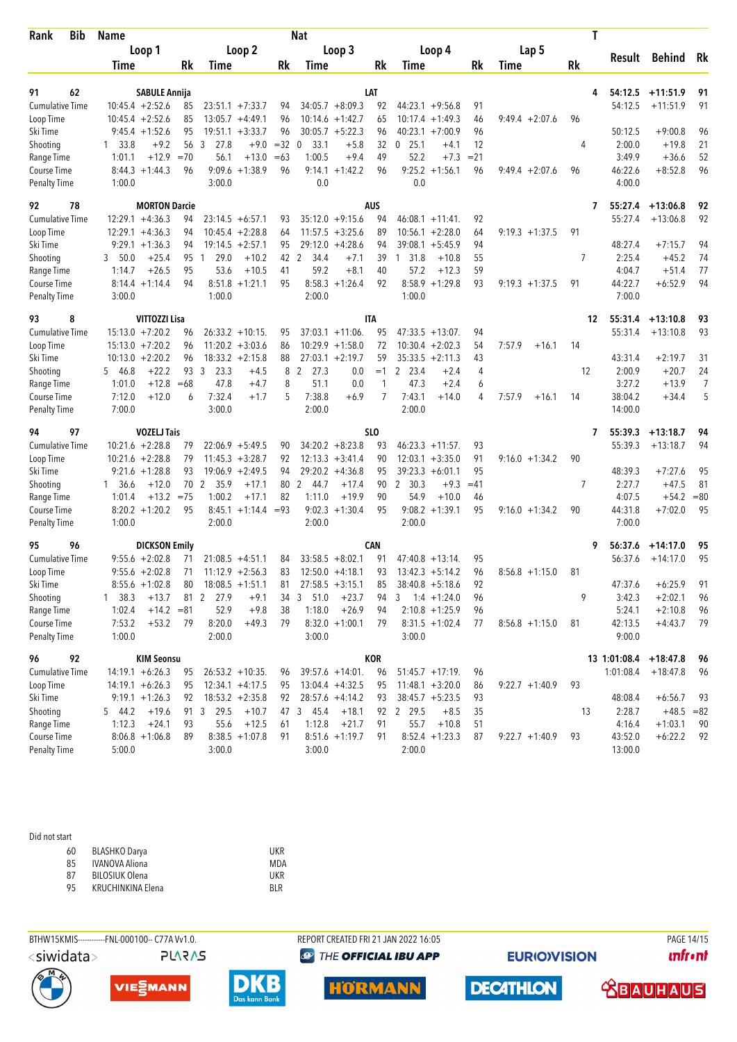| <b>Bib</b><br>Rank        |    | <b>Name</b>      | Nat                  |        |              |                       |       |                        |                     |            |                                        |        | T                 |     |                    |              |       |  |
|---------------------------|----|------------------|----------------------|--------|--------------|-----------------------|-------|------------------------|---------------------|------------|----------------------------------------|--------|-------------------|-----|--------------------|--------------|-------|--|
|                           |    |                  | Loop 1               |        |              | Loop 2                |       |                        | Loop 3              |            | Loop 4                                 |        | Lap 5             |     |                    |              |       |  |
|                           |    | Time             |                      | Rk     | <b>Time</b>  |                       | Rk    | Time                   |                     | Rk         | Time                                   | Rk     | Time              | Rk  | Result             | Behind       | Rk    |  |
| 91                        | 62 |                  | <b>SABULE Annija</b> |        |              |                       |       |                        |                     | LAT        |                                        |        |                   | 4   | 54:12.5            | $+11:51.9$   | 91    |  |
| <b>Cumulative Time</b>    |    |                  | $10:45.4 + 2:52.6$   | 85     |              | $23:51.1 + 7:33.7$    | 94    |                        | $34:05.7 + 8:09.3$  | 92         | $44:23.1 + 9:56.8$                     | 91     |                   |     | 54:12.5            | $+11:51.9$   | 91    |  |
| Loop Time                 |    |                  | $10:45.4 + 2:52.6$   | 85     |              | $13:05.7 +4:49.1$     | 96    |                        | $10:14.6 + 1:42.7$  | 65         | $10:17.4 + 1:49.3$                     | 46     | $9:49.4 + 2:07.6$ | 96  |                    |              |       |  |
| Ski Time                  |    |                  | $9:45.4 + 1:52.6$    | 95     |              | $19:51.1 + 3:33.7$    | 96    |                        | $30:05.7 + 5:22.3$  | 96         | $40:23.1 + 7:00.9$                     | 96     |                   |     | 50:12.5            | $+9:00.8$    | 96    |  |
| Shooting                  |    | 1 33.8           | $+9.2$               | 56     | 3<br>27.8    | $+9.0$                | $=32$ | 33.1<br>$\Omega$       | $+5.8$              | 32         | $0$ 25.1<br>$+4.1$                     | 12     |                   | 4   | 2:00.0             | $+19.8$      | 21    |  |
| Range Time                |    | 1:01.1           | $+12.9$              | $=70$  | 56.1         | $+13.0$               | $=63$ | 1:00.5                 | $+9.4$              | 49         | 52.2<br>$+7.3$                         | $= 21$ |                   |     | 3:49.9             | $+36.6$      | 52    |  |
| Course Time               |    |                  | $8:44.3 +1:44.3$     | 96     |              | $9:09.6 +1:38.9$      | 96    |                        | $9:14.1 + 1:42.2$   | 96         | $9:25.2 +1:56.1$                       | 96     | $9:49.4 + 2:07.6$ | 96  | 46:22.6            | $+8:52.8$    | 96    |  |
| <b>Penalty Time</b>       |    | 1:00.0           |                      |        | 3:00.0       |                       |       | 0.0                    |                     |            | 0.0                                    |        |                   |     | 4:00.0             |              |       |  |
| 92                        | 78 |                  | <b>MORTON Darcie</b> |        |              |                       |       |                        |                     | aus        |                                        |        |                   | 7   | 55:27.4            | $+13:06.8$   | 92    |  |
| <b>Cumulative Time</b>    |    |                  | $12:29.1 + 4:36.3$   | 94     |              | $23:14.5 + 6:57.1$    | 93    |                        | $35:12.0 +9:15.6$   | 94         | $46:08.1 + 11:41$                      | 92     |                   |     | 55:27.4            | $+13:06.8$   | 92    |  |
| Loop Time                 |    |                  | $12:29.1 + 4:36.3$   | 94     |              | $10:45.4 + 2:28.8$    | 64    |                        | $11:57.5 + 3:25.6$  | 89         | $10:56.1 + 2:28.0$                     | 64     | $9:19.3 + 1:37.5$ | 91  |                    |              |       |  |
| Ski Time                  |    |                  | $9:29.1 + 1:36.3$    | 94     |              | $19:14.5 + 2:57.1$    | 95    |                        | $29:12.0 +4:28.6$   | 94         | $39:08.1 + 5:45.9$                     | 94     |                   |     | 48:27.4            | $+7:15.7$    | 94    |  |
| Shooting                  |    | 3 50.0           | $+25.4$              | 95     | 29.0<br>1    | $+10.2$               | 42 2  | 34.4                   | $+7.1$              | 39         | 1 31.8<br>$+10.8$                      | 55     |                   | 7   | 2:25.4             | $+45.2$      | 74    |  |
| Range Time                |    | 1:14.7           | $+26.5$              | 95     | 53.6         | $+10.5$               | 41    | 59.2                   | $+8.1$              | 40         | 57.2<br>$+12.3$                        | 59     |                   |     | 4:04.7             | $+51.4$      | 77    |  |
| Course Time               |    |                  | $8:14.4 + 1:14.4$    | 94     | 8:51.8       | $+1:21.1$             | 95    | 8:58.3                 | $+1:26.4$           | 92         | $8:58.9 + 1:29.8$                      | 93     | $9:19.3 + 1:37.5$ | 91  | 44:22.7            | $+6:52.9$    | 94    |  |
| <b>Penalty Time</b>       |    | 3:00.0           |                      |        | 1:00.0       |                       |       | 2:00.0                 |                     |            | 1:00.0                                 |        |                   |     | 7:00.0             |              |       |  |
| 93                        | 8  |                  | <b>VITTOZZI Lisa</b> |        |              |                       |       |                        |                     | <b>ITA</b> |                                        |        |                   | 12  | 55:31.4            | $+13:10.8$   | 93    |  |
| <b>Cumulative Time</b>    |    |                  | $15:13.0 + 7:20.2$   | 96     |              | $26:33.2 + 10:15$ .   | 95    |                        | $37:03.1 + 11:06$ . | 95         | $47:33.5 + 13:07$ .                    | 94     |                   |     | 55:31.4            | $+13:10.8$   | 93    |  |
| Loop Time                 |    |                  | $15:13.0 + 7:20.2$   | 96     |              | $11:20.2 + 3:03.6$    | 86    |                        | $10:29.9 + 1:58.0$  | 72         | $10:30.4 + 2:02.3$                     | 54     | 7:57.9<br>$+16.1$ | 14  |                    |              |       |  |
| Ski Time                  |    |                  | $10:13.0 + 2:20.2$   | 96     |              | $18:33.2 +2:15.8$     | 88    |                        | $27:03.1 + 2:19.7$  | 59         | $35:33.5 +2:11.3$                      | 43     |                   |     | 43:31.4            | $+2:19.7$    | 31    |  |
| Shooting                  |    | 5 46.8           | $+22.2$              | 93     | 3<br>23.3    | $+4.5$                | 8     | 2<br>27.3              | 0.0                 | $=1$       | $\mathbf{2}$<br>23.4<br>$+2.4$         | 4      |                   | 12  | 2:00.9             | $+20.7$      | 24    |  |
| Range Time                |    | 1:01.0           | $+12.8$              | $=68$  | 47.8         | $+4.7$                | 8     | 51.1                   | 0.0                 | 1          | 47.3<br>$+2.4$                         | 6      |                   |     | 3:27.2             | $+13.9$      | 7     |  |
| Course Time               |    | 7:12.0           | $+12.0$              | 6      | 7:32.4       | $+1.7$                | 5     | 7:38.8                 | $+6.9$              | 7          | 7:43.1<br>$+14.0$                      | 4      | 7:57.9<br>$+16.1$ | 14  | 38:04.2            | $+34.4$      | 5     |  |
| <b>Penalty Time</b>       |    | 7:00.0           |                      |        | 3:00.0       |                       |       | 2:00.0                 |                     |            | 2:00.0                                 |        |                   |     | 14:00.0            |              |       |  |
| 94                        | 97 |                  | <b>VOZELJ Tais</b>   |        |              |                       |       |                        |                     | SLO        |                                        |        |                   | 7   | 55:39.3            | $+13:18.7$   | 94    |  |
| <b>Cumulative Time</b>    |    |                  | $10:21.6 + 2:28.8$   | 79     |              | $22:06.9 + 5:49.5$    | 90    |                        | $34:20.2 + 8:23.8$  | 93         | $46:23.3 +11:57$ .                     | 93     |                   |     | 55:39.3            | $+13:18.7$   | 94    |  |
| Loop Time                 |    |                  | $10:21.6 + 2:28.8$   | 79     |              | $11:45.3 +3:28.7$     | 92    |                        | $12:13.3 + 3:41.4$  | 90         | $12:03.1 + 3:35.0$                     | 91     | $9:16.0 + 1:34.2$ | 90  |                    |              |       |  |
| Ski Time                  |    |                  | $9:21.6 + 1:28.8$    | 93     |              | $19:06.9 + 2:49.5$    | 94    |                        | $29:20.2 + 4:36.8$  | 95         | $39:23.3 + 6:01.1$                     | 95     |                   |     | 48:39.3            | $+7:27.6$    | 95    |  |
| Shooting                  |    | 1, 36.6          | $+12.0$              | 70     | 2<br>35.9    | $+17.1$               | 80    | 2<br>44.7              | $+17.4$             | 90         | 2 30.3<br>$+9.3$                       | $=41$  |                   | 7   | 2:27.7             | $+47.5$      | 81    |  |
| Range Time                |    | 1:01.4           | $+13.2$              | $= 75$ | 1:00.2       | $+17.1$               | 82    | 1:11.0                 | $+19.9$             | 90         | 54.9<br>$+10.0$                        | 46     |                   |     | 4:07.5             | $+54.2$      | $=80$ |  |
| Course Time               |    |                  | $8:20.2 + 1:20.2$    | 95     |              | $8:45.1 +1:14.4 = 93$ |       |                        | $9:02.3 +1:30.4$    | 95         | $9:08.2 +1:39.1$                       | 95     | $9:16.0 + 1:34.2$ | 90  | 44:31.8            | $+7:02.0$    | 95    |  |
| <b>Penalty Time</b>       |    | 1:00.0           |                      |        | 2:00.0       |                       |       | 2:00.0                 |                     |            | 2:00.0                                 |        |                   |     | 7:00.0             |              |       |  |
| 95                        | 96 |                  | <b>DICKSON Emily</b> |        |              |                       |       |                        |                     | <b>CAN</b> |                                        |        |                   | 9   | 56:37.6            | $+14:17.0$   | 95    |  |
| <b>Cumulative Time</b>    |    |                  | $9:55.6 + 2:02.8$    | 71     |              | $21:08.5 +4:51.1$     | 84    |                        | $33:58.5 + 8:02.1$  | 91         | $47:40.8 + 13:14$ .                    | 95     |                   |     | 56:37.6            | $+14:17.0$   | 95    |  |
| Loop Time                 |    |                  | $9:55.6 + 2:02.8$    | 71     |              | $11:12.9 + 2:56.3$    | 83    |                        | $12:50.0 +4:18.1$   | 93         | $13:42.3 + 5:14.2$                     | 96     | $8:56.8 +1:15.0$  | -81 |                    |              |       |  |
| Ski Time                  |    |                  | $8:55.6 + 1:02.8$    | 80     |              | $18:08.5 +1:51.1$     | 81    |                        | $27:58.5 + 3:15.1$  | 85         | $38:40.8 + 5:18.6$                     | 92     |                   |     | 47:37.6            | $+6:25.9$    | 91    |  |
| Shooting                  |    | 1, 38.3          | $+13.7$              |        | 81 2 27.9    | $+9.1$                | 34    | 51.0<br>3 <sup>7</sup> | $+23.7$             | 94         | 3<br>$1:4$ +1:24.0                     | 96     |                   | 9   | 3:42.3             | $+2:02.1$    | 96    |  |
| Range Time                |    | 1:02.4           | $+14.2 = 81$         |        | 52.9         | $+9.8$                | 38    | 1:18.0                 | $+26.9$             | 94         | $2:10.8 + 1:25.9$                      | 96     |                   |     | 5:24.1             | $+2:10.8$    | 96    |  |
| Course Time               |    | 7:53.2           | $+53.2$              | 79     | 8:20.0       | $+49.3$               | 79    |                        | $8:32.0 +1:00.1$    | 79         | $8:31.5 +1:02.4$                       | 77     | $8:56.8 +1:15.0$  | 81  | 42:13.5            | $+4:43.7$    | 79    |  |
| Penalty Time              |    | 1:00.0           |                      |        | 2:00.0       |                       |       | 3:00.0                 |                     |            | 3:00.0                                 |        |                   |     | 9:00.0             |              |       |  |
| 96                        | 92 |                  | <b>KIM Seonsu</b>    |        |              |                       |       |                        |                     | KOR        |                                        |        |                   |     | 13 1:01:08.4       | $+18:47.8$   | 96    |  |
| <b>Cumulative Time</b>    |    |                  | $14:19.1 + 6:26.3$   | 95     |              | $26:53.2 + 10:35$ .   | 96    |                        | $39:57.6 + 14:01.$  | 96         | $51:45.7 +17:19$ .                     | 96     |                   |     | 1:01:08.4          | $+18:47.8$   | 96    |  |
| Loop Time                 |    |                  | $14:19.1 + 6:26.3$   | 95     |              | $12:34.1 + 4:17.5$    | 95    |                        | $13:04.4 +4:32.5$   | 95         | $11:48.1 + 3:20.0$                     | 86     | $9:22.7 +1:40.9$  | 93  |                    |              |       |  |
| Ski Time                  |    |                  | $9:19.1 + 1:26.3$    | 92     |              | $18:53.2 +2:35.8$     | 92    |                        | $28:57.6 +4:14.2$   | 93         | $38:45.7 + 5:23.5$                     | 93     |                   |     | 48:08.4            | $+6:56.7$    | 93    |  |
| Shooting                  |    | 5 44.2<br>1:12.3 | $+19.6$              |        | 91 3<br>29.5 | $+10.7$<br>$+12.5$    |       | 45.4<br>47 3           | $+18.1$             |            | 92 2 29.5<br>$+8.5$<br>55.7<br>$+10.8$ | 35     |                   | 13  | 2:28.7             | $+48.5 = 82$ | 90    |  |
| Range Time<br>Course Time |    |                  | $+24.1$              | 93     | 55.6         |                       | 61    | 1:12.8                 | $+21.7$             | 91         |                                        | 51     | $9:22.7 +1:40.9$  | 93  | 4:16.4             | $+1:03.1$    | 92    |  |
| <b>Penalty Time</b>       |    | 5:00.0           | $8:06.8 +1:06.8$     | 89     | 3:00.0       | $8:38.5 +1:07.8$      | 91    | 3:00.0                 | $8:51.6 +1:19.7$    | 91         | $8:52.4 +1:23.3$<br>2:00.0             | 87     |                   |     | 43:52.0<br>13:00.0 | $+6:22.2$    |       |  |
|                           |    |                  |                      |        |              |                       |       |                        |                     |            |                                        |        |                   |     |                    |              |       |  |

| 60 | <b>BLASHKO Darya</b>  | UKR  |
|----|-----------------------|------|
| 85 | <b>IVANOVA Aliona</b> | MDA  |
| 87 | <b>BILOSIUK Olena</b> | UKR  |
| 95 | KRUCHINKINA Elena     | RI R |







BTHW15KMIS----------FNL-000100-- C77A Vv1.0. REPORT CREATED FRI 21 JAN 2022 16:05 PAGE 14/15 **<sup><sup>3</sup>** THE OFFICIAL IBU APP</sup>

**HORMANN** 

**EURIOVISION** 

**DECATHLON** 

**unfront**